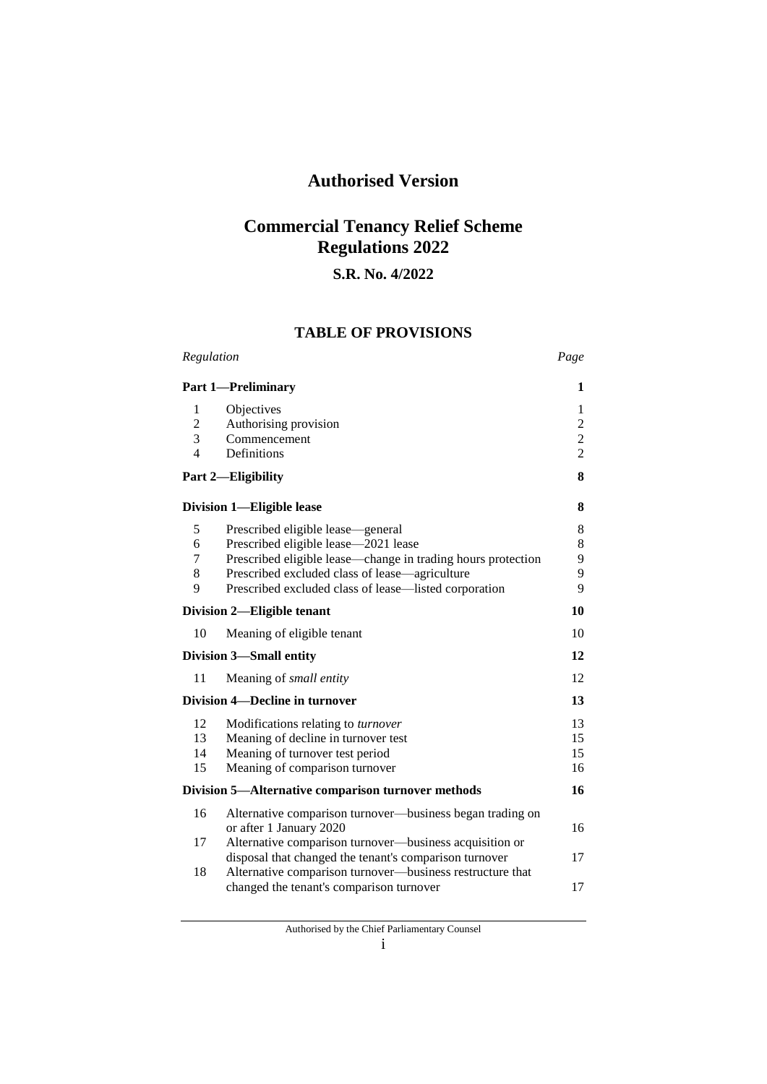# **Authorised Version**

# **Commercial Tenancy Relief Scheme Regulations 2022**

## **S.R. No. 4/2022**

## **TABLE OF PROVISIONS**

| Regulation                                              |                                                                                                                                                                                                                                                      | Page                                                      |  |
|---------------------------------------------------------|------------------------------------------------------------------------------------------------------------------------------------------------------------------------------------------------------------------------------------------------------|-----------------------------------------------------------|--|
|                                                         | <b>Part 1-Preliminary</b>                                                                                                                                                                                                                            | 1                                                         |  |
| 1<br>$\overline{c}$<br>$\overline{3}$<br>$\overline{4}$ | Objectives<br>Authorising provision<br>Commencement<br>Definitions                                                                                                                                                                                   | 1<br>$\boldsymbol{2}$<br>$\overline{c}$<br>$\overline{2}$ |  |
|                                                         | Part 2-Eligibility                                                                                                                                                                                                                                   | 8                                                         |  |
| Division 1-Eligible lease                               |                                                                                                                                                                                                                                                      | 8                                                         |  |
| 5<br>6<br>7<br>8<br>9                                   | Prescribed eligible lease—general<br>Prescribed eligible lease-2021 lease<br>Prescribed eligible lease—change in trading hours protection<br>Prescribed excluded class of lease—agriculture<br>Prescribed excluded class of lease—listed corporation | 8<br>8<br>9<br>9<br>9                                     |  |
| Division 2—Eligible tenant                              |                                                                                                                                                                                                                                                      | 10                                                        |  |
| 10                                                      | Meaning of eligible tenant                                                                                                                                                                                                                           | 10                                                        |  |
| Division 3—Small entity                                 |                                                                                                                                                                                                                                                      | 12                                                        |  |
| 11                                                      | Meaning of <i>small entity</i>                                                                                                                                                                                                                       | 12                                                        |  |
| Division 4—Decline in turnover                          |                                                                                                                                                                                                                                                      | 13                                                        |  |
| 12<br>13<br>14<br>15                                    | Modifications relating to turnover<br>Meaning of decline in turnover test<br>Meaning of turnover test period<br>Meaning of comparison turnover                                                                                                       | 13<br>15<br>15<br>16                                      |  |
| Division 5—Alternative comparison turnover methods      |                                                                                                                                                                                                                                                      | 16                                                        |  |
| 16                                                      | Alternative comparison turnover—business began trading on<br>or after 1 January 2020                                                                                                                                                                 | 16                                                        |  |
| 17<br>18                                                | Alternative comparison turnover—business acquisition or<br>disposal that changed the tenant's comparison turnover<br>Alternative comparison turnover—business restructure that                                                                       | 17                                                        |  |
|                                                         | changed the tenant's comparison turnover                                                                                                                                                                                                             | 17                                                        |  |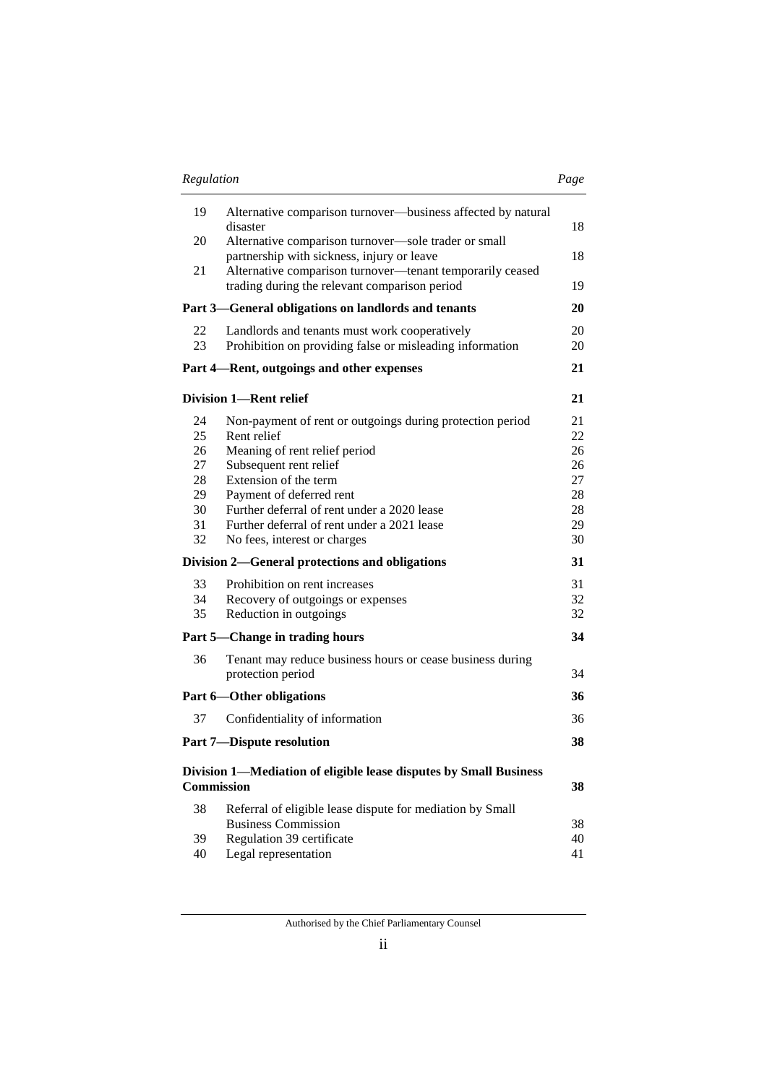|                                                    | Regulation                                                                                                                                                                                                                                                                                                                                                               |                                                          |
|----------------------------------------------------|--------------------------------------------------------------------------------------------------------------------------------------------------------------------------------------------------------------------------------------------------------------------------------------------------------------------------------------------------------------------------|----------------------------------------------------------|
| 19                                                 | Alternative comparison turnover—business affected by natural<br>disaster                                                                                                                                                                                                                                                                                                 | 18                                                       |
| 20                                                 | Alternative comparison turnover-sole trader or small                                                                                                                                                                                                                                                                                                                     |                                                          |
| 21                                                 | partnership with sickness, injury or leave<br>Alternative comparison turnover-tenant temporarily ceased<br>trading during the relevant comparison period                                                                                                                                                                                                                 | 18<br>19                                                 |
|                                                    | Part 3—General obligations on landlords and tenants                                                                                                                                                                                                                                                                                                                      | 20                                                       |
| 22<br>23                                           | Landlords and tenants must work cooperatively<br>Prohibition on providing false or misleading information                                                                                                                                                                                                                                                                | 20<br>20                                                 |
|                                                    | Part 4—Rent, outgoings and other expenses                                                                                                                                                                                                                                                                                                                                | 21                                                       |
|                                                    | <b>Division 1-Rent relief</b>                                                                                                                                                                                                                                                                                                                                            | 21                                                       |
| 24<br>25<br>26<br>27<br>28<br>29<br>30<br>31<br>32 | Non-payment of rent or outgoings during protection period<br>Rent relief<br>Meaning of rent relief period<br>Subsequent rent relief<br>Extension of the term<br>Payment of deferred rent<br>Further deferral of rent under a 2020 lease<br>Further deferral of rent under a 2021 lease<br>No fees, interest or charges<br>Division 2—General protections and obligations | 21<br>22<br>26<br>26<br>27<br>28<br>28<br>29<br>30<br>31 |
| 33                                                 | Prohibition on rent increases                                                                                                                                                                                                                                                                                                                                            | 31                                                       |
| 34                                                 | Recovery of outgoings or expenses                                                                                                                                                                                                                                                                                                                                        | 32                                                       |
| 35                                                 | Reduction in outgoings                                                                                                                                                                                                                                                                                                                                                   | 32                                                       |
|                                                    | Part 5—Change in trading hours                                                                                                                                                                                                                                                                                                                                           | 34                                                       |
| 36                                                 | Tenant may reduce business hours or cease business during<br>protection period                                                                                                                                                                                                                                                                                           | 34                                                       |
|                                                    | Part 6-Other obligations                                                                                                                                                                                                                                                                                                                                                 | 36                                                       |
| 37                                                 | Confidentiality of information                                                                                                                                                                                                                                                                                                                                           | 36                                                       |
|                                                    | <b>Part 7-Dispute resolution</b>                                                                                                                                                                                                                                                                                                                                         | 38                                                       |
|                                                    | Division 1-Mediation of eligible lease disputes by Small Business<br><b>Commission</b>                                                                                                                                                                                                                                                                                   | 38                                                       |
| 38                                                 | Referral of eligible lease dispute for mediation by Small                                                                                                                                                                                                                                                                                                                |                                                          |
| 39                                                 | <b>Business Commission</b><br>Regulation 39 certificate                                                                                                                                                                                                                                                                                                                  | 38<br>40                                                 |
| 40                                                 | Legal representation                                                                                                                                                                                                                                                                                                                                                     | 41                                                       |

Authorised by the Chief Parliamentary Counsel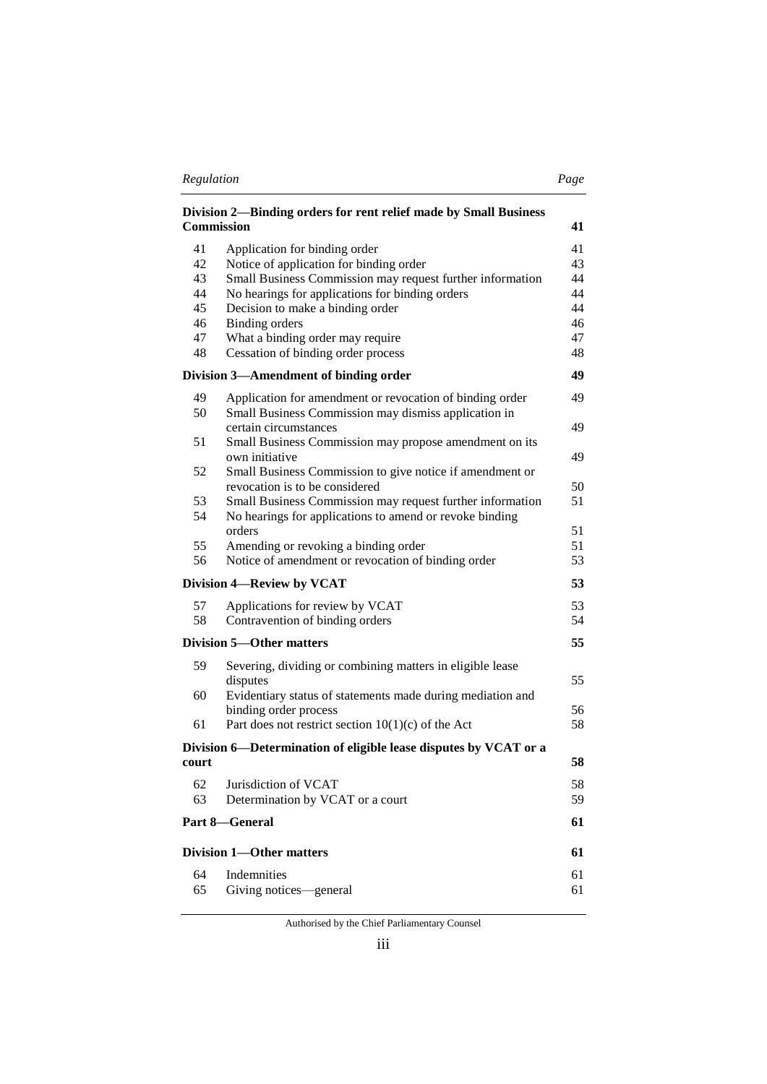| Regulation | Page |
|------------|------|
|            |      |

|--|

| <b>Commission</b>               | Division 2—Binding orders for rent relief made by Small Business                                                                          | 41       |
|---------------------------------|-------------------------------------------------------------------------------------------------------------------------------------------|----------|
| 41                              | Application for binding order                                                                                                             | 41       |
| 42                              | Notice of application for binding order                                                                                                   | 43       |
| 43                              | Small Business Commission may request further information                                                                                 | 44       |
| 44                              | No hearings for applications for binding orders                                                                                           | 44       |
| 45                              | Decision to make a binding order                                                                                                          | 44       |
| 46                              | <b>Binding orders</b>                                                                                                                     | 46       |
| 47<br>48                        | What a binding order may require<br>Cessation of binding order process                                                                    | 47<br>48 |
|                                 | Division 3—Amendment of binding order                                                                                                     | 49       |
|                                 |                                                                                                                                           |          |
| 49<br>50                        | Application for amendment or revocation of binding order<br>Small Business Commission may dismiss application in<br>certain circumstances | 49<br>49 |
| 51                              | Small Business Commission may propose amendment on its                                                                                    |          |
|                                 | own initiative                                                                                                                            | 49       |
| 52                              | Small Business Commission to give notice if amendment or                                                                                  |          |
|                                 | revocation is to be considered                                                                                                            | 50       |
| 53<br>54                        | Small Business Commission may request further information<br>No hearings for applications to amend or revoke binding                      | 51       |
|                                 | orders                                                                                                                                    | 51       |
| 55<br>56                        | Amending or revoking a binding order<br>Notice of amendment or revocation of binding order                                                | 51<br>53 |
|                                 |                                                                                                                                           |          |
|                                 | Division 4-Review by VCAT                                                                                                                 | 53       |
| 57                              | Applications for review by VCAT                                                                                                           | 53       |
| 58                              | Contravention of binding orders                                                                                                           | 54       |
|                                 | <b>Division 5—Other matters</b>                                                                                                           | 55       |
| 59                              | Severing, dividing or combining matters in eligible lease                                                                                 |          |
|                                 | disputes                                                                                                                                  | 55       |
| 60                              | Evidentiary status of statements made during mediation and                                                                                | 56       |
| 61                              | binding order process<br>Part does not restrict section $10(1)(c)$ of the Act                                                             | 58       |
|                                 |                                                                                                                                           |          |
| court                           | Division 6—Determination of eligible lease disputes by VCAT or a                                                                          | 58       |
|                                 | 62 Jurisdiction of VCAT                                                                                                                   | 58       |
| 63                              | Determination by VCAT or a court                                                                                                          | 59       |
|                                 | Part 8-General                                                                                                                            | 61       |
| <b>Division 1-Other matters</b> |                                                                                                                                           | 61       |
| 64                              | Indemnities                                                                                                                               | 61       |
| 65                              | Giving notices-general                                                                                                                    | 61       |

Authorised by the Chief Parliamentary Counsel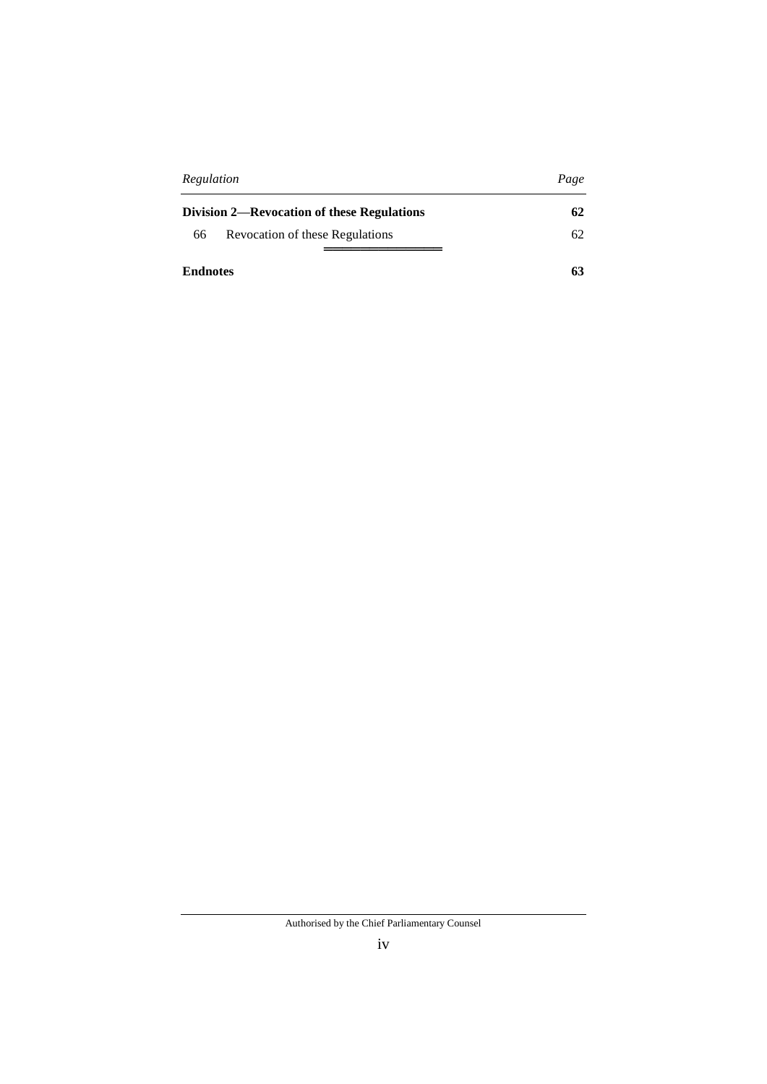| Regulation                                 | Page |
|--------------------------------------------|------|
| Division 2—Revocation of these Regulations | 62   |
| Revocation of these Regulations<br>66      | 62   |
|                                            |      |
| <b>Endnotes</b>                            | 63   |

Authorised by the Chief Parliamentary Counsel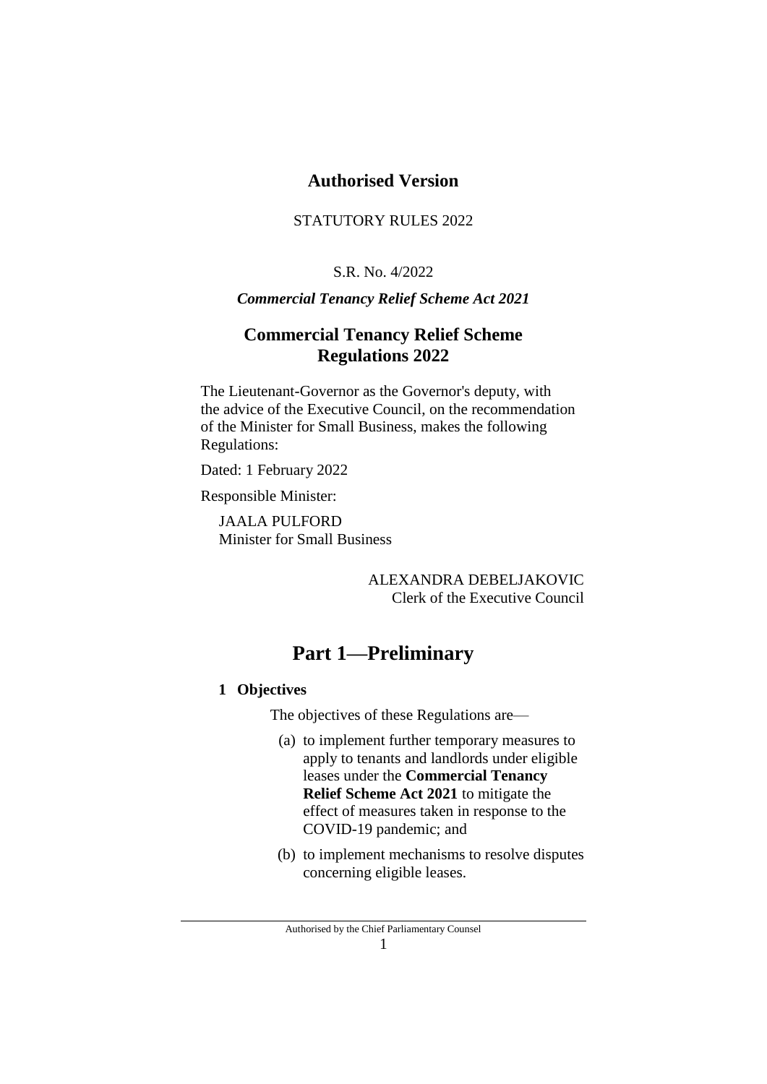# **Authorised Version**

## STATUTORY RULES 2022

## S.R. No. 4/2022

## *Commercial Tenancy Relief Scheme Act 2021*

# **Commercial Tenancy Relief Scheme Regulations 2022**

The Lieutenant-Governor as the Governor's deputy, with the advice of the Executive Council, on the recommendation of the Minister for Small Business, makes the following Regulations:

Dated: 1 February 2022

Responsible Minister:

JAALA PULFORD Minister for Small Business

> ALEXANDRA DEBELJAKOVIC Clerk of the Executive Council

# **Part 1—Preliminary**

### **1 Objectives**

The objectives of these Regulations are—

- (a) to implement further temporary measures to apply to tenants and landlords under eligible leases under the **Commercial Tenancy Relief Scheme Act 2021** to mitigate the effect of measures taken in response to the COVID-19 pandemic; and
- (b) to implement mechanisms to resolve disputes concerning eligible leases.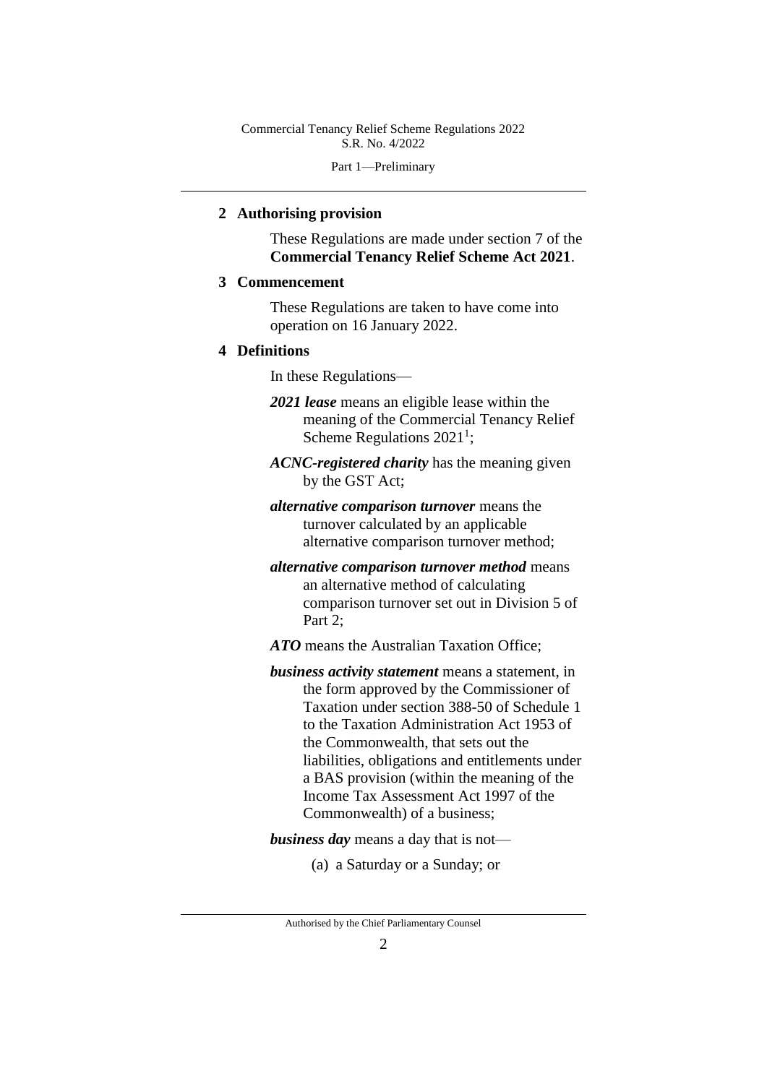Part 1—Preliminary

### **2 Authorising provision**

These Regulations are made under section 7 of the **Commercial Tenancy Relief Scheme Act 2021**.

#### **3 Commencement**

These Regulations are taken to have come into operation on 16 January 2022.

#### **4 Definitions**

In these Regulations—

- *2021 lease* means an eligible lease within the meaning of the Commercial Tenancy Relief Scheme Regulations  $2021<sup>1</sup>$ ;
- *ACNC-registered charity* has the meaning given by the GST Act;
- *alternative comparison turnover* means the turnover calculated by an applicable alternative comparison turnover method;
- *alternative comparison turnover method* means an alternative method of calculating comparison turnover set out in Division 5 of Part 2;

*ATO* means the Australian Taxation Office;

*business activity statement* means a statement, in the form approved by the Commissioner of Taxation under section 388-50 of Schedule 1 to the Taxation Administration Act 1953 of the Commonwealth, that sets out the liabilities, obligations and entitlements under a BAS provision (within the meaning of the Income Tax Assessment Act 1997 of the Commonwealth) of a business;

*business day* means a day that is not—

(a) a Saturday or a Sunday; or

Authorised by the Chief Parliamentary Counsel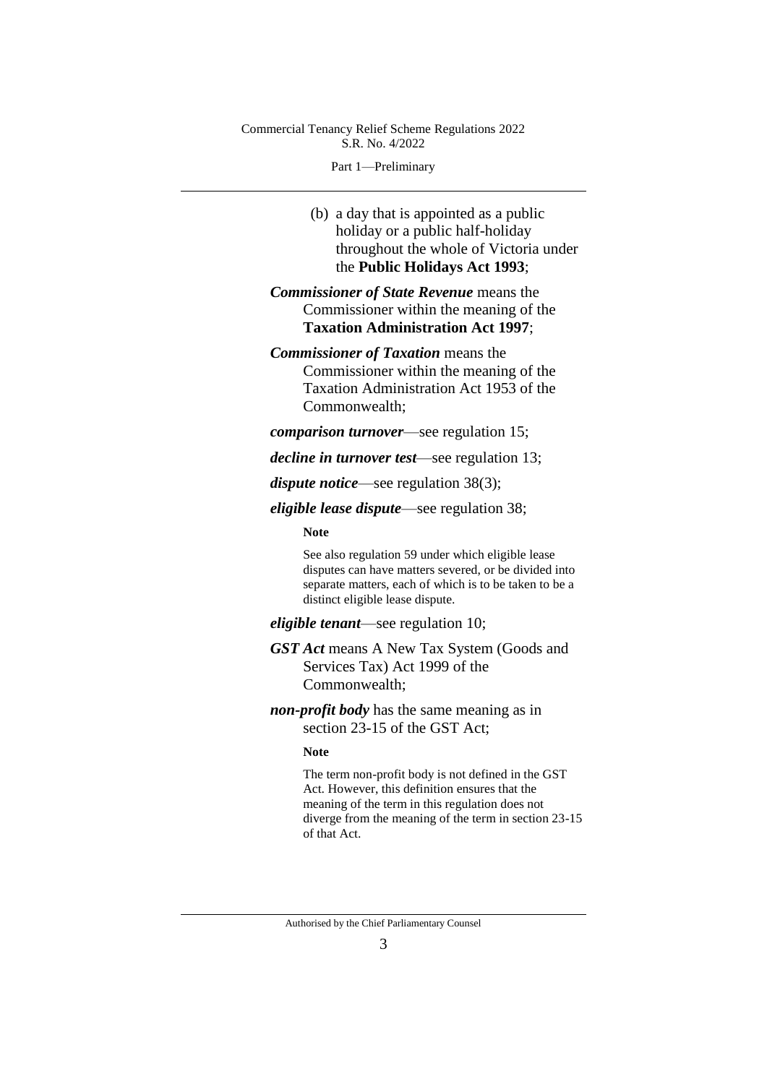Part 1—Preliminary

(b) a day that is appointed as a public holiday or a public half-holiday throughout the whole of Victoria under the **Public Holidays Act 1993**;

*Commissioner of State Revenue* means the Commissioner within the meaning of the **Taxation Administration Act 1997**;

*Commissioner of Taxation* means the Commissioner within the meaning of the Taxation Administration Act 1953 of the

Commonwealth;

*comparison turnover*—see regulation 15;

*decline in turnover test*—see regulation 13;

*dispute notice*—see regulation 38(3);

*eligible lease dispute*—see regulation 38;

**Note**

See also regulation 59 under which eligible lease disputes can have matters severed, or be divided into separate matters, each of which is to be taken to be a distinct eligible lease dispute.

*eligible tenant*—see regulation 10;

*GST Act* means A New Tax System (Goods and Services Tax) Act 1999 of the Commonwealth;

*non-profit body* has the same meaning as in section 23-15 of the GST Act;

#### **Note**

The term non-profit body is not defined in the GST Act. However, this definition ensures that the meaning of the term in this regulation does not diverge from the meaning of the term in section 23-15 of that Act.

Authorised by the Chief Parliamentary Counsel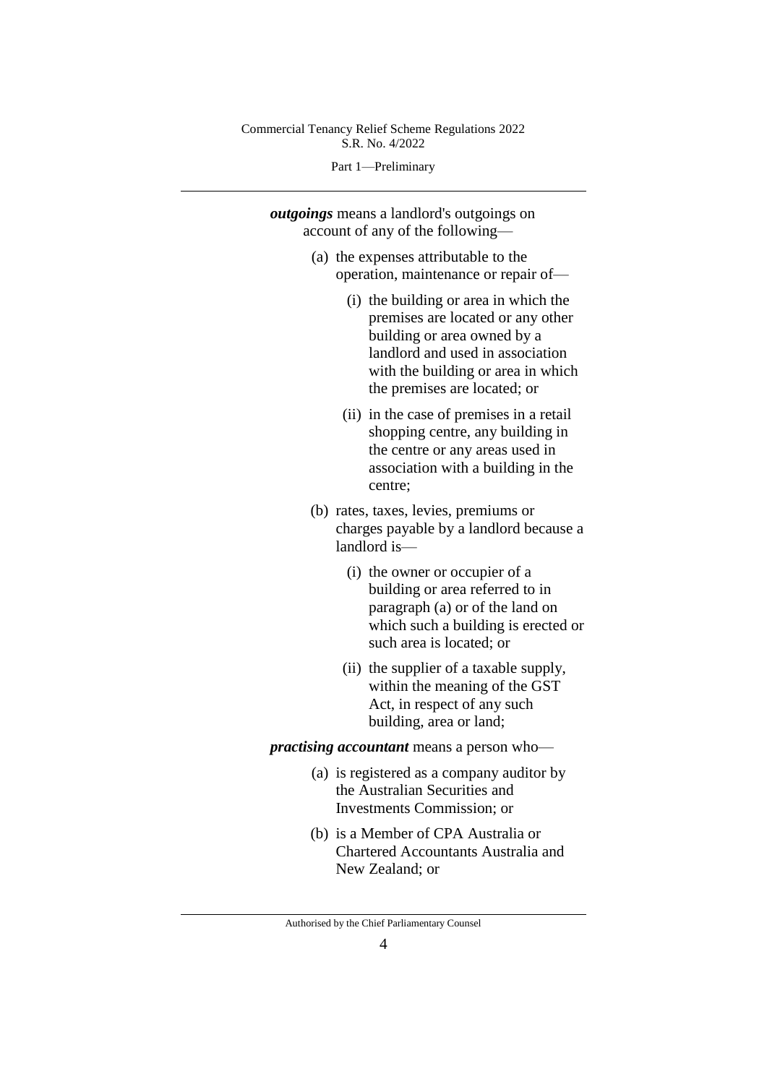Part 1—Preliminary

*outgoings* means a landlord's outgoings on account of any of the following—

- (a) the expenses attributable to the operation, maintenance or repair of—
	- (i) the building or area in which the premises are located or any other building or area owned by a landlord and used in association with the building or area in which the premises are located; or
	- (ii) in the case of premises in a retail shopping centre, any building in the centre or any areas used in association with a building in the centre;
- (b) rates, taxes, levies, premiums or charges payable by a landlord because a landlord is—
	- (i) the owner or occupier of a building or area referred to in paragraph (a) or of the land on which such a building is erected or such area is located; or
	- (ii) the supplier of a taxable supply, within the meaning of the GST Act, in respect of any such building, area or land;

*practising accountant* means a person who—

- (a) is registered as a company auditor by the Australian Securities and Investments Commission; or
- (b) is a Member of CPA Australia or Chartered Accountants Australia and New Zealand; or

Authorised by the Chief Parliamentary Counsel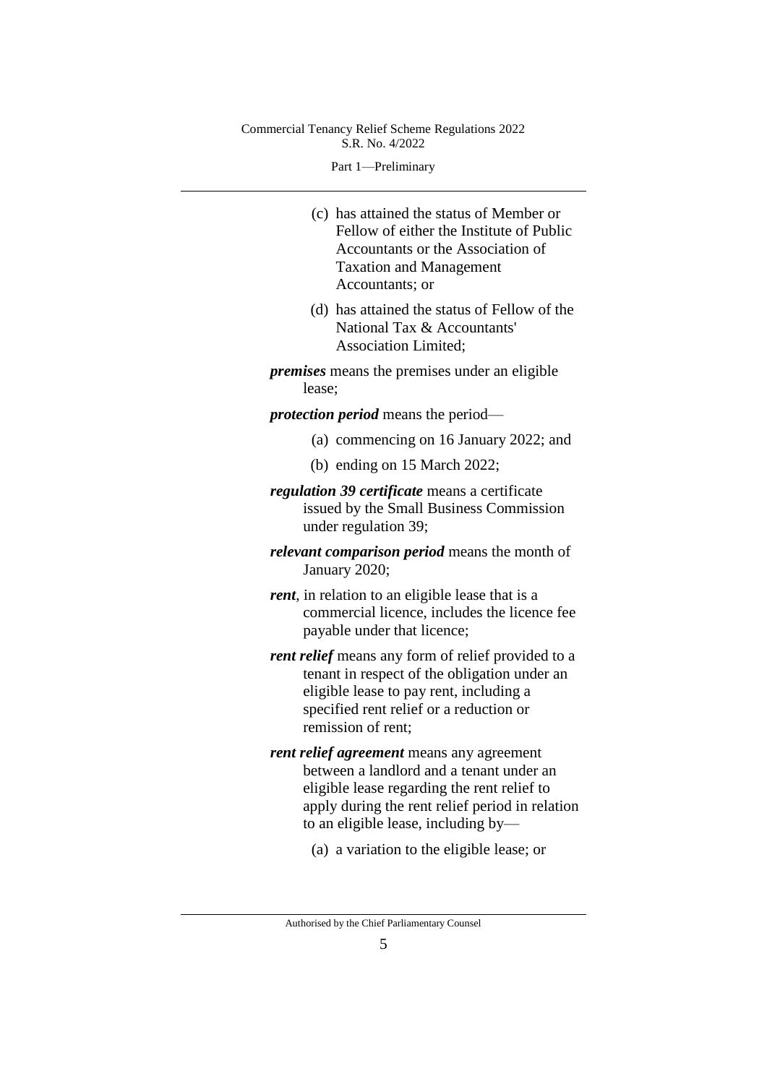Part 1—Preliminary

(c) has attained the status of Member or Fellow of either the Institute of Public Accountants or the Association of Taxation and Management Accountants; or

(d) has attained the status of Fellow of the National Tax & Accountants' Association Limited;

*premises* means the premises under an eligible lease;

*protection period* means the period—

- (a) commencing on 16 January 2022; and
- (b) ending on 15 March 2022;
- *regulation 39 certificate* means a certificate issued by the Small Business Commission under regulation 39;
- *relevant comparison period* means the month of January 2020;
- *rent*, in relation to an eligible lease that is a commercial licence, includes the licence fee payable under that licence;
- *rent relief* means any form of relief provided to a tenant in respect of the obligation under an eligible lease to pay rent, including a specified rent relief or a reduction or remission of rent;
- *rent relief agreement* means any agreement between a landlord and a tenant under an eligible lease regarding the rent relief to apply during the rent relief period in relation to an eligible lease, including by—
	- (a) a variation to the eligible lease; or

Authorised by the Chief Parliamentary Counsel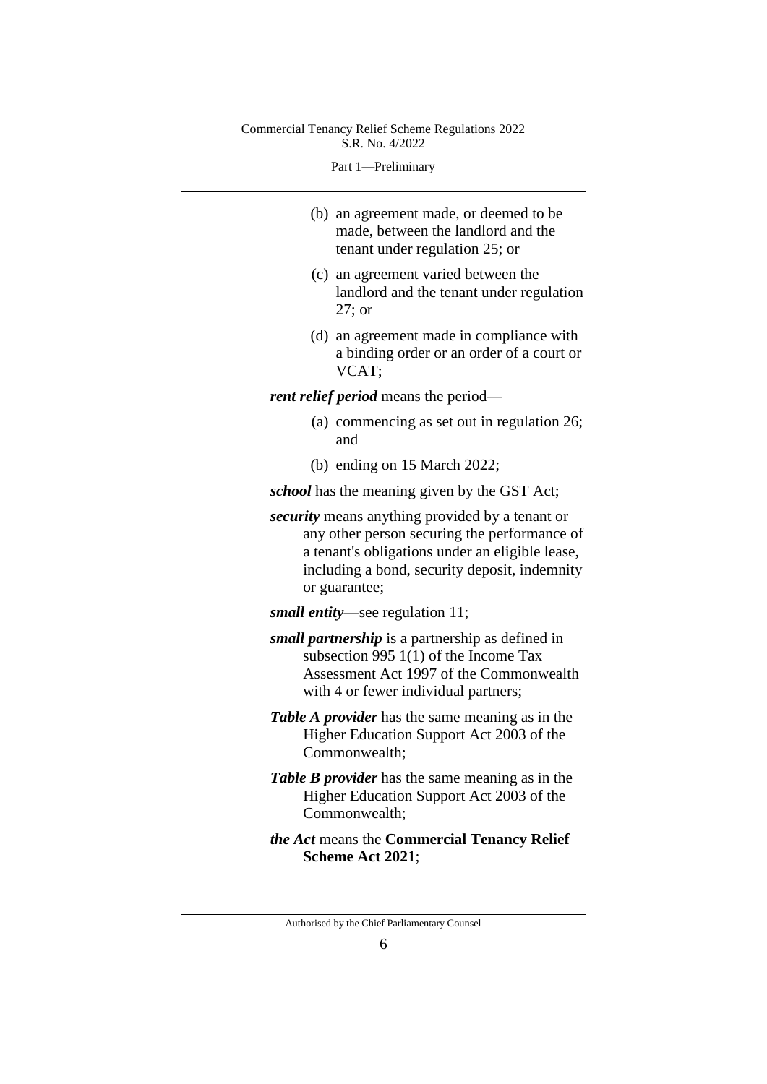Part 1—Preliminary

- (b) an agreement made, or deemed to be made, between the landlord and the tenant under regulation 25; or
- (c) an agreement varied between the landlord and the tenant under regulation 27; or
- (d) an agreement made in compliance with a binding order or an order of a court or VCAT;

*rent relief period* means the period—

- (a) commencing as set out in regulation 26; and
- (b) ending on 15 March 2022;

*school* has the meaning given by the GST Act;

*security* means anything provided by a tenant or any other person securing the performance of a tenant's obligations under an eligible lease, including a bond, security deposit, indemnity or guarantee;

*small entity*—see regulation 11;

- *small partnership* is a partnership as defined in subsection 995 1(1) of the Income Tax Assessment Act 1997 of the Commonwealth with 4 or fewer individual partners;
- *Table A provider* has the same meaning as in the Higher Education Support Act 2003 of the Commonwealth;
- *Table B provider* has the same meaning as in the Higher Education Support Act 2003 of the Commonwealth;
- *the Act* means the **Commercial Tenancy Relief Scheme Act 2021**;

Authorised by the Chief Parliamentary Counsel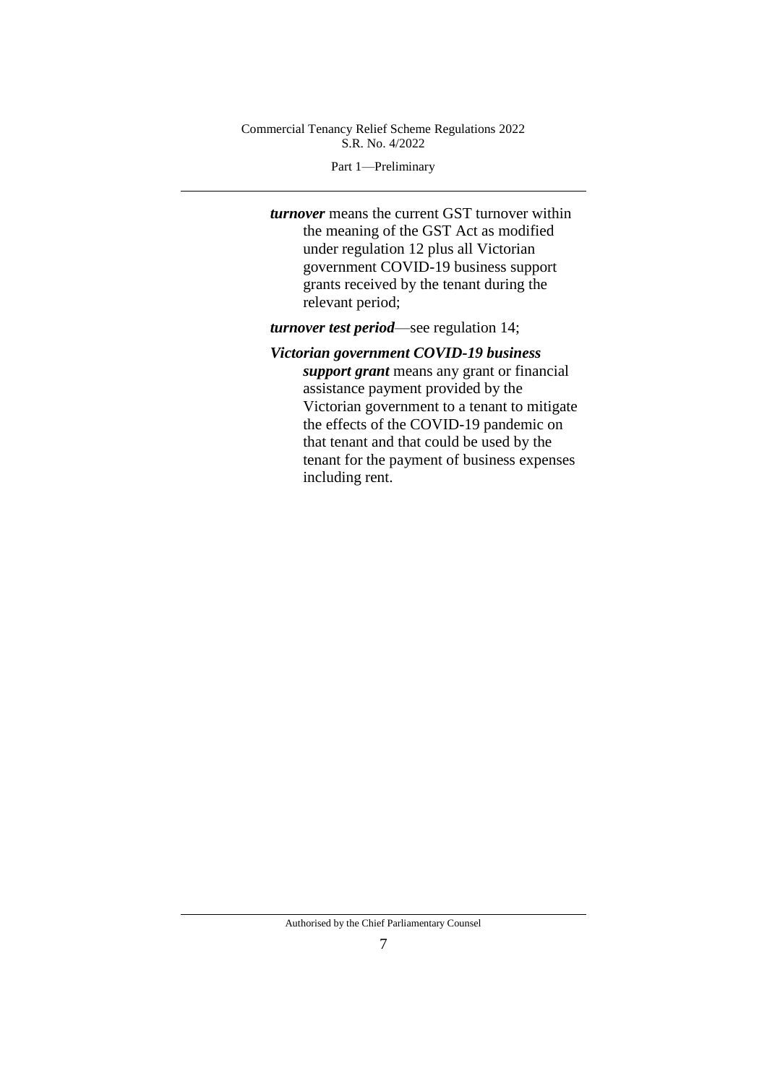#### Part 1—Preliminary

*turnover* means the current GST turnover within the meaning of the GST Act as modified under regulation 12 plus all Victorian government COVID-19 business support grants received by the tenant during the relevant period;

*turnover test period*—see regulation 14;

## *Victorian government COVID-19 business*

*support grant* means any grant or financial assistance payment provided by the Victorian government to a tenant to mitigate the effects of the COVID-19 pandemic on that tenant and that could be used by the tenant for the payment of business expenses including rent.

Authorised by the Chief Parliamentary Counsel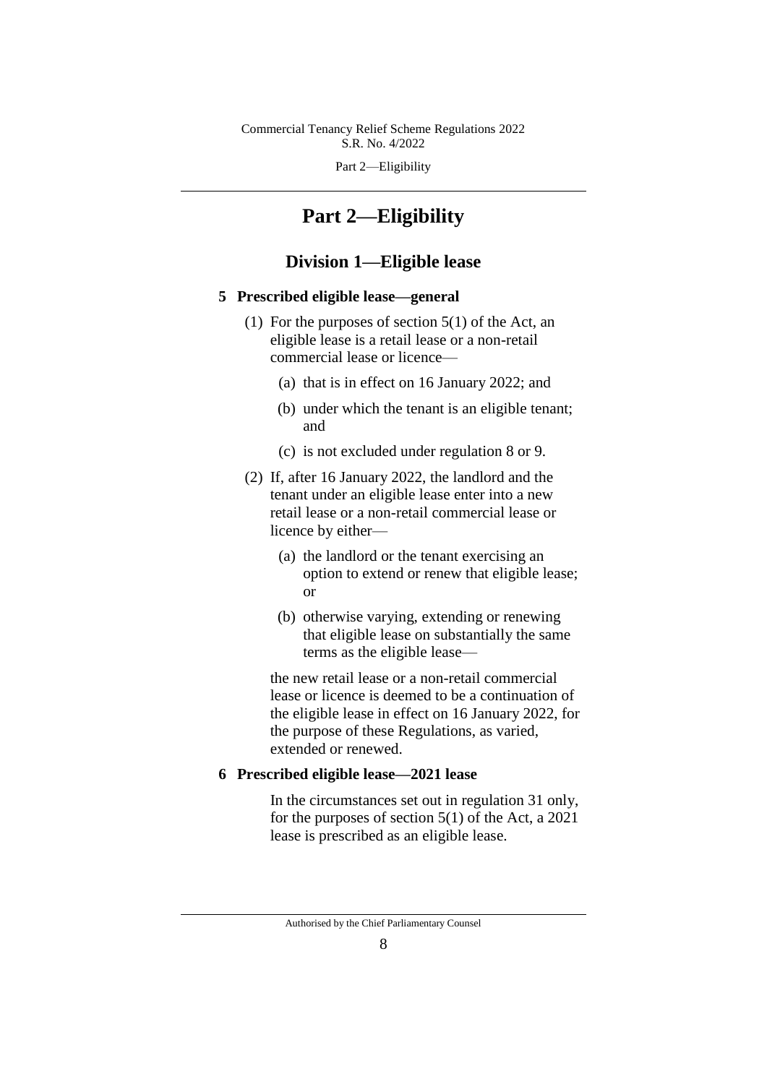Part 2—Eligibility

# **Part 2—Eligibility**

## **Division 1—Eligible lease**

#### **5 Prescribed eligible lease—general**

- (1) For the purposes of section 5(1) of the Act, an eligible lease is a retail lease or a non-retail commercial lease or licence—
	- (a) that is in effect on 16 January 2022; and
	- (b) under which the tenant is an eligible tenant; and
	- (c) is not excluded under regulation 8 or 9.
- (2) If, after 16 January 2022, the landlord and the tenant under an eligible lease enter into a new retail lease or a non-retail commercial lease or licence by either—
	- (a) the landlord or the tenant exercising an option to extend or renew that eligible lease; or
	- (b) otherwise varying, extending or renewing that eligible lease on substantially the same terms as the eligible lease—

the new retail lease or a non-retail commercial lease or licence is deemed to be a continuation of the eligible lease in effect on 16 January 2022, for the purpose of these Regulations, as varied, extended or renewed.

## **6 Prescribed eligible lease—2021 lease**

In the circumstances set out in regulation 31 only, for the purposes of section 5(1) of the Act, a 2021 lease is prescribed as an eligible lease.

Authorised by the Chief Parliamentary Counsel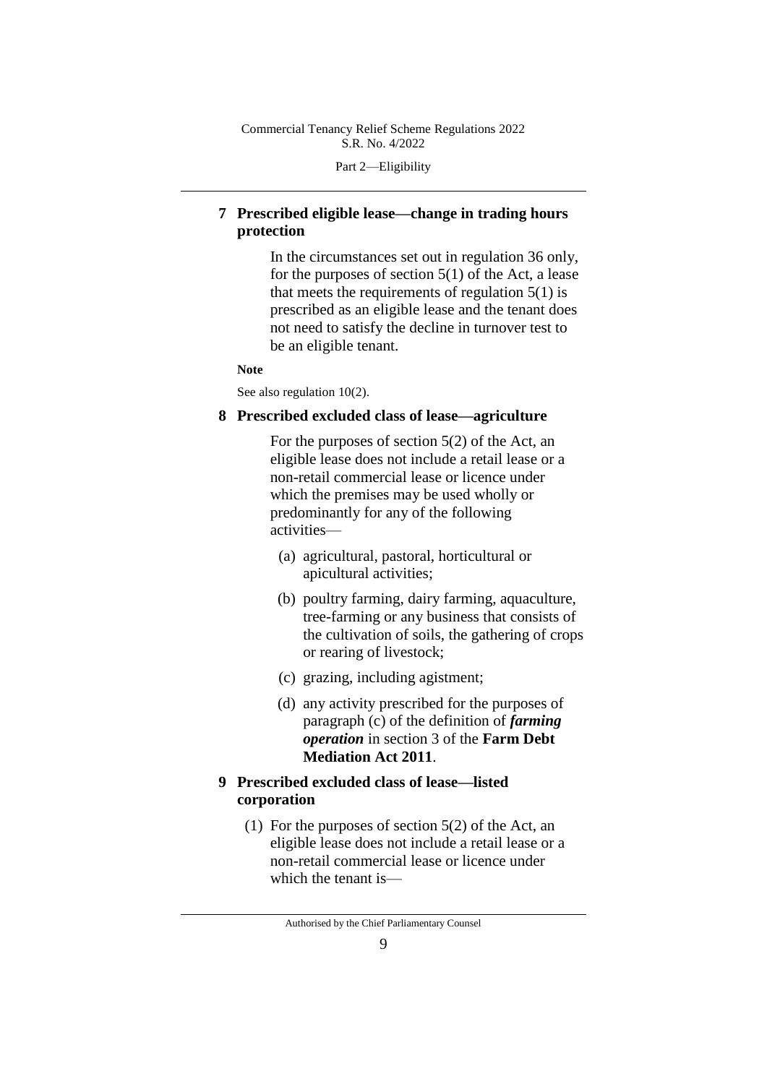Part 2—Eligibility

## **7 Prescribed eligible lease—change in trading hours protection**

In the circumstances set out in regulation 36 only, for the purposes of section  $5(1)$  of the Act, a lease that meets the requirements of regulation  $5(1)$  is prescribed as an eligible lease and the tenant does not need to satisfy the decline in turnover test to be an eligible tenant.

#### **Note**

See also regulation  $10(2)$ .

## **8 Prescribed excluded class of lease—agriculture**

For the purposes of section 5(2) of the Act, an eligible lease does not include a retail lease or a non-retail commercial lease or licence under which the premises may be used wholly or predominantly for any of the following activities—

- (a) agricultural, pastoral, horticultural or apicultural activities;
- (b) poultry farming, dairy farming, aquaculture, tree-farming or any business that consists of the cultivation of soils, the gathering of crops or rearing of livestock;
- (c) grazing, including agistment;
- (d) any activity prescribed for the purposes of paragraph (c) of the definition of *farming operation* in section 3 of the **Farm Debt Mediation Act 2011**.

## **9 Prescribed excluded class of lease—listed corporation**

(1) For the purposes of section 5(2) of the Act, an eligible lease does not include a retail lease or a non-retail commercial lease or licence under which the tenant is—

Authorised by the Chief Parliamentary Counsel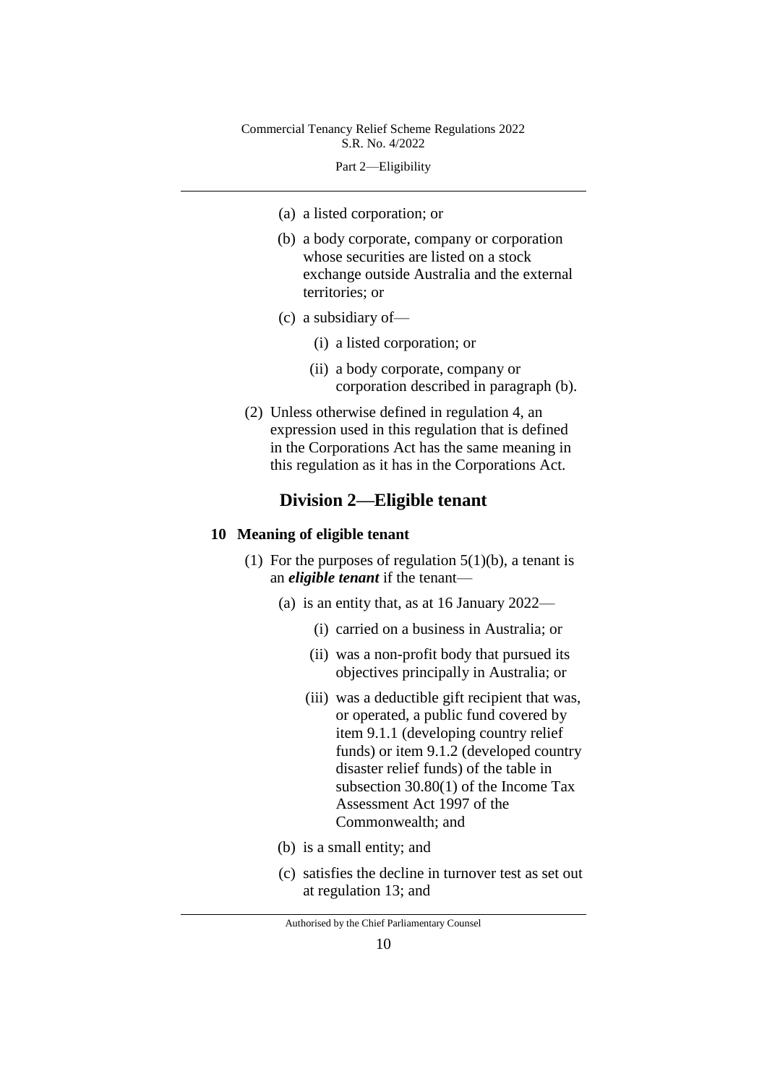Part 2—Eligibility

- (a) a listed corporation; or
- (b) a body corporate, company or corporation whose securities are listed on a stock exchange outside Australia and the external territories; or
- (c) a subsidiary of—
	- (i) a listed corporation; or
	- (ii) a body corporate, company or corporation described in paragraph (b).
- (2) Unless otherwise defined in regulation 4, an expression used in this regulation that is defined in the Corporations Act has the same meaning in this regulation as it has in the Corporations Act.

## **Division 2—Eligible tenant**

#### **10 Meaning of eligible tenant**

- (1) For the purposes of regulation  $5(1)(b)$ , a tenant is an *eligible tenant* if the tenant—
	- (a) is an entity that, as at 16 January 2022—
		- (i) carried on a business in Australia; or
		- (ii) was a non-profit body that pursued its objectives principally in Australia; or
		- (iii) was a deductible gift recipient that was, or operated, a public fund covered by item 9.1.1 (developing country relief funds) or item 9.1.2 (developed country disaster relief funds) of the table in subsection 30.80(1) of the Income Tax Assessment Act 1997 of the Commonwealth; and
	- (b) is a small entity; and
	- (c) satisfies the decline in turnover test as set out at regulation 13; and

Authorised by the Chief Parliamentary Counsel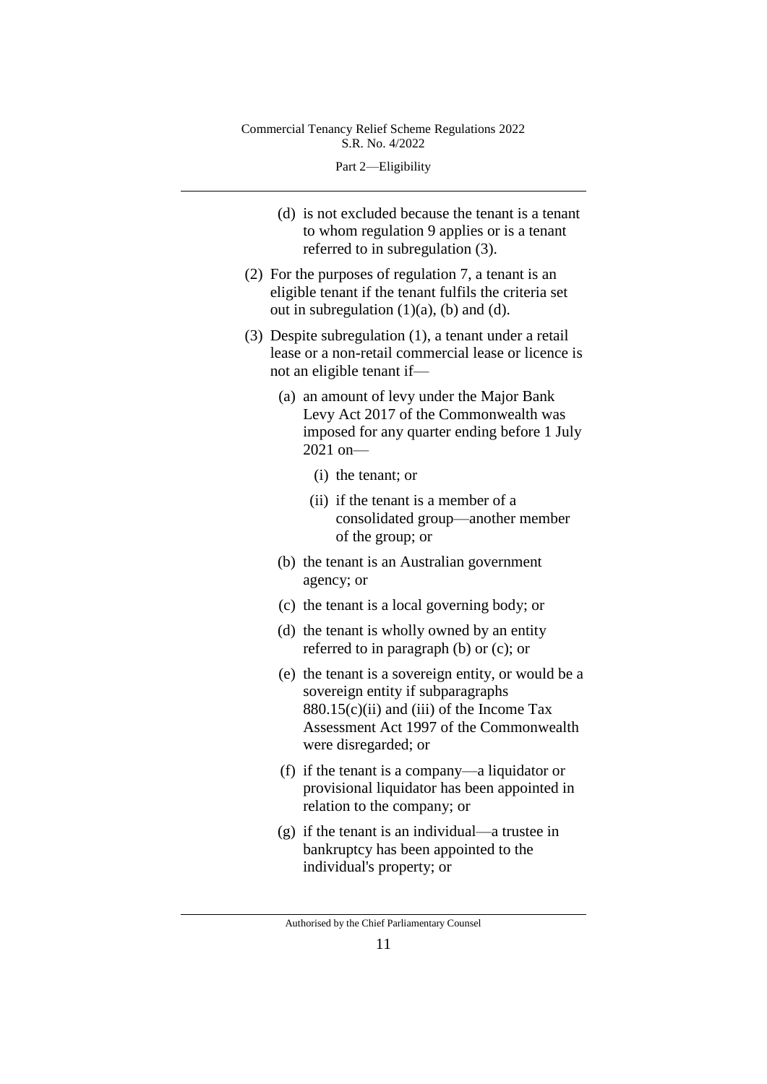Part 2—Eligibility

- (d) is not excluded because the tenant is a tenant to whom regulation 9 applies or is a tenant referred to in subregulation (3).
- (2) For the purposes of regulation 7, a tenant is an eligible tenant if the tenant fulfils the criteria set out in subregulation  $(1)(a)$ ,  $(b)$  and  $(d)$ .
- (3) Despite subregulation (1), a tenant under a retail lease or a non-retail commercial lease or licence is not an eligible tenant if—
	- (a) an amount of levy under the Major Bank Levy Act 2017 of the Commonwealth was imposed for any quarter ending before 1 July 2021 on—
		- (i) the tenant; or
		- (ii) if the tenant is a member of a consolidated group—another member of the group; or
	- (b) the tenant is an Australian government agency; or
	- (c) the tenant is a local governing body; or
	- (d) the tenant is wholly owned by an entity referred to in paragraph (b) or (c); or
	- (e) the tenant is a sovereign entity, or would be a sovereign entity if subparagraphs  $880.15(c)(ii)$  and (iii) of the Income Tax Assessment Act 1997 of the Commonwealth were disregarded; or
	- (f) if the tenant is a company—a liquidator or provisional liquidator has been appointed in relation to the company; or
	- (g) if the tenant is an individual—a trustee in bankruptcy has been appointed to the individual's property; or

Authorised by the Chief Parliamentary Counsel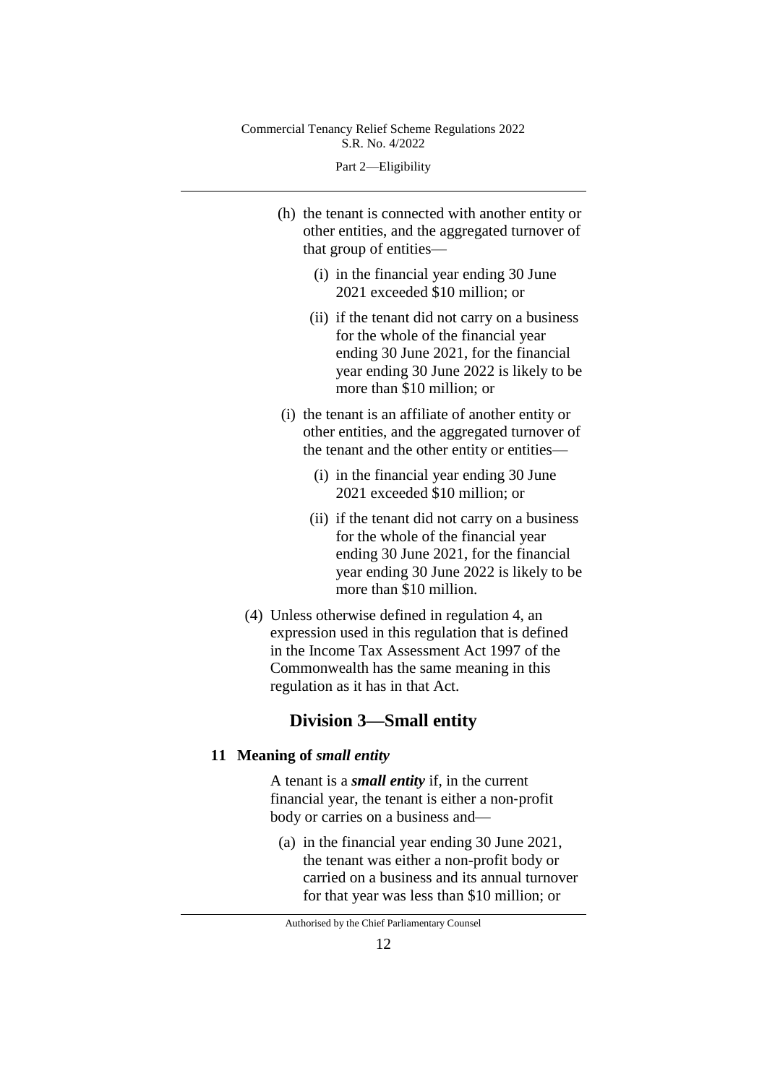Part 2—Eligibility

- (h) the tenant is connected with another entity or other entities, and the aggregated turnover of that group of entities—
	- (i) in the financial year ending 30 June 2021 exceeded \$10 million; or
	- (ii) if the tenant did not carry on a business for the whole of the financial year ending 30 June 2021, for the financial year ending 30 June 2022 is likely to be more than \$10 million; or
- (i) the tenant is an affiliate of another entity or other entities, and the aggregated turnover of the tenant and the other entity or entities—
	- (i) in the financial year ending 30 June 2021 exceeded \$10 million; or
	- (ii) if the tenant did not carry on a business for the whole of the financial year ending 30 June 2021, for the financial year ending 30 June 2022 is likely to be more than \$10 million.
- (4) Unless otherwise defined in regulation 4, an expression used in this regulation that is defined in the Income Tax Assessment Act 1997 of the Commonwealth has the same meaning in this regulation as it has in that Act.

## **Division 3—Small entity**

### **11 Meaning of** *small entity*

A tenant is a *small entity* if, in the current financial year, the tenant is either a non‑profit body or carries on a business and—

(a) in the financial year ending 30 June 2021, the tenant was either a non-profit body or carried on a business and its annual turnover for that year was less than \$10 million; or

Authorised by the Chief Parliamentary Counsel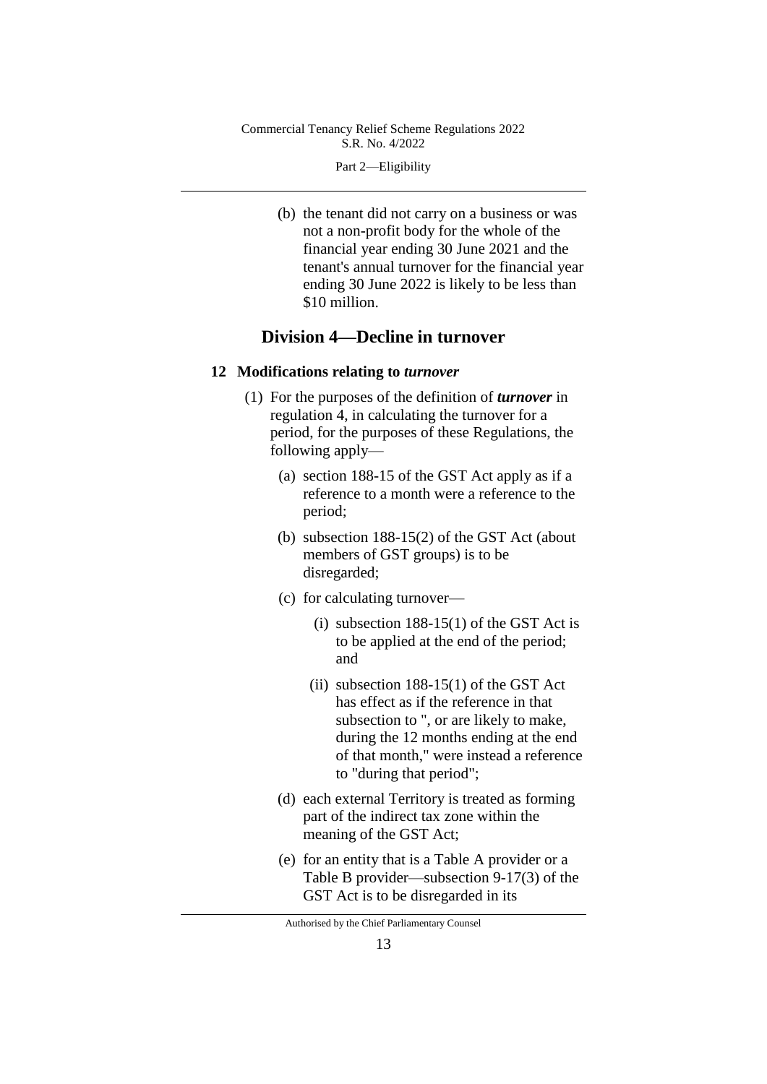Part 2—Eligibility

(b) the tenant did not carry on a business or was not a non-profit body for the whole of the financial year ending 30 June 2021 and the tenant's annual turnover for the financial year ending 30 June 2022 is likely to be less than \$10 million.

# **Division 4—Decline in turnover**

#### **12 Modifications relating to** *turnover*

- (1) For the purposes of the definition of *turnover* in regulation 4, in calculating the turnover for a period, for the purposes of these Regulations, the following apply—
	- (a) section 188-15 of the GST Act apply as if a reference to a month were a reference to the period;
	- (b) subsection 188-15(2) of the GST Act (about members of GST groups) is to be disregarded;
	- (c) for calculating turnover—
		- (i) subsection  $188-15(1)$  of the GST Act is to be applied at the end of the period; and
		- (ii) subsection  $188-15(1)$  of the GST Act has effect as if the reference in that subsection to ", or are likely to make, during the 12 months ending at the end of that month," were instead a reference to "during that period";
	- (d) each external Territory is treated as forming part of the indirect tax zone within the meaning of the GST Act;
	- (e) for an entity that is a Table A provider or a Table B provider—subsection 9-17(3) of the GST Act is to be disregarded in its

Authorised by the Chief Parliamentary Counsel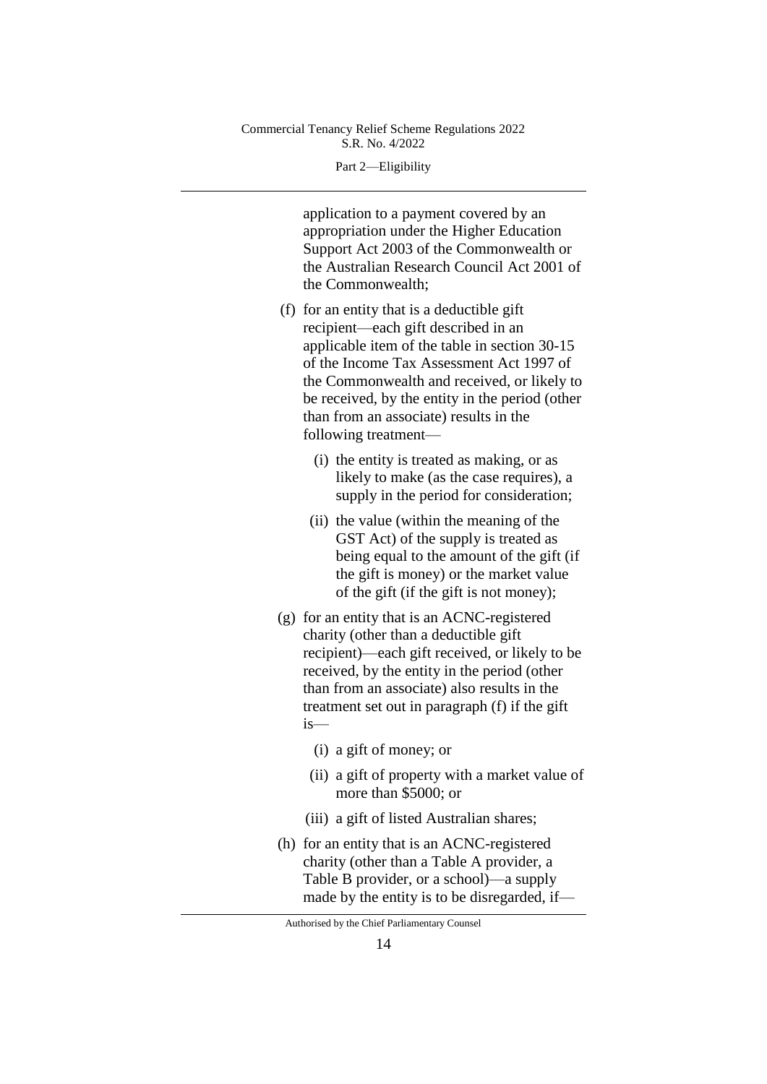Part 2—Eligibility

application to a payment covered by an appropriation under the Higher Education Support Act 2003 of the Commonwealth or the Australian Research Council Act 2001 of the Commonwealth;

- (f) for an entity that is a deductible gift recipient—each gift described in an applicable item of the table in section 30-15 of the Income Tax Assessment Act 1997 of the Commonwealth and received, or likely to be received, by the entity in the period (other than from an associate) results in the following treatment—
	- (i) the entity is treated as making, or as likely to make (as the case requires), a supply in the period for consideration;
	- (ii) the value (within the meaning of the GST Act) of the supply is treated as being equal to the amount of the gift (if the gift is money) or the market value of the gift (if the gift is not money);
- (g) for an entity that is an ACNC-registered charity (other than a deductible gift recipient)—each gift received, or likely to be received, by the entity in the period (other than from an associate) also results in the treatment set out in paragraph (f) if the gift is—
	- (i) a gift of money; or
	- (ii) a gift of property with a market value of more than \$5000; or
	- (iii) a gift of listed Australian shares;
- (h) for an entity that is an ACNC-registered charity (other than a Table A provider, a Table B provider, or a school)—a supply made by the entity is to be disregarded, if—

Authorised by the Chief Parliamentary Counsel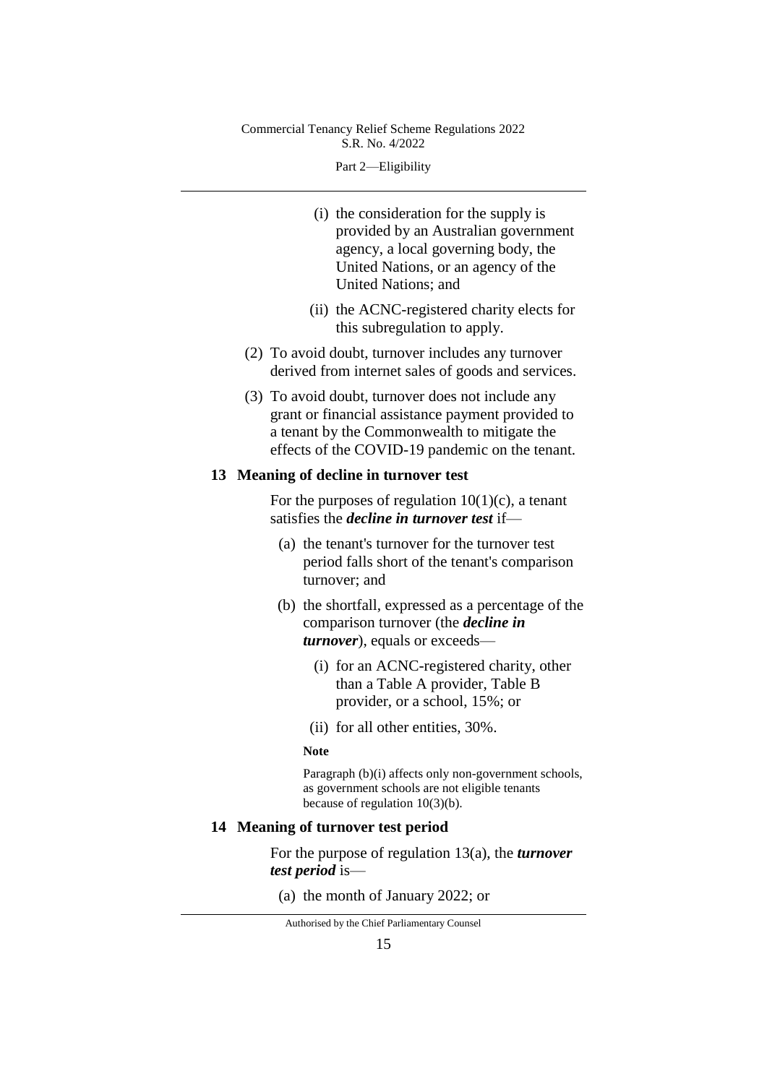Part 2—Eligibility

- (i) the consideration for the supply is provided by an Australian government agency, a local governing body, the United Nations, or an agency of the United Nations; and
- (ii) the ACNC-registered charity elects for this subregulation to apply.
- (2) To avoid doubt, turnover includes any turnover derived from internet sales of goods and services.
- (3) To avoid doubt, turnover does not include any grant or financial assistance payment provided to a tenant by the Commonwealth to mitigate the effects of the COVID-19 pandemic on the tenant.

#### **13 Meaning of decline in turnover test**

For the purposes of regulation  $10(1)(c)$ , a tenant satisfies the *decline in turnover test* if—

- (a) the tenant's turnover for the turnover test period falls short of the tenant's comparison turnover; and
- (b) the shortfall, expressed as a percentage of the comparison turnover (the *decline in turnover*), equals or exceeds—
	- (i) for an ACNC-registered charity, other than a Table A provider, Table B provider, or a school, 15%; or
	- (ii) for all other entities, 30%.

#### **Note**

Paragraph (b)(i) affects only non-government schools, as government schools are not eligible tenants because of regulation 10(3)(b).

### **14 Meaning of turnover test period**

For the purpose of regulation 13(a), the *turnover test period* is—

(a) the month of January 2022; or

Authorised by the Chief Parliamentary Counsel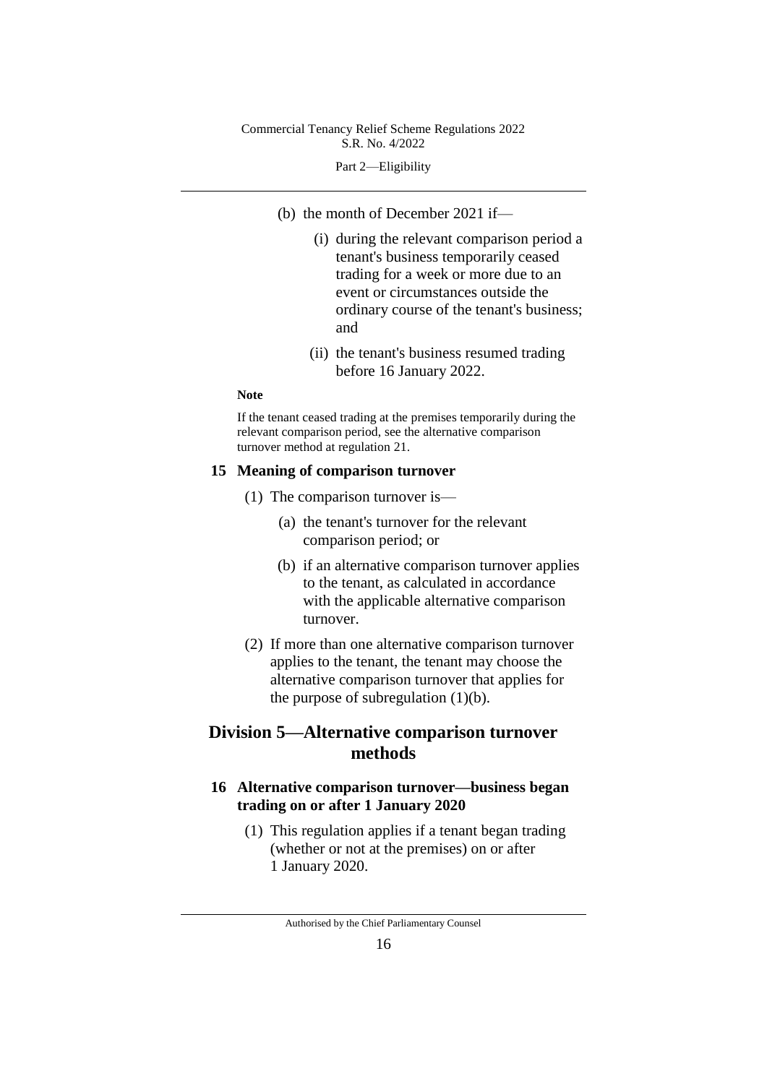#### Part 2—Eligibility

- (b) the month of December 2021 if—
	- (i) during the relevant comparison period a tenant's business temporarily ceased trading for a week or more due to an event or circumstances outside the ordinary course of the tenant's business; and
	- (ii) the tenant's business resumed trading before 16 January 2022.

#### **Note**

If the tenant ceased trading at the premises temporarily during the relevant comparison period, see the alternative comparison turnover method at regulation 21.

#### **15 Meaning of comparison turnover**

- (1) The comparison turnover is—
	- (a) the tenant's turnover for the relevant comparison period; or
	- (b) if an alternative comparison turnover applies to the tenant, as calculated in accordance with the applicable alternative comparison turnover.
- (2) If more than one alternative comparison turnover applies to the tenant, the tenant may choose the alternative comparison turnover that applies for the purpose of subregulation  $(1)(b)$ .

# **Division 5—Alternative comparison turnover methods**

## **16 Alternative comparison turnover—business began trading on or after 1 January 2020**

(1) This regulation applies if a tenant began trading (whether or not at the premises) on or after 1 January 2020.

Authorised by the Chief Parliamentary Counsel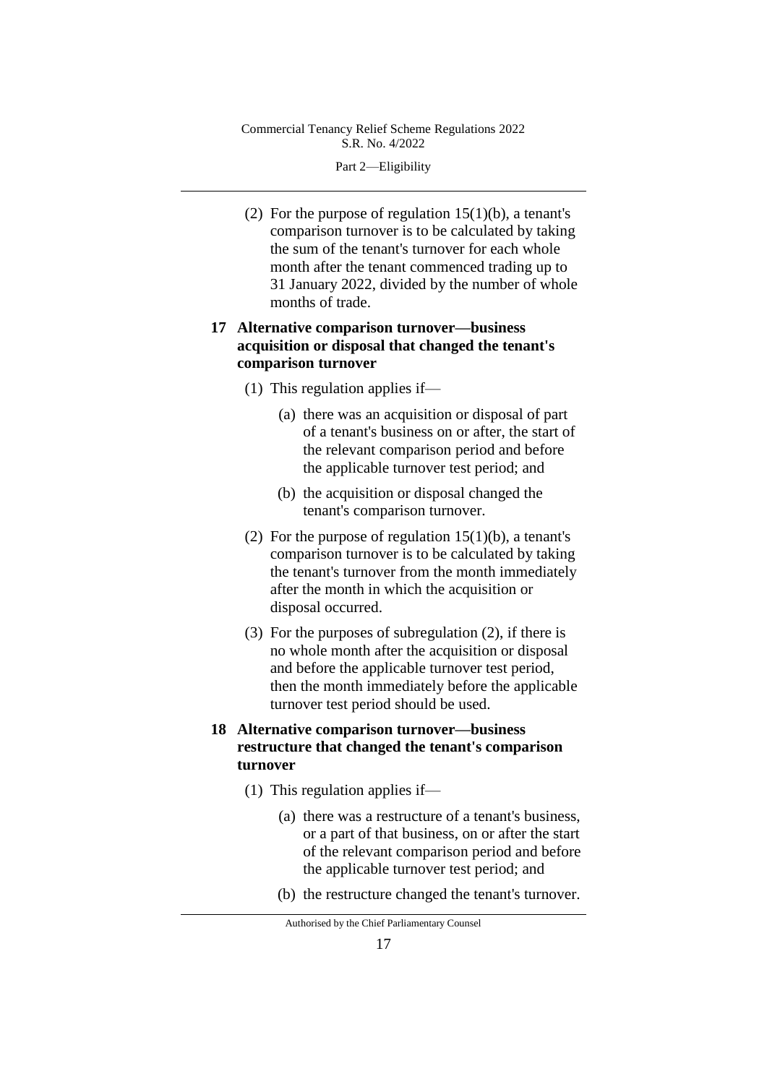Part 2—Eligibility

(2) For the purpose of regulation  $15(1)(b)$ , a tenant's comparison turnover is to be calculated by taking the sum of the tenant's turnover for each whole month after the tenant commenced trading up to 31 January 2022, divided by the number of whole months of trade.

## **17 Alternative comparison turnover—business acquisition or disposal that changed the tenant's comparison turnover**

- (1) This regulation applies if—
	- (a) there was an acquisition or disposal of part of a tenant's business on or after, the start of the relevant comparison period and before the applicable turnover test period; and
	- (b) the acquisition or disposal changed the tenant's comparison turnover.
- (2) For the purpose of regulation  $15(1)(b)$ , a tenant's comparison turnover is to be calculated by taking the tenant's turnover from the month immediately after the month in which the acquisition or disposal occurred.
- (3) For the purposes of subregulation (2), if there is no whole month after the acquisition or disposal and before the applicable turnover test period, then the month immediately before the applicable turnover test period should be used.
- **18 Alternative comparison turnover—business restructure that changed the tenant's comparison turnover**
	- (1) This regulation applies if—
		- (a) there was a restructure of a tenant's business, or a part of that business, on or after the start of the relevant comparison period and before the applicable turnover test period; and
		- (b) the restructure changed the tenant's turnover.

Authorised by the Chief Parliamentary Counsel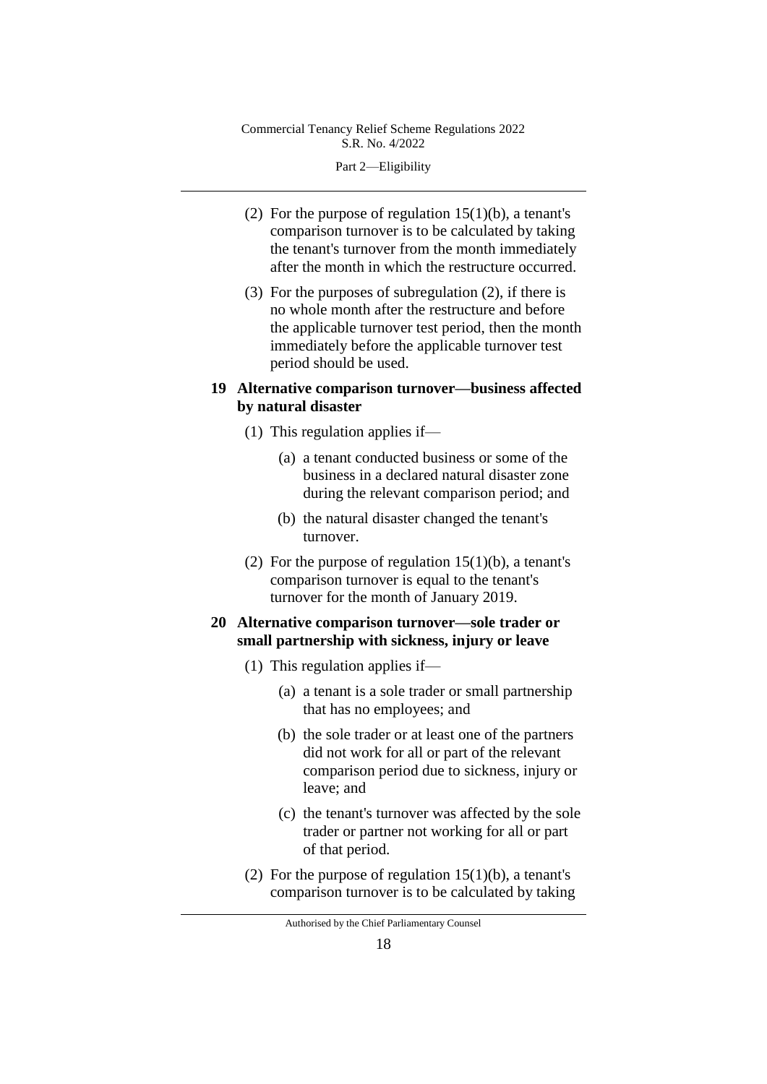Part 2—Eligibility

- (2) For the purpose of regulation  $15(1)(b)$ , a tenant's comparison turnover is to be calculated by taking the tenant's turnover from the month immediately after the month in which the restructure occurred.
- (3) For the purposes of subregulation (2), if there is no whole month after the restructure and before the applicable turnover test period, then the month immediately before the applicable turnover test period should be used.
- **19 Alternative comparison turnover—business affected by natural disaster**
	- (1) This regulation applies if—
		- (a) a tenant conducted business or some of the business in a declared natural disaster zone during the relevant comparison period; and
		- (b) the natural disaster changed the tenant's turnover.
	- (2) For the purpose of regulation  $15(1)(b)$ , a tenant's comparison turnover is equal to the tenant's turnover for the month of January 2019.

## **20 Alternative comparison turnover—sole trader or small partnership with sickness, injury or leave**

- (1) This regulation applies if—
	- (a) a tenant is a sole trader or small partnership that has no employees; and
	- (b) the sole trader or at least one of the partners did not work for all or part of the relevant comparison period due to sickness, injury or leave; and
	- (c) the tenant's turnover was affected by the sole trader or partner not working for all or part of that period.
- (2) For the purpose of regulation  $15(1)(b)$ , a tenant's comparison turnover is to be calculated by taking

Authorised by the Chief Parliamentary Counsel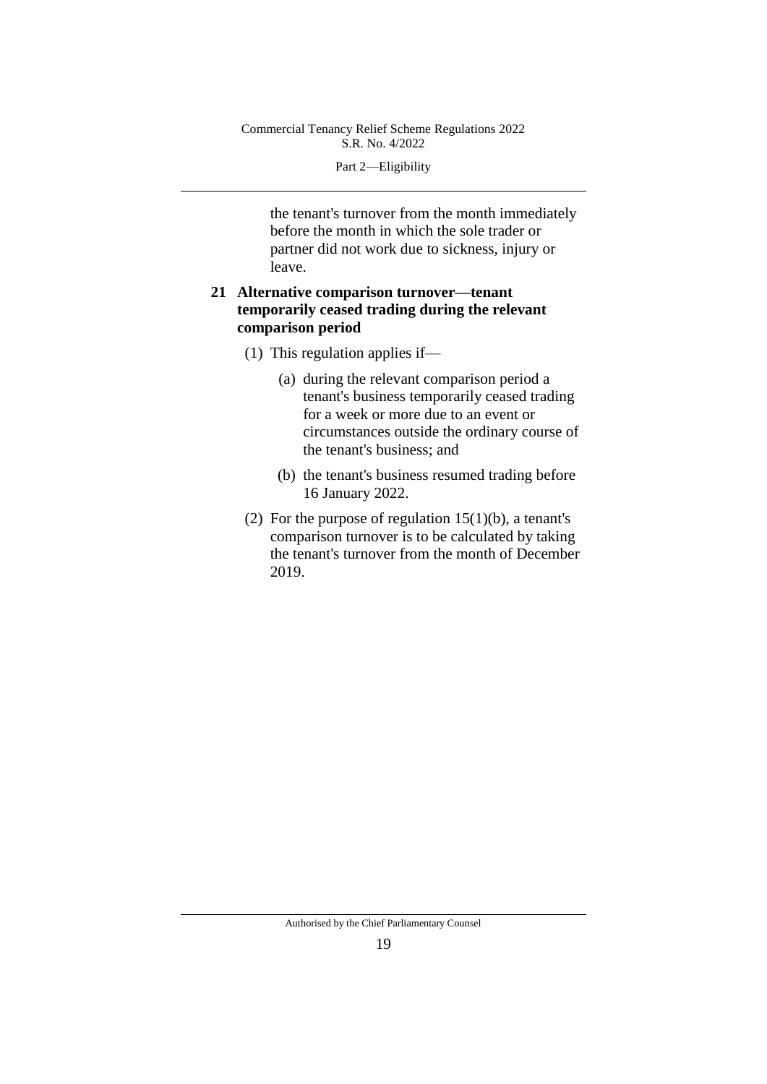Part 2—Eligibility

the tenant's turnover from the month immediately before the month in which the sole trader or partner did not work due to sickness, injury or leave.

## **21 Alternative comparison turnover—tenant temporarily ceased trading during the relevant comparison period**

- (1) This regulation applies if—
	- (a) during the relevant comparison period a tenant's business temporarily ceased trading for a week or more due to an event or circumstances outside the ordinary course of the tenant's business; and
	- (b) the tenant's business resumed trading before 16 January 2022.
- (2) For the purpose of regulation  $15(1)(b)$ , a tenant's comparison turnover is to be calculated by taking the tenant's turnover from the month of December 2019.

Authorised by the Chief Parliamentary Counsel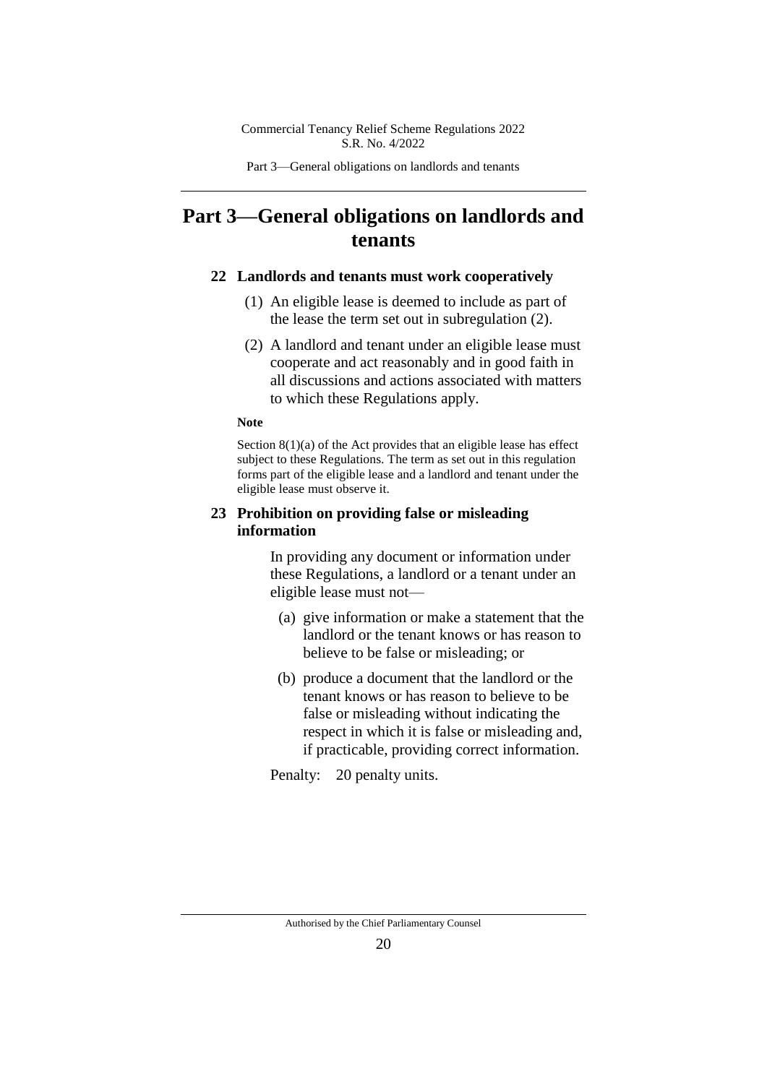Part 3—General obligations on landlords and tenants

# **Part 3—General obligations on landlords and tenants**

## **22 Landlords and tenants must work cooperatively**

- (1) An eligible lease is deemed to include as part of the lease the term set out in subregulation (2).
- (2) A landlord and tenant under an eligible lease must cooperate and act reasonably and in good faith in all discussions and actions associated with matters to which these Regulations apply.

#### **Note**

Section  $8(1)(a)$  of the Act provides that an eligible lease has effect subject to these Regulations. The term as set out in this regulation forms part of the eligible lease and a landlord and tenant under the eligible lease must observe it.

## **23 Prohibition on providing false or misleading information**

In providing any document or information under these Regulations, a landlord or a tenant under an eligible lease must not—

- (a) give information or make a statement that the landlord or the tenant knows or has reason to believe to be false or misleading; or
- (b) produce a document that the landlord or the tenant knows or has reason to believe to be false or misleading without indicating the respect in which it is false or misleading and, if practicable, providing correct information.

Penalty: 20 penalty units.

Authorised by the Chief Parliamentary Counsel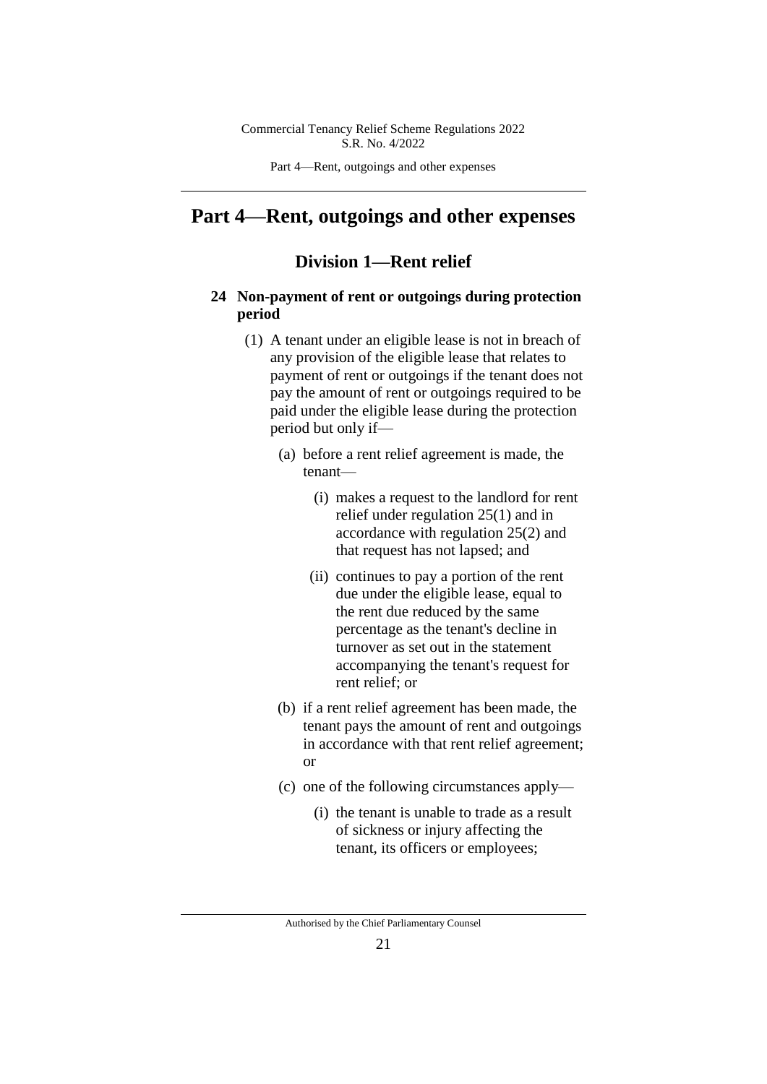Part 4—Rent, outgoings and other expenses

# **Part 4—Rent, outgoings and other expenses**

## **Division 1—Rent relief**

## **24 Non-payment of rent or outgoings during protection period**

- (1) A tenant under an eligible lease is not in breach of any provision of the eligible lease that relates to payment of rent or outgoings if the tenant does not pay the amount of rent or outgoings required to be paid under the eligible lease during the protection period but only if—
	- (a) before a rent relief agreement is made, the tenant—
		- (i) makes a request to the landlord for rent relief under regulation 25(1) and in accordance with regulation 25(2) and that request has not lapsed; and
		- (ii) continues to pay a portion of the rent due under the eligible lease, equal to the rent due reduced by the same percentage as the tenant's decline in turnover as set out in the statement accompanying the tenant's request for rent relief; or
	- (b) if a rent relief agreement has been made, the tenant pays the amount of rent and outgoings in accordance with that rent relief agreement; or
	- (c) one of the following circumstances apply—
		- (i) the tenant is unable to trade as a result of sickness or injury affecting the tenant, its officers or employees;

Authorised by the Chief Parliamentary Counsel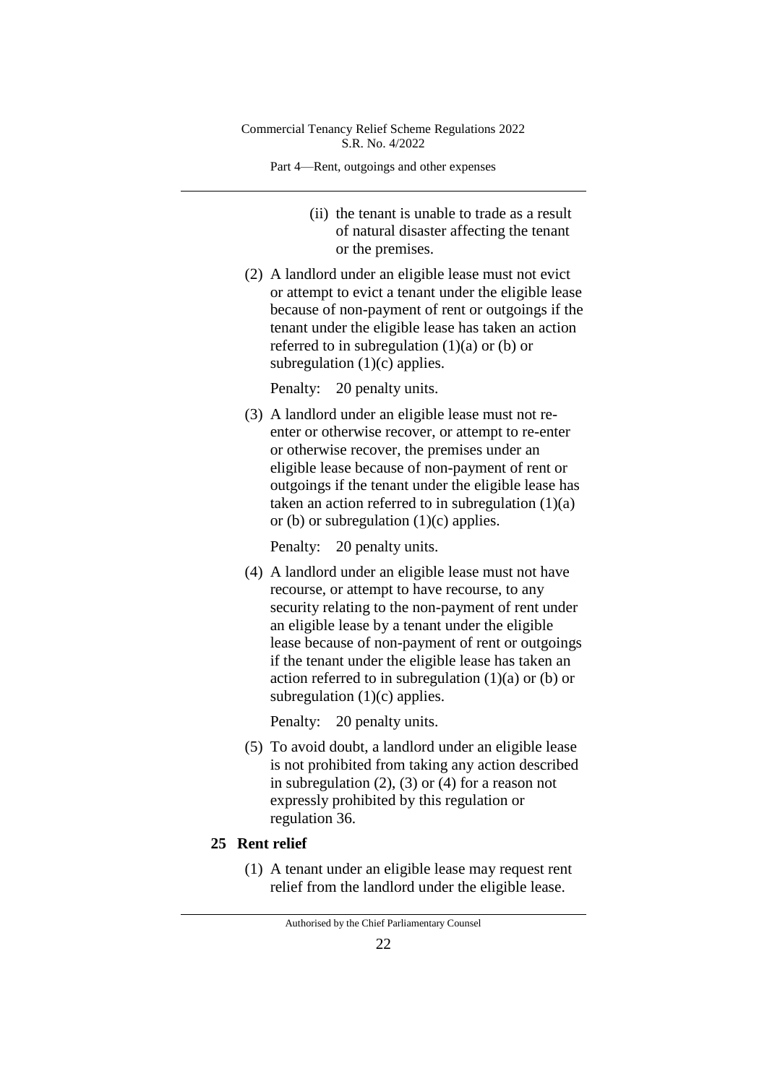Part 4—Rent, outgoings and other expenses

- (ii) the tenant is unable to trade as a result of natural disaster affecting the tenant or the premises.
- (2) A landlord under an eligible lease must not evict or attempt to evict a tenant under the eligible lease because of non-payment of rent or outgoings if the tenant under the eligible lease has taken an action referred to in subregulation  $(1)(a)$  or  $(b)$  or subregulation  $(1)(c)$  applies.

Penalty: 20 penalty units.

(3) A landlord under an eligible lease must not reenter or otherwise recover, or attempt to re-enter or otherwise recover, the premises under an eligible lease because of non-payment of rent or outgoings if the tenant under the eligible lease has taken an action referred to in subregulation  $(1)(a)$ or (b) or subregulation  $(1)(c)$  applies.

Penalty: 20 penalty units.

(4) A landlord under an eligible lease must not have recourse, or attempt to have recourse, to any security relating to the non-payment of rent under an eligible lease by a tenant under the eligible lease because of non-payment of rent or outgoings if the tenant under the eligible lease has taken an action referred to in subregulation  $(1)(a)$  or  $(b)$  or subregulation (1)(c) applies.

Penalty: 20 penalty units.

(5) To avoid doubt, a landlord under an eligible lease is not prohibited from taking any action described in subregulation  $(2)$ ,  $(3)$  or  $(4)$  for a reason not expressly prohibited by this regulation or regulation 36.

## **25 Rent relief**

(1) A tenant under an eligible lease may request rent relief from the landlord under the eligible lease.

Authorised by the Chief Parliamentary Counsel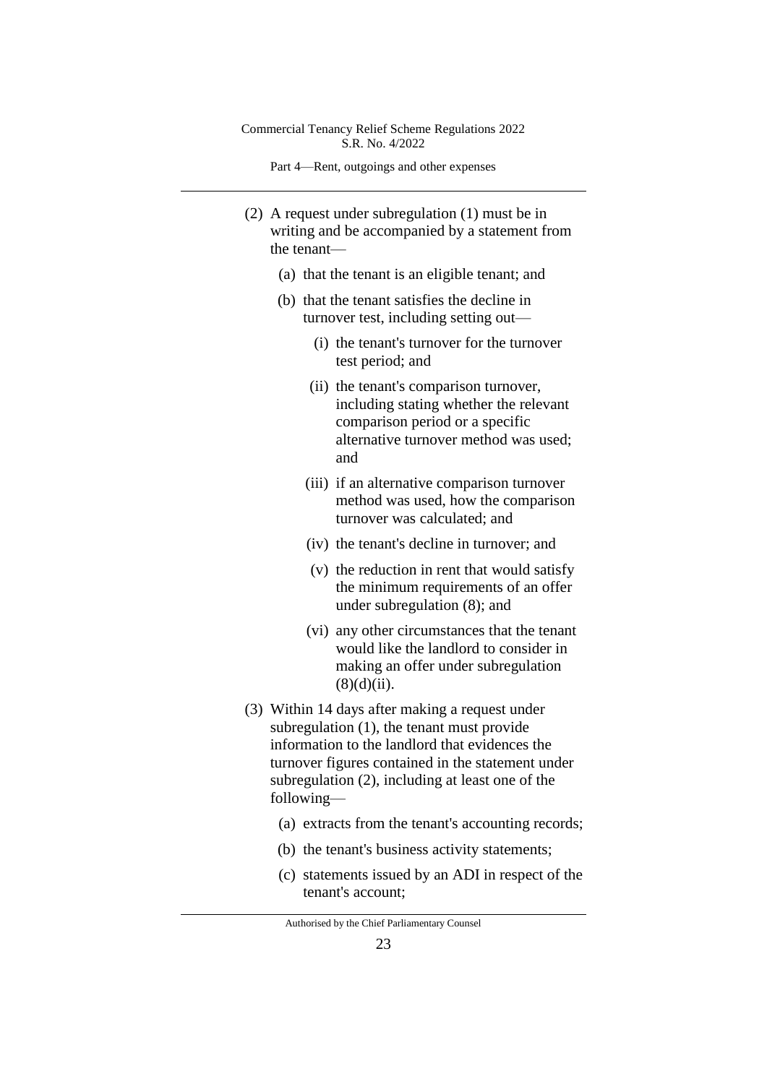Part 4—Rent, outgoings and other expenses

- (2) A request under subregulation (1) must be in writing and be accompanied by a statement from the tenant—
	- (a) that the tenant is an eligible tenant; and
	- (b) that the tenant satisfies the decline in turnover test, including setting out—
		- (i) the tenant's turnover for the turnover test period; and
		- (ii) the tenant's comparison turnover, including stating whether the relevant comparison period or a specific alternative turnover method was used; and
		- (iii) if an alternative comparison turnover method was used, how the comparison turnover was calculated; and
		- (iv) the tenant's decline in turnover; and
		- (v) the reduction in rent that would satisfy the minimum requirements of an offer under subregulation (8); and
		- (vi) any other circumstances that the tenant would like the landlord to consider in making an offer under subregulation  $(8)(d)(ii)$ .
- (3) Within 14 days after making a request under subregulation (1), the tenant must provide information to the landlord that evidences the turnover figures contained in the statement under subregulation (2), including at least one of the following—
	- (a) extracts from the tenant's accounting records;
	- (b) the tenant's business activity statements;
	- (c) statements issued by an ADI in respect of the tenant's account;

Authorised by the Chief Parliamentary Counsel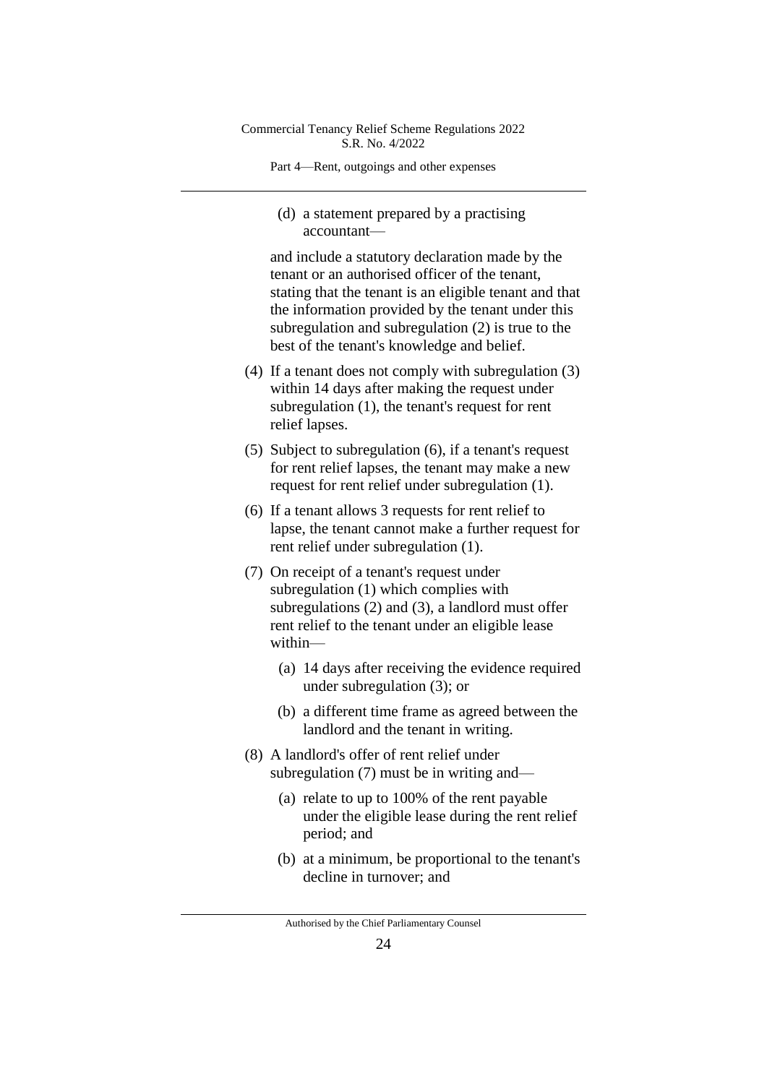Part 4—Rent, outgoings and other expenses

(d) a statement prepared by a practising accountant—

and include a statutory declaration made by the tenant or an authorised officer of the tenant, stating that the tenant is an eligible tenant and that the information provided by the tenant under this subregulation and subregulation (2) is true to the best of the tenant's knowledge and belief.

- (4) If a tenant does not comply with subregulation (3) within 14 days after making the request under subregulation (1), the tenant's request for rent relief lapses.
- (5) Subject to subregulation (6), if a tenant's request for rent relief lapses, the tenant may make a new request for rent relief under subregulation (1).
- (6) If a tenant allows 3 requests for rent relief to lapse, the tenant cannot make a further request for rent relief under subregulation (1).
- (7) On receipt of a tenant's request under subregulation (1) which complies with subregulations (2) and (3), a landlord must offer rent relief to the tenant under an eligible lease within—
	- (a) 14 days after receiving the evidence required under subregulation (3); or
	- (b) a different time frame as agreed between the landlord and the tenant in writing.
- (8) A landlord's offer of rent relief under subregulation (7) must be in writing and—
	- (a) relate to up to 100% of the rent payable under the eligible lease during the rent relief period; and
	- (b) at a minimum, be proportional to the tenant's decline in turnover; and

Authorised by the Chief Parliamentary Counsel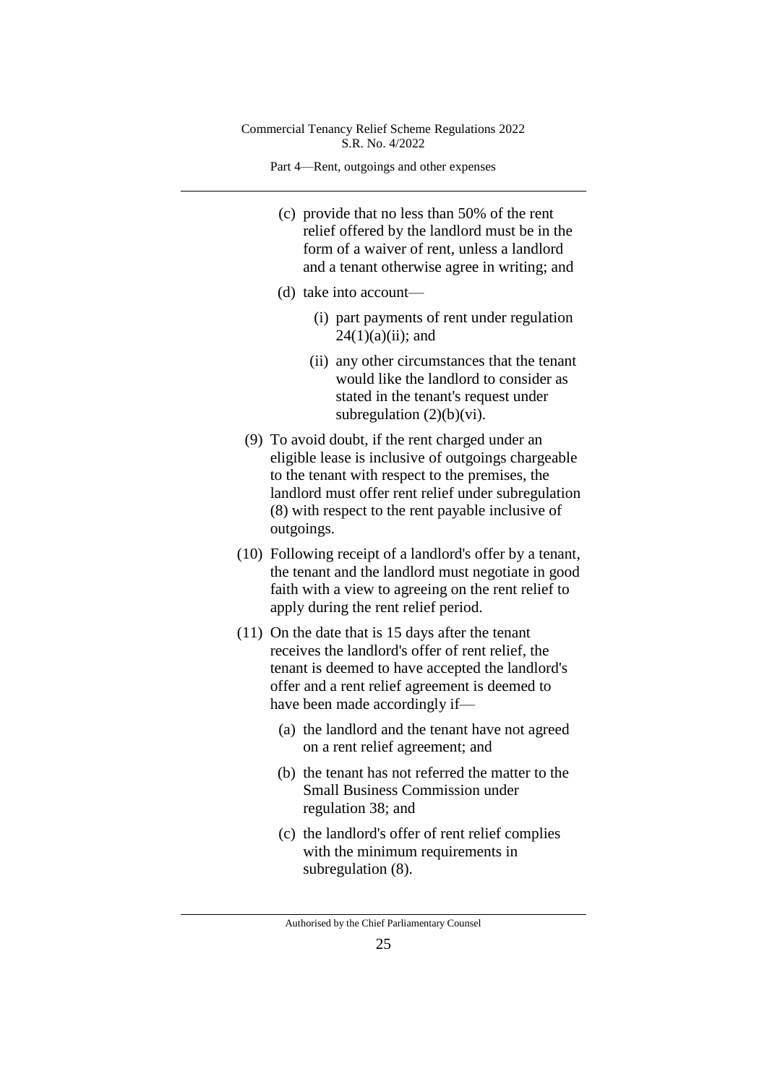Part 4—Rent, outgoings and other expenses

- (c) provide that no less than 50% of the rent relief offered by the landlord must be in the form of a waiver of rent, unless a landlord and a tenant otherwise agree in writing; and
- (d) take into account—
	- (i) part payments of rent under regulation  $24(1)(a)(ii)$ ; and
	- (ii) any other circumstances that the tenant would like the landlord to consider as stated in the tenant's request under subregulation  $(2)(b)(vi)$ .
- (9) To avoid doubt, if the rent charged under an eligible lease is inclusive of outgoings chargeable to the tenant with respect to the premises, the landlord must offer rent relief under subregulation (8) with respect to the rent payable inclusive of outgoings.
- (10) Following receipt of a landlord's offer by a tenant, the tenant and the landlord must negotiate in good faith with a view to agreeing on the rent relief to apply during the rent relief period.
- (11) On the date that is 15 days after the tenant receives the landlord's offer of rent relief, the tenant is deemed to have accepted the landlord's offer and a rent relief agreement is deemed to have been made accordingly if—
	- (a) the landlord and the tenant have not agreed on a rent relief agreement; and
	- (b) the tenant has not referred the matter to the Small Business Commission under regulation 38; and
	- (c) the landlord's offer of rent relief complies with the minimum requirements in subregulation (8).

Authorised by the Chief Parliamentary Counsel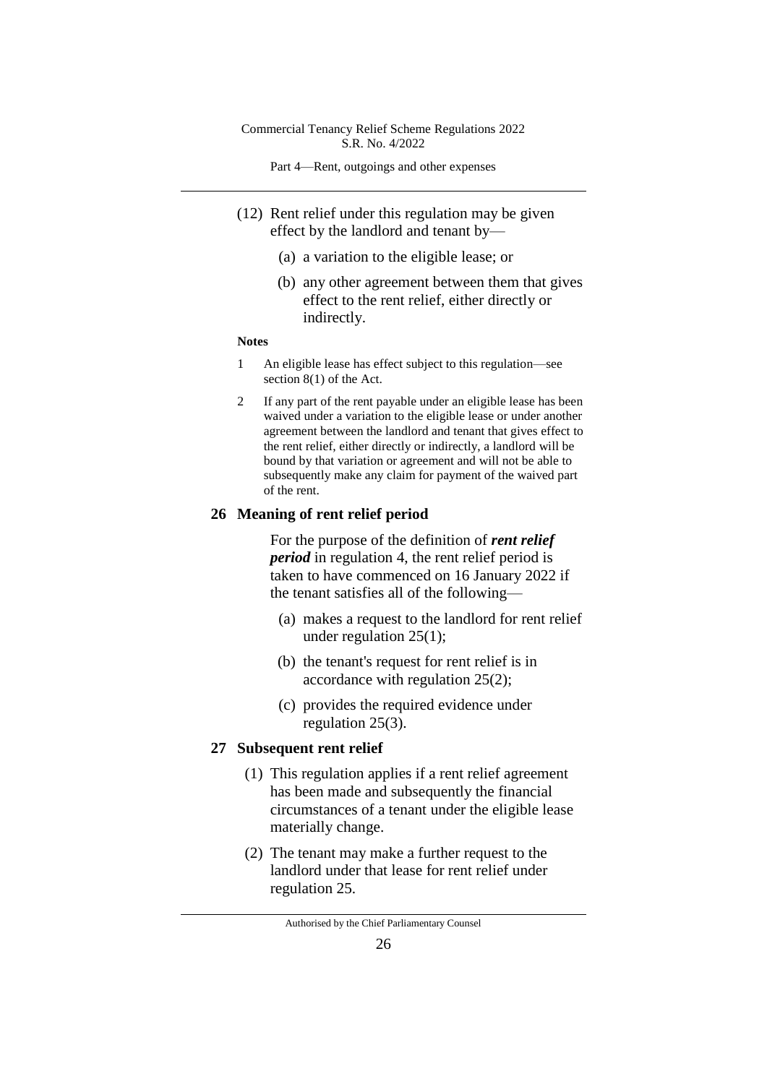Part 4—Rent, outgoings and other expenses

- (12) Rent relief under this regulation may be given effect by the landlord and tenant by—
	- (a) a variation to the eligible lease; or
	- (b) any other agreement between them that gives effect to the rent relief, either directly or indirectly.

#### **Notes**

- 1 An eligible lease has effect subject to this regulation—see section 8(1) of the Act.
- 2 If any part of the rent payable under an eligible lease has been waived under a variation to the eligible lease or under another agreement between the landlord and tenant that gives effect to the rent relief, either directly or indirectly, a landlord will be bound by that variation or agreement and will not be able to subsequently make any claim for payment of the waived part of the rent.

#### **26 Meaning of rent relief period**

For the purpose of the definition of *rent relief period* in regulation 4, the rent relief period is taken to have commenced on 16 January 2022 if the tenant satisfies all of the following—

- (a) makes a request to the landlord for rent relief under regulation 25(1);
- (b) the tenant's request for rent relief is in accordance with regulation 25(2);
- (c) provides the required evidence under regulation 25(3).

### **27 Subsequent rent relief**

- (1) This regulation applies if a rent relief agreement has been made and subsequently the financial circumstances of a tenant under the eligible lease materially change.
- (2) The tenant may make a further request to the landlord under that lease for rent relief under regulation 25.

Authorised by the Chief Parliamentary Counsel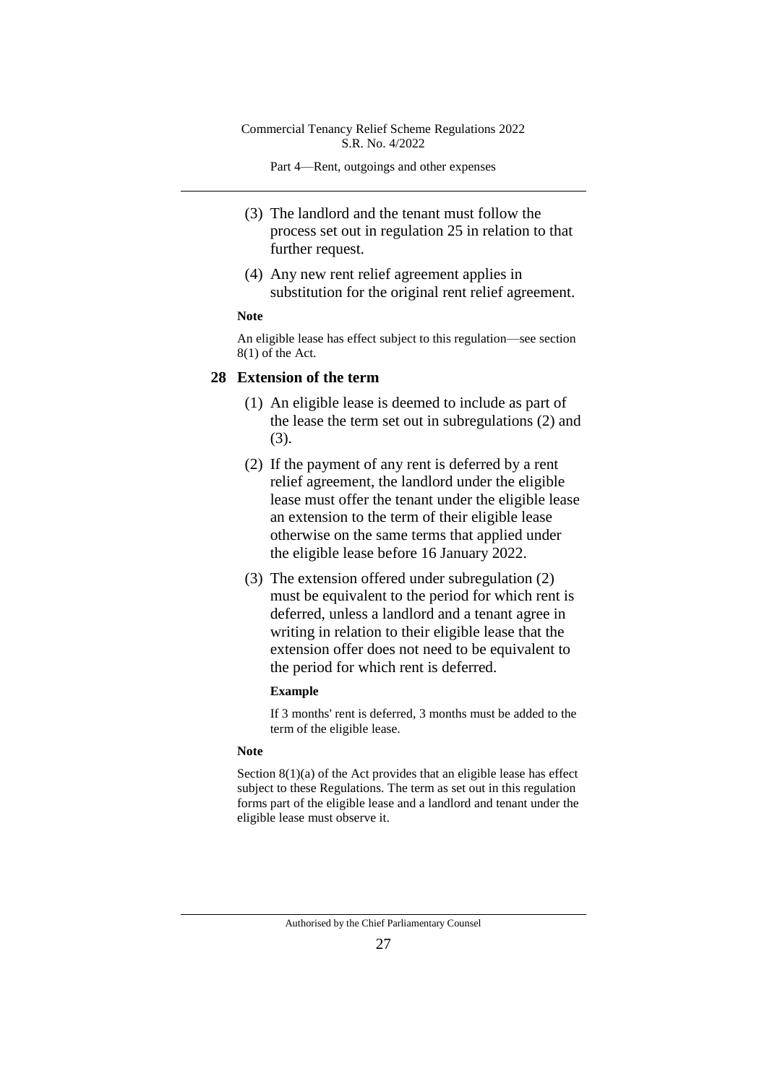Part 4—Rent, outgoings and other expenses

- (3) The landlord and the tenant must follow the process set out in regulation 25 in relation to that further request.
- (4) Any new rent relief agreement applies in substitution for the original rent relief agreement.

## **Note**

An eligible lease has effect subject to this regulation—see section 8(1) of the Act.

#### **28 Extension of the term**

- (1) An eligible lease is deemed to include as part of the lease the term set out in subregulations (2) and (3).
- (2) If the payment of any rent is deferred by a rent relief agreement, the landlord under the eligible lease must offer the tenant under the eligible lease an extension to the term of their eligible lease otherwise on the same terms that applied under the eligible lease before 16 January 2022.
- (3) The extension offered under subregulation (2) must be equivalent to the period for which rent is deferred, unless a landlord and a tenant agree in writing in relation to their eligible lease that the extension offer does not need to be equivalent to the period for which rent is deferred.

#### **Example**

If 3 months' rent is deferred, 3 months must be added to the term of the eligible lease.

#### **Note**

Section 8(1)(a) of the Act provides that an eligible lease has effect subject to these Regulations. The term as set out in this regulation forms part of the eligible lease and a landlord and tenant under the eligible lease must observe it.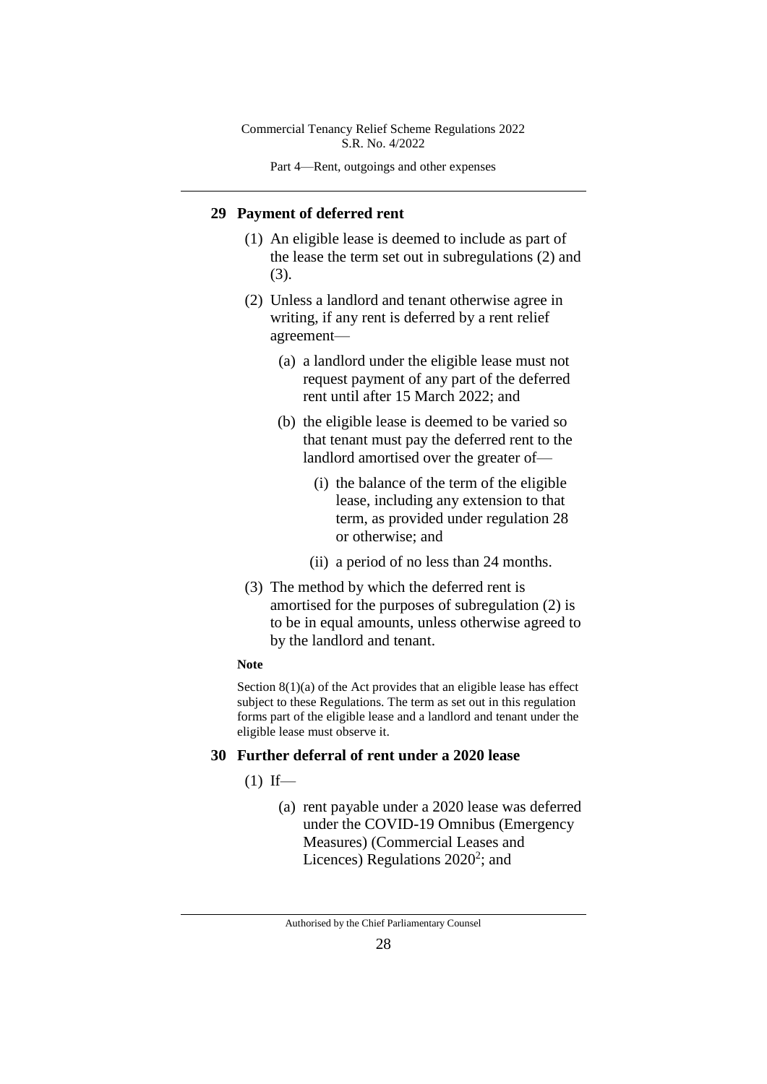Part 4—Rent, outgoings and other expenses

#### **29 Payment of deferred rent**

- (1) An eligible lease is deemed to include as part of the lease the term set out in subregulations (2) and (3).
- (2) Unless a landlord and tenant otherwise agree in writing, if any rent is deferred by a rent relief agreement—
	- (a) a landlord under the eligible lease must not request payment of any part of the deferred rent until after 15 March 2022; and
	- (b) the eligible lease is deemed to be varied so that tenant must pay the deferred rent to the landlord amortised over the greater of—
		- (i) the balance of the term of the eligible lease, including any extension to that term, as provided under regulation 28 or otherwise; and
		- (ii) a period of no less than 24 months.
- (3) The method by which the deferred rent is amortised for the purposes of subregulation (2) is to be in equal amounts, unless otherwise agreed to by the landlord and tenant.

#### **Note**

Section  $8(1)(a)$  of the Act provides that an eligible lease has effect subject to these Regulations. The term as set out in this regulation forms part of the eligible lease and a landlord and tenant under the eligible lease must observe it.

#### **30 Further deferral of rent under a 2020 lease**

- $(1)$  If—
	- (a) rent payable under a 2020 lease was deferred under the COVID-19 Omnibus (Emergency Measures) (Commercial Leases and Licences) Regulations  $2020^2$ ; and

Authorised by the Chief Parliamentary Counsel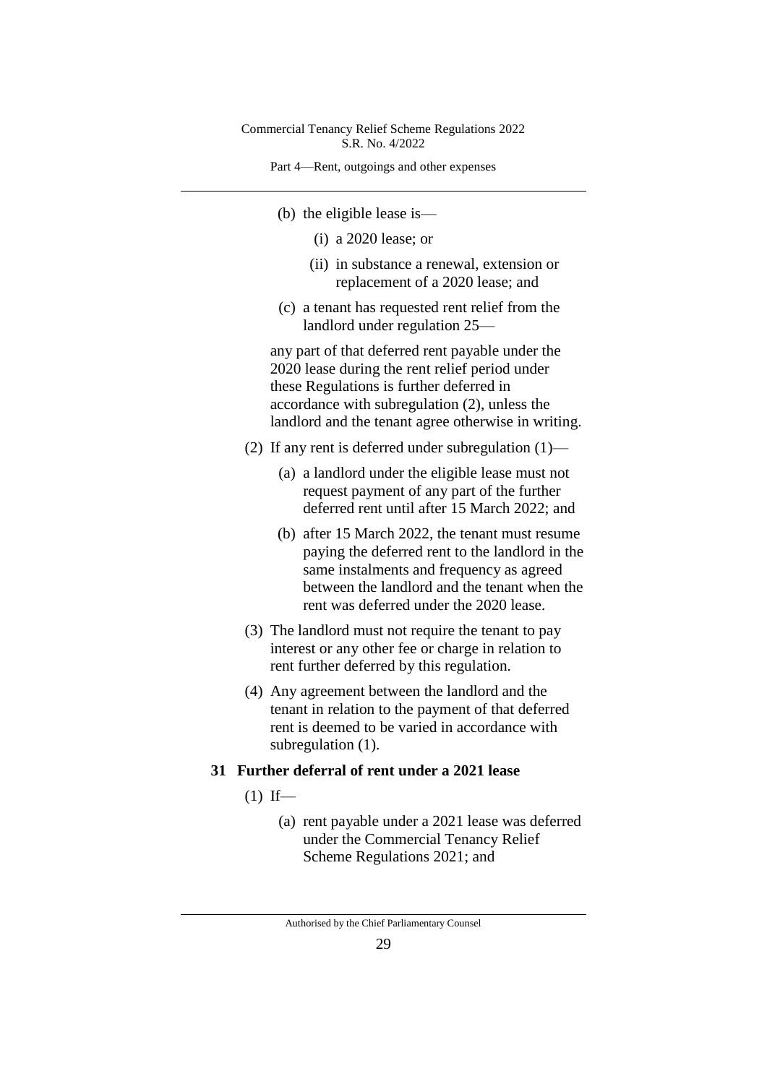Part 4—Rent, outgoings and other expenses

- (b) the eligible lease is—
	- (i) a 2020 lease; or
	- (ii) in substance a renewal, extension or replacement of a 2020 lease; and
- (c) a tenant has requested rent relief from the landlord under regulation 25—

any part of that deferred rent payable under the 2020 lease during the rent relief period under these Regulations is further deferred in accordance with subregulation (2), unless the landlord and the tenant agree otherwise in writing.

- (2) If any rent is deferred under subregulation (1)—
	- (a) a landlord under the eligible lease must not request payment of any part of the further deferred rent until after 15 March 2022; and
	- (b) after 15 March 2022, the tenant must resume paying the deferred rent to the landlord in the same instalments and frequency as agreed between the landlord and the tenant when the rent was deferred under the 2020 lease.
- (3) The landlord must not require the tenant to pay interest or any other fee or charge in relation to rent further deferred by this regulation.
- (4) Any agreement between the landlord and the tenant in relation to the payment of that deferred rent is deemed to be varied in accordance with subregulation  $(1)$ .
- **31 Further deferral of rent under a 2021 lease**
	- $(1)$  If—
		- (a) rent payable under a 2021 lease was deferred under the Commercial Tenancy Relief Scheme Regulations 2021; and

Authorised by the Chief Parliamentary Counsel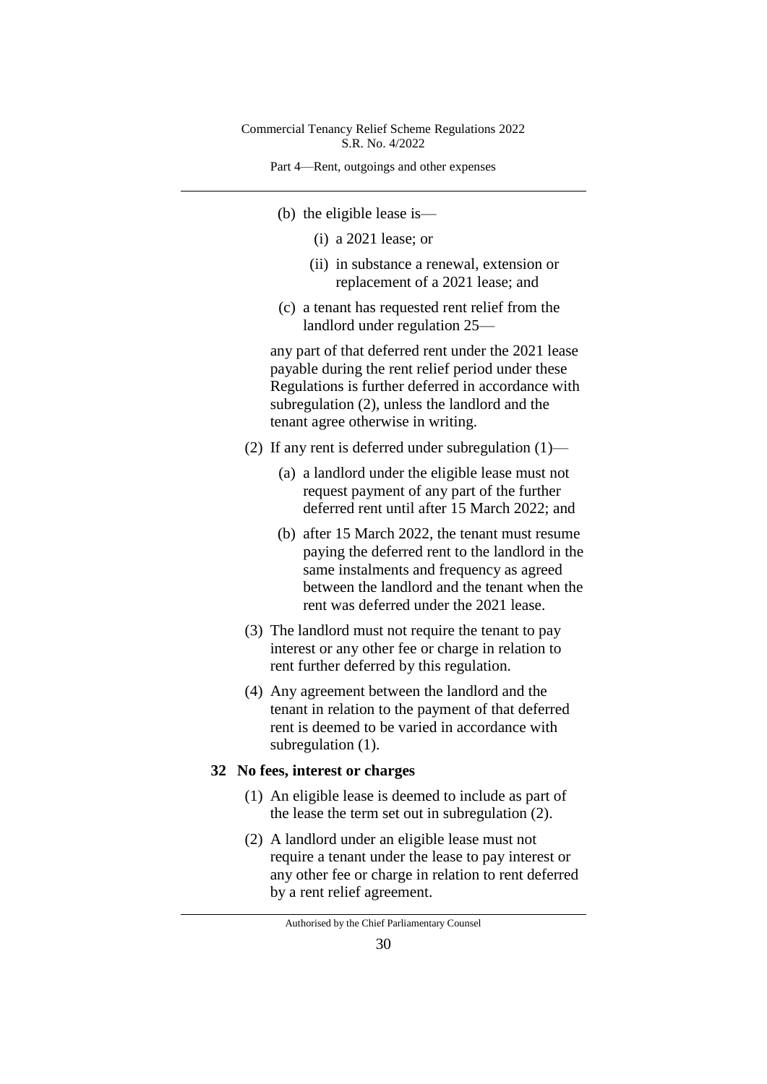Part 4—Rent, outgoings and other expenses

- (b) the eligible lease is—
	- (i) a 2021 lease; or
	- (ii) in substance a renewal, extension or replacement of a 2021 lease; and
- (c) a tenant has requested rent relief from the landlord under regulation 25—

any part of that deferred rent under the 2021 lease payable during the rent relief period under these Regulations is further deferred in accordance with subregulation (2), unless the landlord and the tenant agree otherwise in writing.

- (2) If any rent is deferred under subregulation (1)—
	- (a) a landlord under the eligible lease must not request payment of any part of the further deferred rent until after 15 March 2022; and
	- (b) after 15 March 2022, the tenant must resume paying the deferred rent to the landlord in the same instalments and frequency as agreed between the landlord and the tenant when the rent was deferred under the 2021 lease.
- (3) The landlord must not require the tenant to pay interest or any other fee or charge in relation to rent further deferred by this regulation.
- (4) Any agreement between the landlord and the tenant in relation to the payment of that deferred rent is deemed to be varied in accordance with subregulation  $(1)$ .

#### **32 No fees, interest or charges**

- (1) An eligible lease is deemed to include as part of the lease the term set out in subregulation (2).
- (2) A landlord under an eligible lease must not require a tenant under the lease to pay interest or any other fee or charge in relation to rent deferred by a rent relief agreement.

Authorised by the Chief Parliamentary Counsel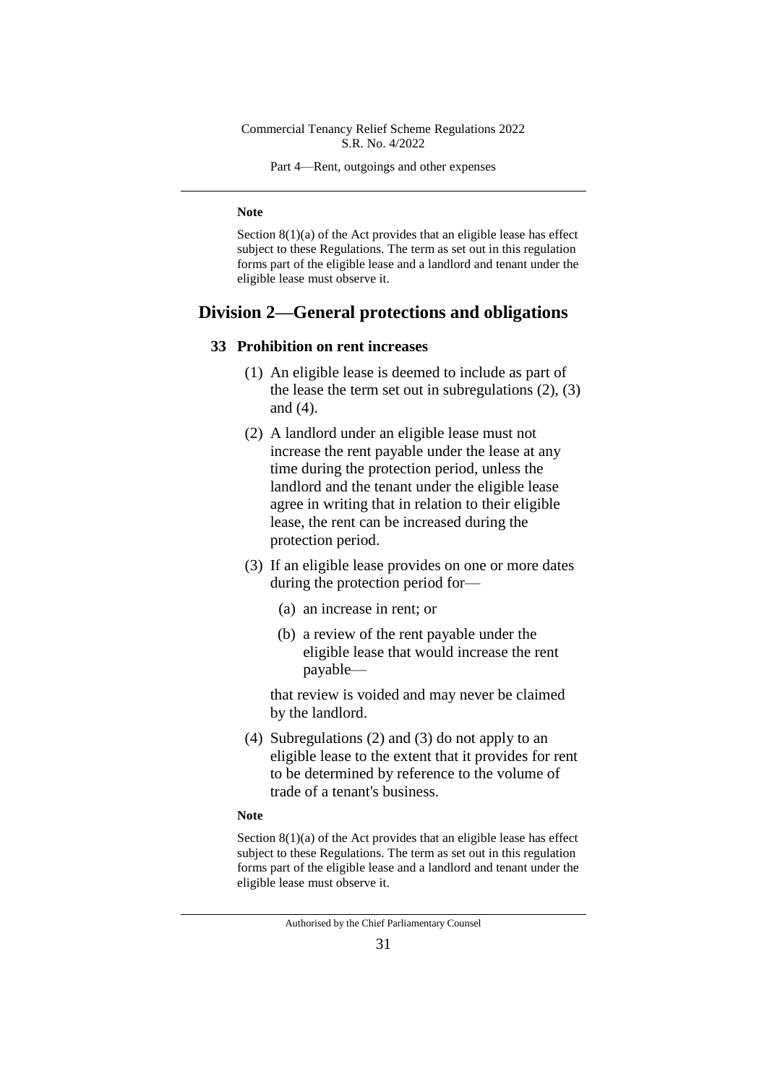Part 4—Rent, outgoings and other expenses

#### **Note**

Section  $8(1)(a)$  of the Act provides that an eligible lease has effect subject to these Regulations. The term as set out in this regulation forms part of the eligible lease and a landlord and tenant under the eligible lease must observe it.

# **Division 2—General protections and obligations**

#### **33 Prohibition on rent increases**

- (1) An eligible lease is deemed to include as part of the lease the term set out in subregulations (2), (3) and (4).
- (2) A landlord under an eligible lease must not increase the rent payable under the lease at any time during the protection period, unless the landlord and the tenant under the eligible lease agree in writing that in relation to their eligible lease, the rent can be increased during the protection period.
- (3) If an eligible lease provides on one or more dates during the protection period for—
	- (a) an increase in rent; or
	- (b) a review of the rent payable under the eligible lease that would increase the rent payable—

that review is voided and may never be claimed by the landlord.

(4) Subregulations (2) and (3) do not apply to an eligible lease to the extent that it provides for rent to be determined by reference to the volume of trade of a tenant's business.

#### **Note**

Section 8(1)(a) of the Act provides that an eligible lease has effect subject to these Regulations. The term as set out in this regulation forms part of the eligible lease and a landlord and tenant under the eligible lease must observe it.

Authorised by the Chief Parliamentary Counsel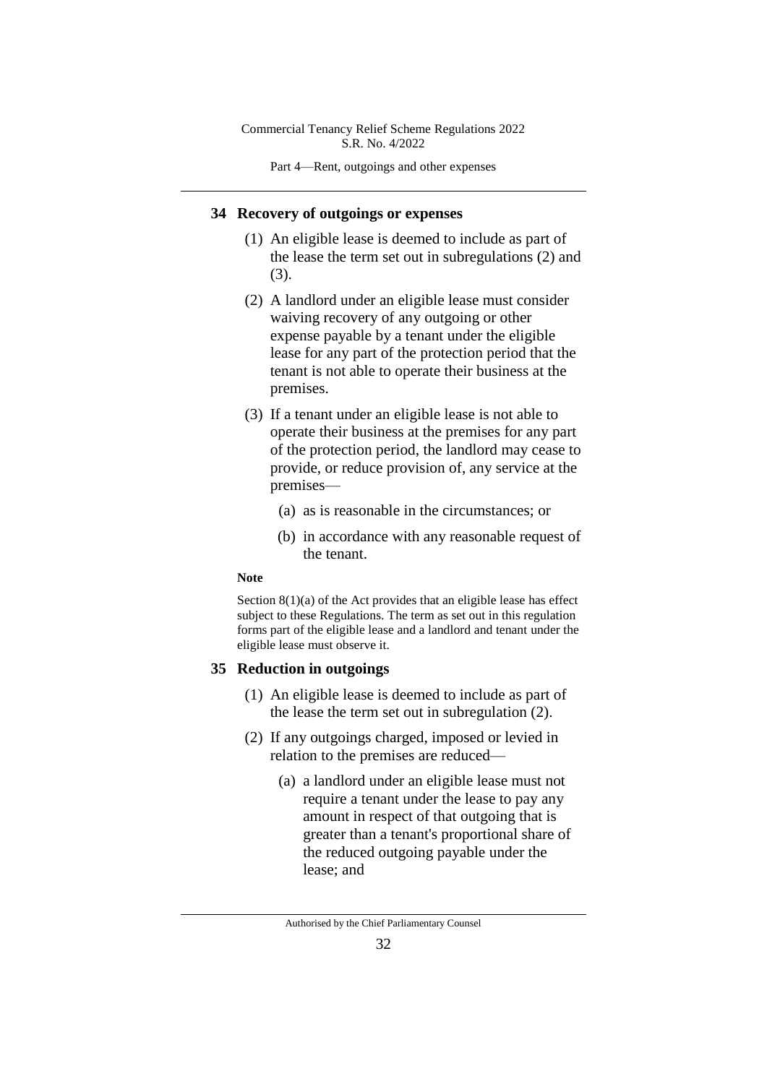Part 4—Rent, outgoings and other expenses

#### **34 Recovery of outgoings or expenses**

- (1) An eligible lease is deemed to include as part of the lease the term set out in subregulations (2) and (3).
- (2) A landlord under an eligible lease must consider waiving recovery of any outgoing or other expense payable by a tenant under the eligible lease for any part of the protection period that the tenant is not able to operate their business at the premises.
- (3) If a tenant under an eligible lease is not able to operate their business at the premises for any part of the protection period, the landlord may cease to provide, or reduce provision of, any service at the premises—
	- (a) as is reasonable in the circumstances; or
	- (b) in accordance with any reasonable request of the tenant.

#### **Note**

Section  $8(1)(a)$  of the Act provides that an eligible lease has effect subject to these Regulations. The term as set out in this regulation forms part of the eligible lease and a landlord and tenant under the eligible lease must observe it.

## **35 Reduction in outgoings**

- (1) An eligible lease is deemed to include as part of the lease the term set out in subregulation (2).
- (2) If any outgoings charged, imposed or levied in relation to the premises are reduced—
	- (a) a landlord under an eligible lease must not require a tenant under the lease to pay any amount in respect of that outgoing that is greater than a tenant's proportional share of the reduced outgoing payable under the lease; and

Authorised by the Chief Parliamentary Counsel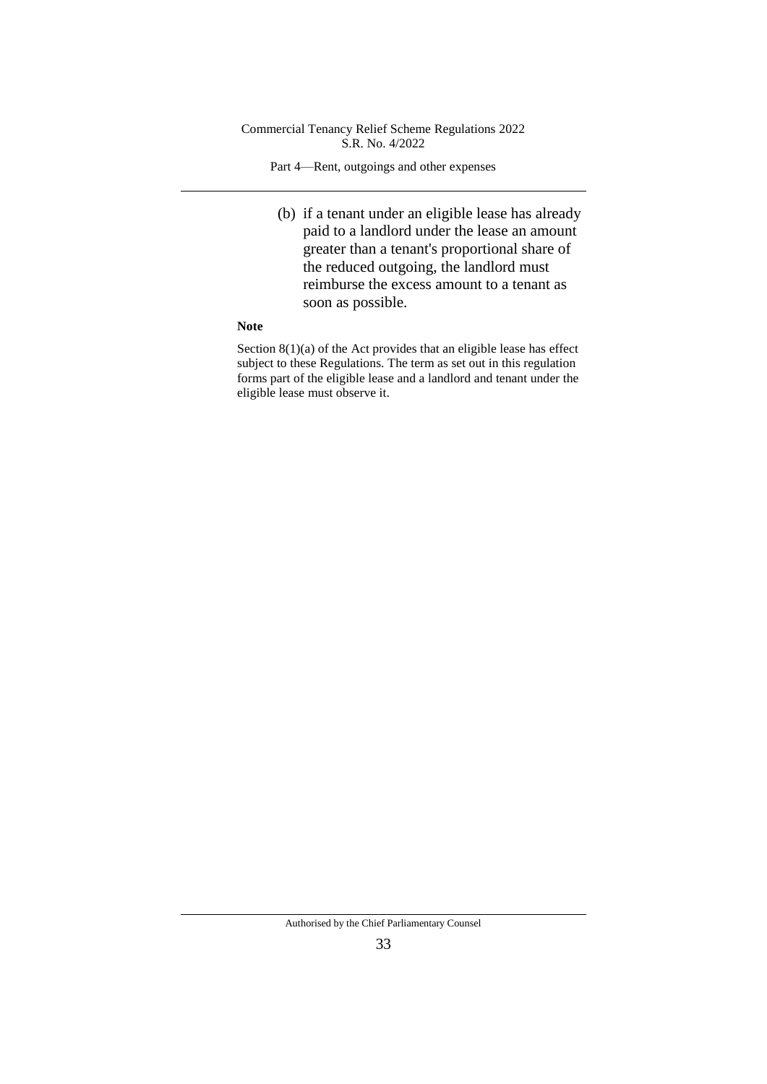Part 4—Rent, outgoings and other expenses

(b) if a tenant under an eligible lease has already paid to a landlord under the lease an amount greater than a tenant's proportional share of the reduced outgoing, the landlord must reimburse the excess amount to a tenant as soon as possible.

#### **Note**

Section 8(1)(a) of the Act provides that an eligible lease has effect subject to these Regulations. The term as set out in this regulation forms part of the eligible lease and a landlord and tenant under the eligible lease must observe it.

Authorised by the Chief Parliamentary Counsel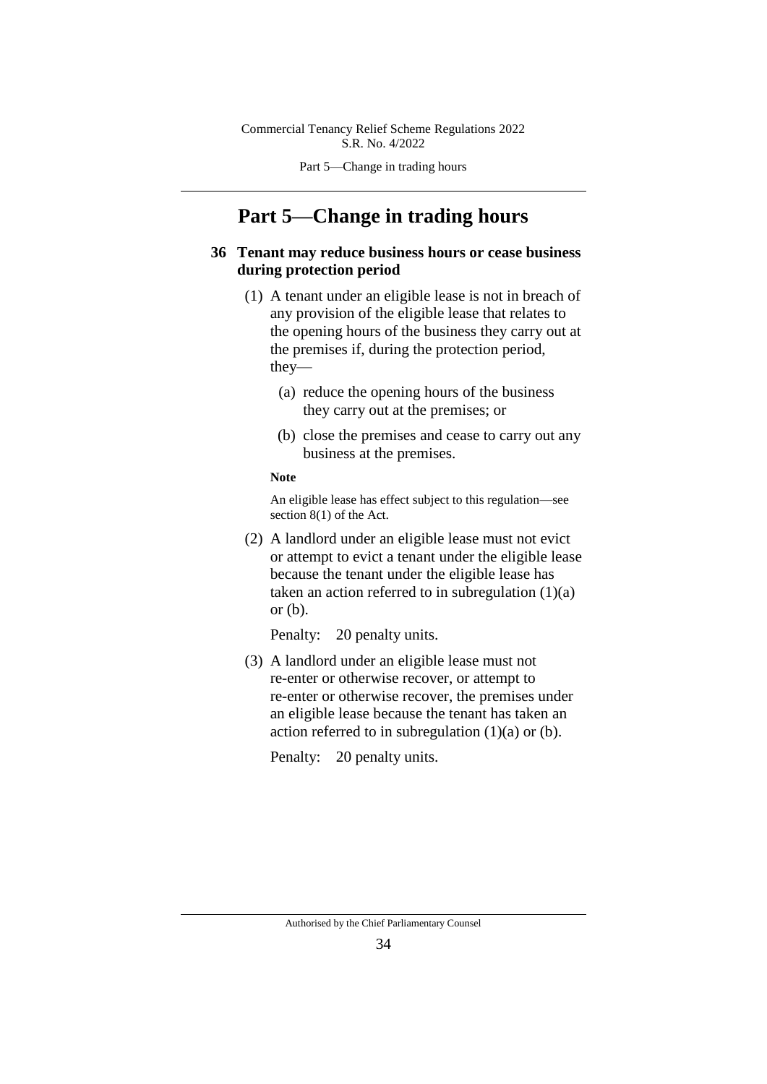Part 5—Change in trading hours

# **Part 5—Change in trading hours**

## **36 Tenant may reduce business hours or cease business during protection period**

- (1) A tenant under an eligible lease is not in breach of any provision of the eligible lease that relates to the opening hours of the business they carry out at the premises if, during the protection period, they—
	- (a) reduce the opening hours of the business they carry out at the premises; or
	- (b) close the premises and cease to carry out any business at the premises.

#### **Note**

An eligible lease has effect subject to this regulation—see section 8(1) of the Act.

(2) A landlord under an eligible lease must not evict or attempt to evict a tenant under the eligible lease because the tenant under the eligible lease has taken an action referred to in subregulation  $(1)(a)$ or (b).

Penalty: 20 penalty units.

(3) A landlord under an eligible lease must not re-enter or otherwise recover, or attempt to re-enter or otherwise recover, the premises under an eligible lease because the tenant has taken an action referred to in subregulation  $(1)(a)$  or  $(b)$ .

Penalty: 20 penalty units.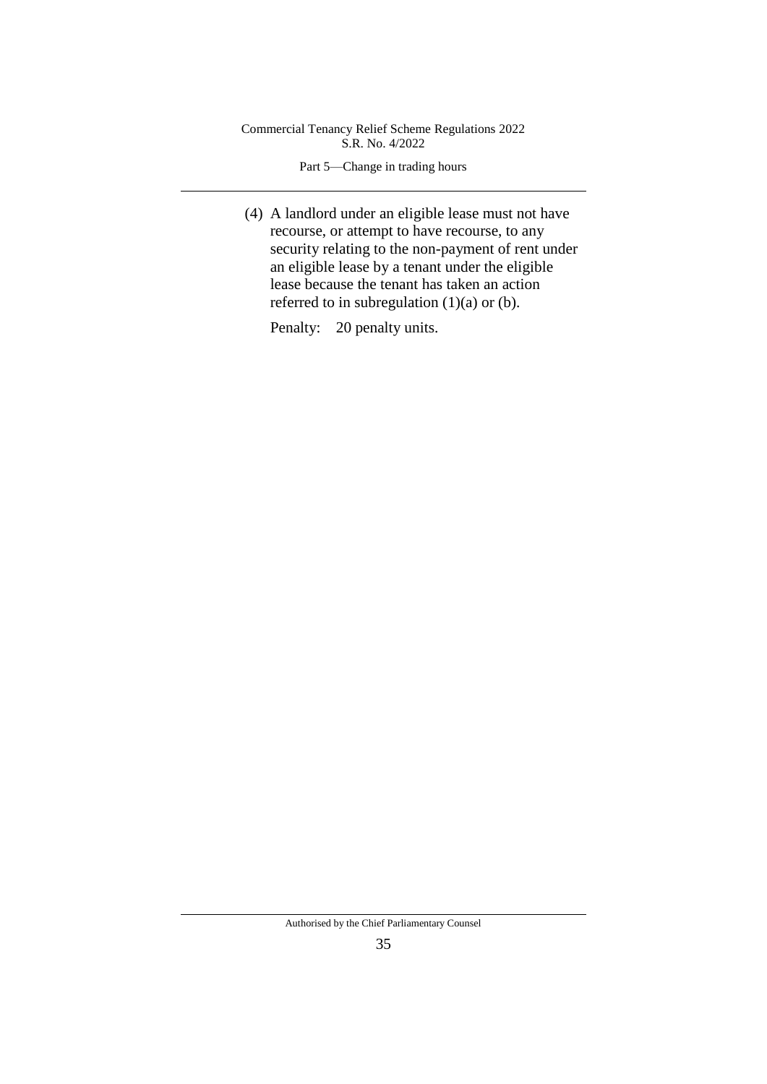Part 5—Change in trading hours

(4) A landlord under an eligible lease must not have recourse, or attempt to have recourse, to any security relating to the non-payment of rent under an eligible lease by a tenant under the eligible lease because the tenant has taken an action referred to in subregulation  $(1)(a)$  or  $(b)$ .

Penalty: 20 penalty units.

Authorised by the Chief Parliamentary Counsel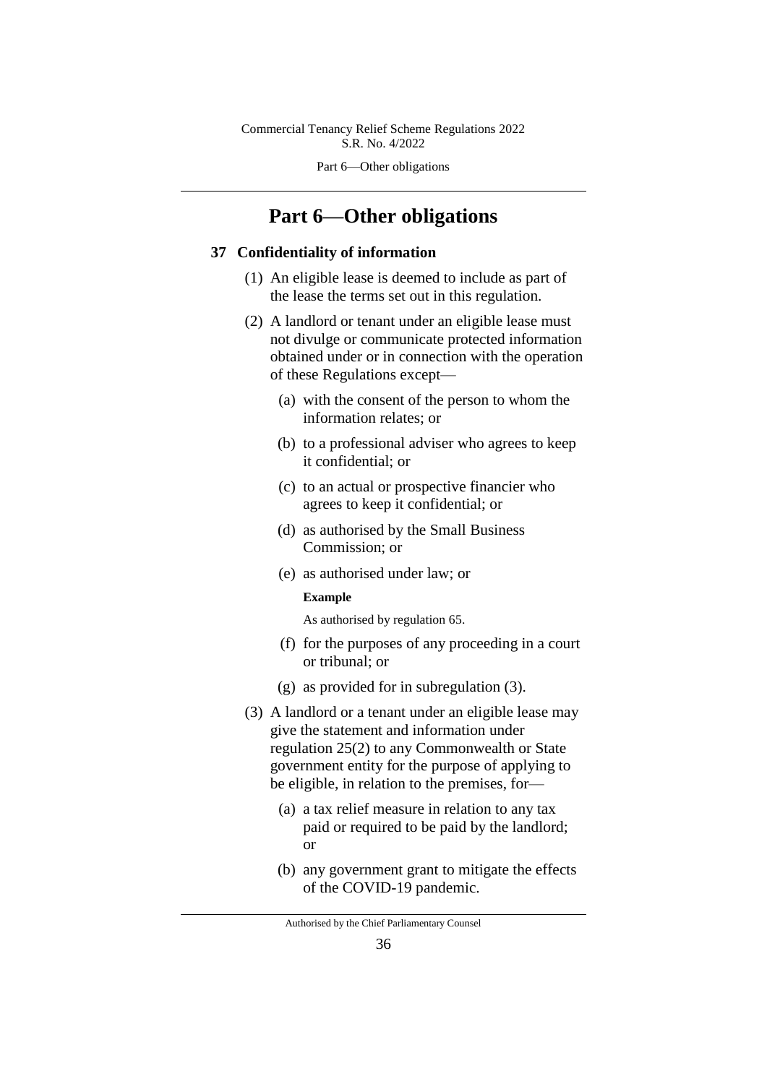Part 6—Other obligations

# **Part 6—Other obligations**

#### **37 Confidentiality of information**

- (1) An eligible lease is deemed to include as part of the lease the terms set out in this regulation.
- (2) A landlord or tenant under an eligible lease must not divulge or communicate protected information obtained under or in connection with the operation of these Regulations except—
	- (a) with the consent of the person to whom the information relates; or
	- (b) to a professional adviser who agrees to keep it confidential; or
	- (c) to an actual or prospective financier who agrees to keep it confidential; or
	- (d) as authorised by the Small Business Commission; or
	- (e) as authorised under law; or

#### **Example**

As authorised by regulation 65.

- (f) for the purposes of any proceeding in a court or tribunal; or
- (g) as provided for in subregulation (3).
- (3) A landlord or a tenant under an eligible lease may give the statement and information under regulation 25(2) to any Commonwealth or State government entity for the purpose of applying to be eligible, in relation to the premises, for—
	- (a) a tax relief measure in relation to any tax paid or required to be paid by the landlord; or
	- (b) any government grant to mitigate the effects of the COVID-19 pandemic.

Authorised by the Chief Parliamentary Counsel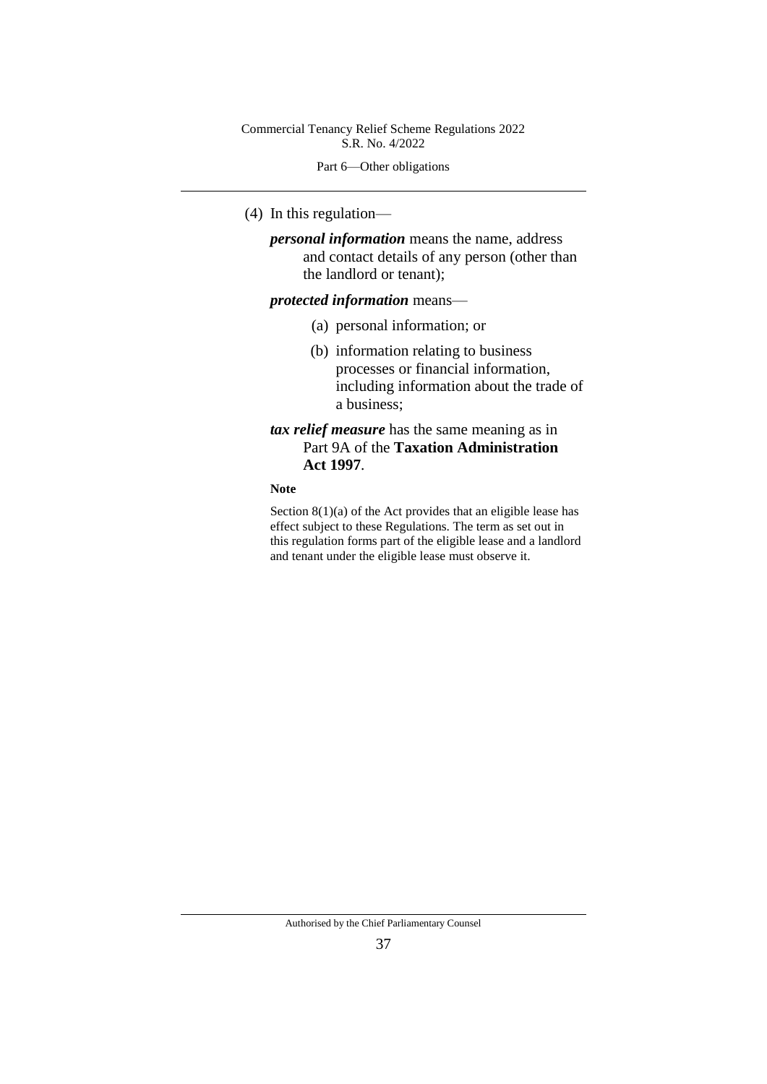Part 6—Other obligations

(4) In this regulation—

*personal information* means the name, address and contact details of any person (other than the landlord or tenant);

#### *protected information* means—

- (a) personal information; or
- (b) information relating to business processes or financial information, including information about the trade of a business;
- *tax relief measure* has the same meaning as in Part 9A of the **Taxation Administration Act 1997**.

## **Note**

Section 8(1)(a) of the Act provides that an eligible lease has effect subject to these Regulations. The term as set out in this regulation forms part of the eligible lease and a landlord and tenant under the eligible lease must observe it.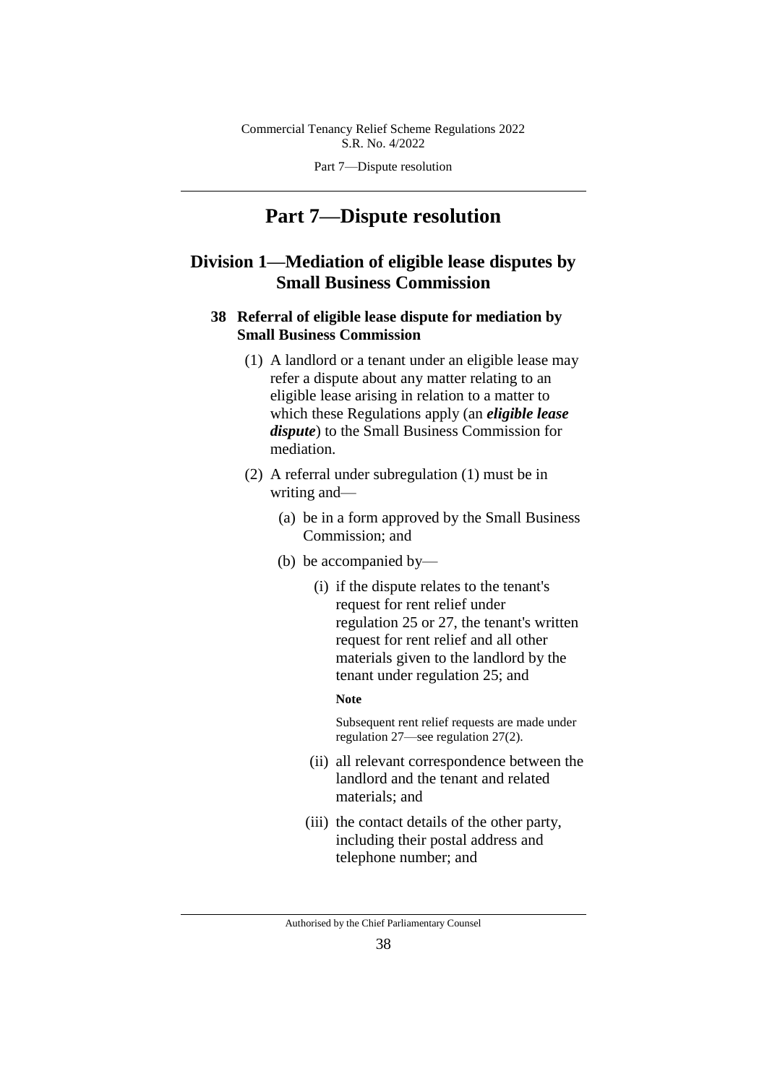Part 7—Dispute resolution

# **Part 7—Dispute resolution**

# **Division 1—Mediation of eligible lease disputes by Small Business Commission**

## **38 Referral of eligible lease dispute for mediation by Small Business Commission**

- (1) A landlord or a tenant under an eligible lease may refer a dispute about any matter relating to an eligible lease arising in relation to a matter to which these Regulations apply (an *eligible lease dispute*) to the Small Business Commission for mediation.
- (2) A referral under subregulation (1) must be in writing and—
	- (a) be in a form approved by the Small Business Commission; and
	- (b) be accompanied by—
		- (i) if the dispute relates to the tenant's request for rent relief under regulation 25 or 27, the tenant's written request for rent relief and all other materials given to the landlord by the tenant under regulation 25; and
			- **Note**

Subsequent rent relief requests are made under regulation 27—see regulation 27(2).

- (ii) all relevant correspondence between the landlord and the tenant and related materials; and
- (iii) the contact details of the other party, including their postal address and telephone number; and

Authorised by the Chief Parliamentary Counsel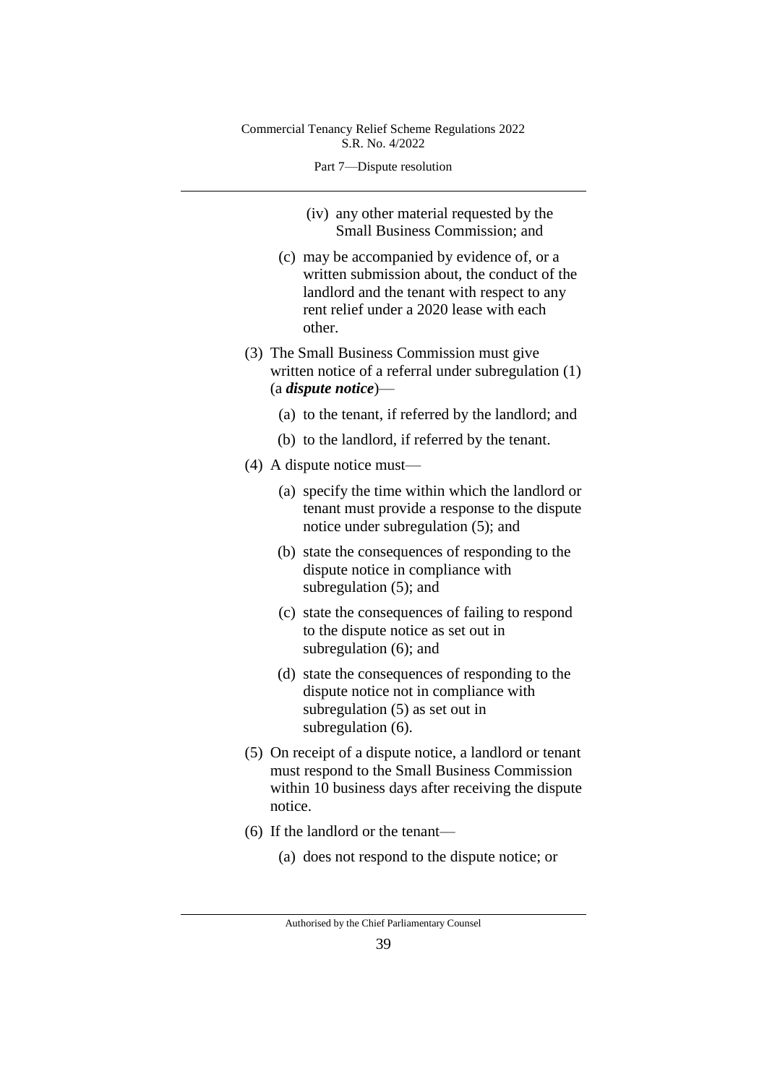#### Part 7—Dispute resolution

- (iv) any other material requested by the Small Business Commission; and
- (c) may be accompanied by evidence of, or a written submission about, the conduct of the landlord and the tenant with respect to any rent relief under a 2020 lease with each other.
- (3) The Small Business Commission must give written notice of a referral under subregulation (1) (a *dispute notice*)—
	- (a) to the tenant, if referred by the landlord; and
	- (b) to the landlord, if referred by the tenant.
- (4) A dispute notice must—
	- (a) specify the time within which the landlord or tenant must provide a response to the dispute notice under subregulation (5); and
	- (b) state the consequences of responding to the dispute notice in compliance with subregulation (5); and
	- (c) state the consequences of failing to respond to the dispute notice as set out in subregulation (6); and
	- (d) state the consequences of responding to the dispute notice not in compliance with subregulation (5) as set out in subregulation (6).
- (5) On receipt of a dispute notice, a landlord or tenant must respond to the Small Business Commission within 10 business days after receiving the dispute notice.
- (6) If the landlord or the tenant—
	- (a) does not respond to the dispute notice; or

Authorised by the Chief Parliamentary Counsel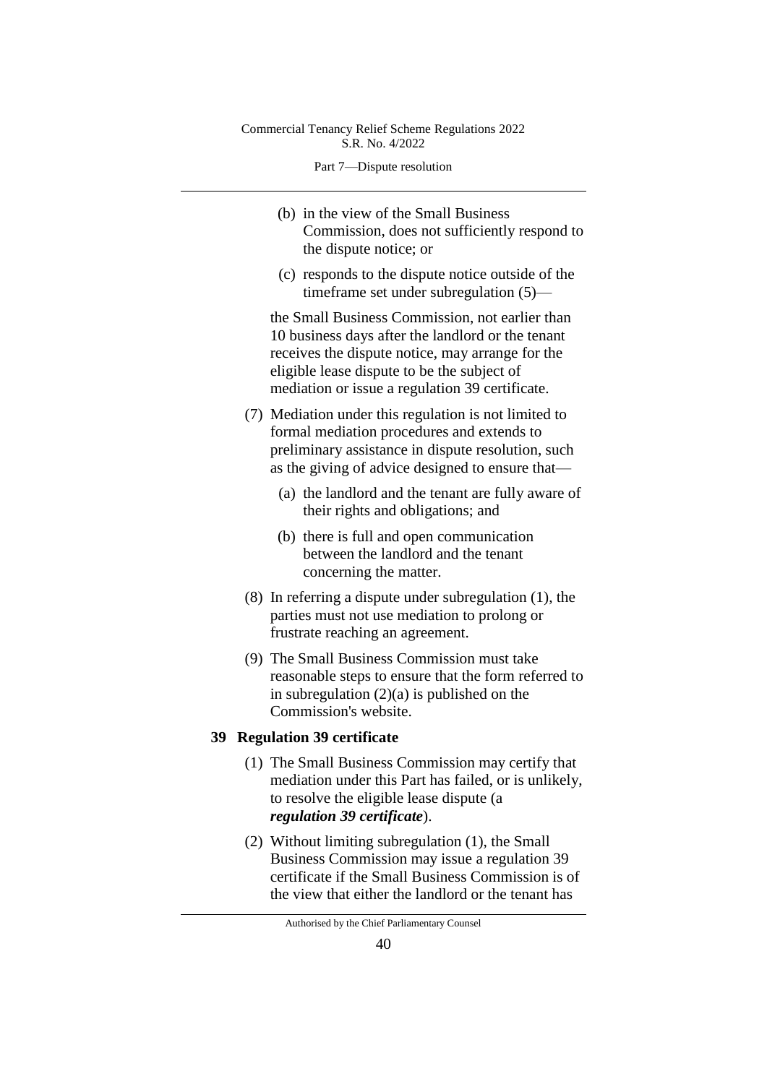Part 7—Dispute resolution

- (b) in the view of the Small Business Commission, does not sufficiently respond to the dispute notice; or
- (c) responds to the dispute notice outside of the timeframe set under subregulation (5)—

the Small Business Commission, not earlier than 10 business days after the landlord or the tenant receives the dispute notice, may arrange for the eligible lease dispute to be the subject of mediation or issue a regulation 39 certificate.

- (7) Mediation under this regulation is not limited to formal mediation procedures and extends to preliminary assistance in dispute resolution, such as the giving of advice designed to ensure that—
	- (a) the landlord and the tenant are fully aware of their rights and obligations; and
	- (b) there is full and open communication between the landlord and the tenant concerning the matter.
- (8) In referring a dispute under subregulation (1), the parties must not use mediation to prolong or frustrate reaching an agreement.
- (9) The Small Business Commission must take reasonable steps to ensure that the form referred to in subregulation (2)(a) is published on the Commission's website.

#### **39 Regulation 39 certificate**

- (1) The Small Business Commission may certify that mediation under this Part has failed, or is unlikely, to resolve the eligible lease dispute (a *regulation 39 certificate*).
- (2) Without limiting subregulation (1), the Small Business Commission may issue a regulation 39 certificate if the Small Business Commission is of the view that either the landlord or the tenant has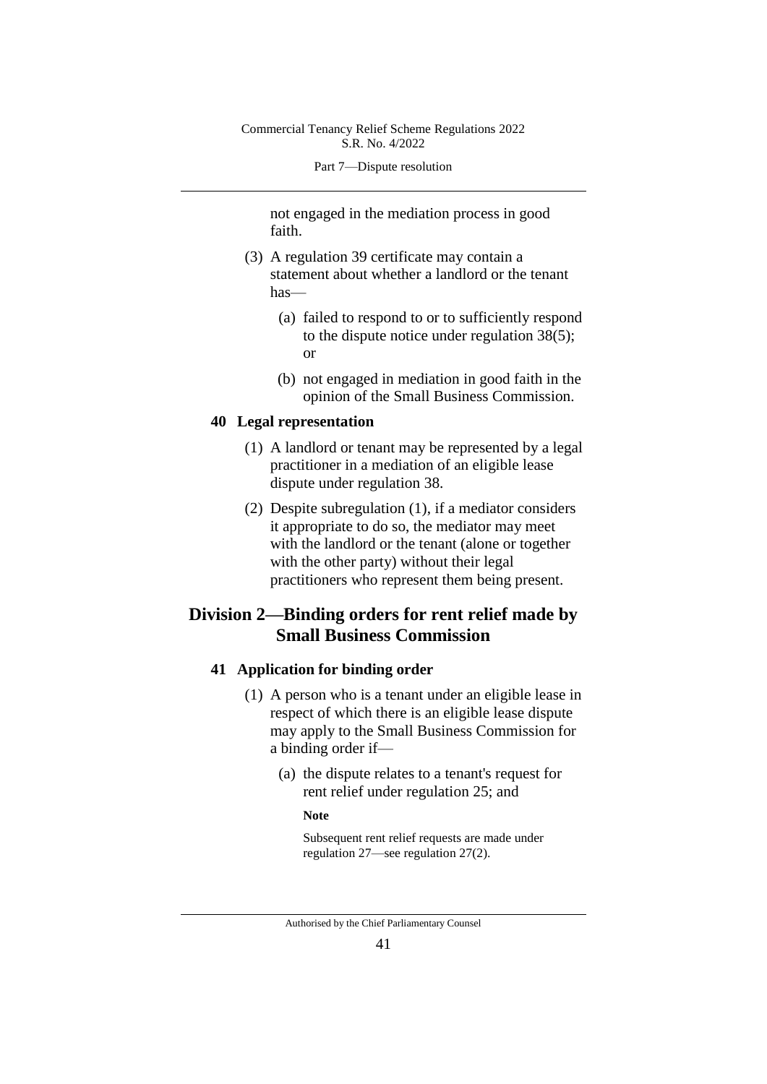#### Part 7—Dispute resolution

not engaged in the mediation process in good faith.

- (3) A regulation 39 certificate may contain a statement about whether a landlord or the tenant has—
	- (a) failed to respond to or to sufficiently respond to the dispute notice under regulation 38(5); or
	- (b) not engaged in mediation in good faith in the opinion of the Small Business Commission.

#### **40 Legal representation**

- (1) A landlord or tenant may be represented by a legal practitioner in a mediation of an eligible lease dispute under regulation 38.
- (2) Despite subregulation (1), if a mediator considers it appropriate to do so, the mediator may meet with the landlord or the tenant (alone or together with the other party) without their legal practitioners who represent them being present.

# **Division 2—Binding orders for rent relief made by Small Business Commission**

## **41 Application for binding order**

- (1) A person who is a tenant under an eligible lease in respect of which there is an eligible lease dispute may apply to the Small Business Commission for a binding order if—
	- (a) the dispute relates to a tenant's request for rent relief under regulation 25; and

#### **Note**

Subsequent rent relief requests are made under regulation 27—see regulation 27(2).

Authorised by the Chief Parliamentary Counsel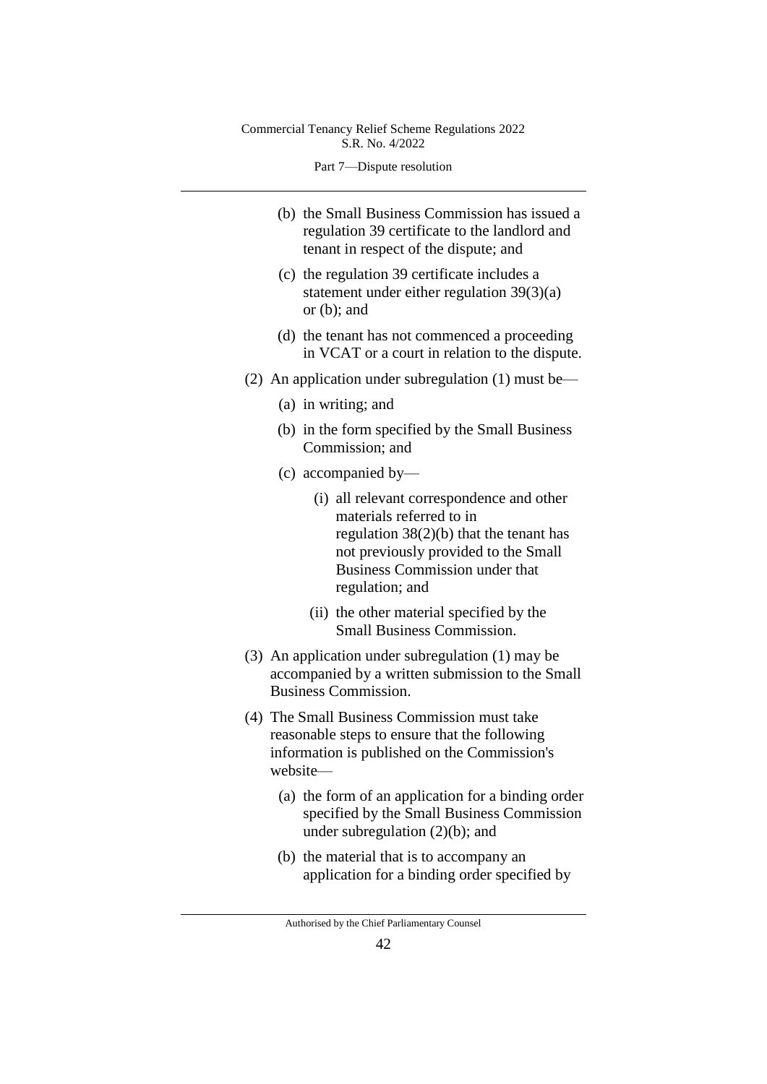Part 7—Dispute resolution

- (b) the Small Business Commission has issued a regulation 39 certificate to the landlord and tenant in respect of the dispute; and
- (c) the regulation 39 certificate includes a statement under either regulation 39(3)(a) or (b); and
- (d) the tenant has not commenced a proceeding in VCAT or a court in relation to the dispute.
- (2) An application under subregulation (1) must be—
	- (a) in writing; and
	- (b) in the form specified by the Small Business Commission; and
	- (c) accompanied by—
		- (i) all relevant correspondence and other materials referred to in regulation 38(2)(b) that the tenant has not previously provided to the Small Business Commission under that regulation; and
		- (ii) the other material specified by the Small Business Commission.
- (3) An application under subregulation (1) may be accompanied by a written submission to the Small Business Commission.
- (4) The Small Business Commission must take reasonable steps to ensure that the following information is published on the Commission's website—
	- (a) the form of an application for a binding order specified by the Small Business Commission under subregulation (2)(b); and
	- (b) the material that is to accompany an application for a binding order specified by

Authorised by the Chief Parliamentary Counsel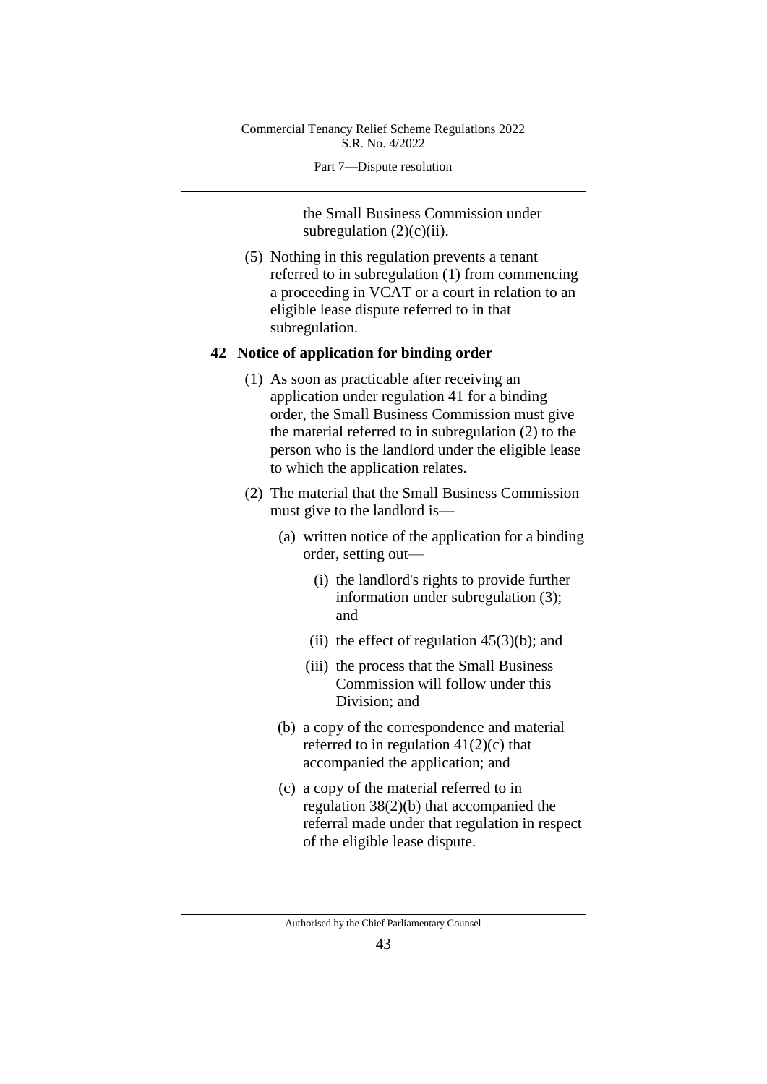Part 7—Dispute resolution

the Small Business Commission under subregulation  $(2)(c)(ii)$ .

(5) Nothing in this regulation prevents a tenant referred to in subregulation (1) from commencing a proceeding in VCAT or a court in relation to an eligible lease dispute referred to in that subregulation.

#### **42 Notice of application for binding order**

- (1) As soon as practicable after receiving an application under regulation 41 for a binding order, the Small Business Commission must give the material referred to in subregulation (2) to the person who is the landlord under the eligible lease to which the application relates.
- (2) The material that the Small Business Commission must give to the landlord is—
	- (a) written notice of the application for a binding order, setting out—
		- (i) the landlord's rights to provide further information under subregulation (3); and
		- (ii) the effect of regulation  $45(3)(b)$ ; and
		- (iii) the process that the Small Business Commission will follow under this Division; and
	- (b) a copy of the correspondence and material referred to in regulation  $41(2)(c)$  that accompanied the application; and
	- (c) a copy of the material referred to in regulation 38(2)(b) that accompanied the referral made under that regulation in respect of the eligible lease dispute.

Authorised by the Chief Parliamentary Counsel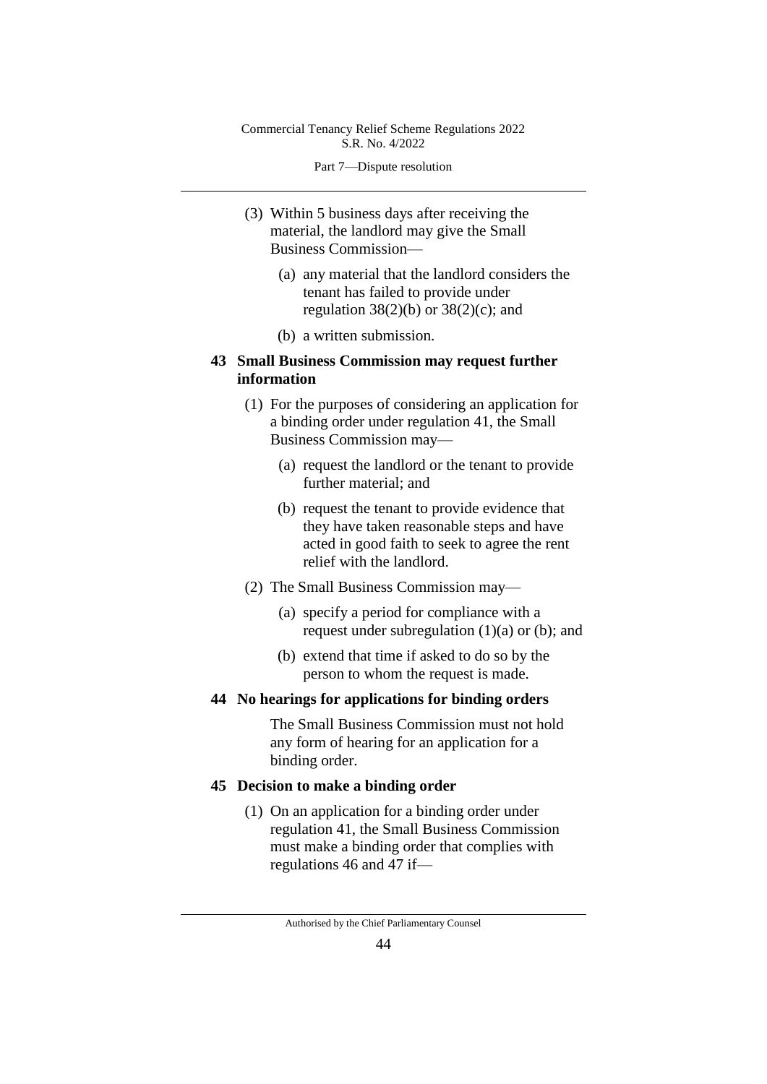Part 7—Dispute resolution

- (3) Within 5 business days after receiving the material, the landlord may give the Small Business Commission—
	- (a) any material that the landlord considers the tenant has failed to provide under regulation  $38(2)(b)$  or  $38(2)(c)$ ; and
	- (b) a written submission.

## **43 Small Business Commission may request further information**

- (1) For the purposes of considering an application for a binding order under regulation 41, the Small Business Commission may—
	- (a) request the landlord or the tenant to provide further material; and
	- (b) request the tenant to provide evidence that they have taken reasonable steps and have acted in good faith to seek to agree the rent relief with the landlord.
- (2) The Small Business Commission may—
	- (a) specify a period for compliance with a request under subregulation  $(1)(a)$  or  $(b)$ ; and
	- (b) extend that time if asked to do so by the person to whom the request is made.

## **44 No hearings for applications for binding orders**

The Small Business Commission must not hold any form of hearing for an application for a binding order.

## **45 Decision to make a binding order**

(1) On an application for a binding order under regulation 41, the Small Business Commission must make a binding order that complies with regulations 46 and 47 if—

Authorised by the Chief Parliamentary Counsel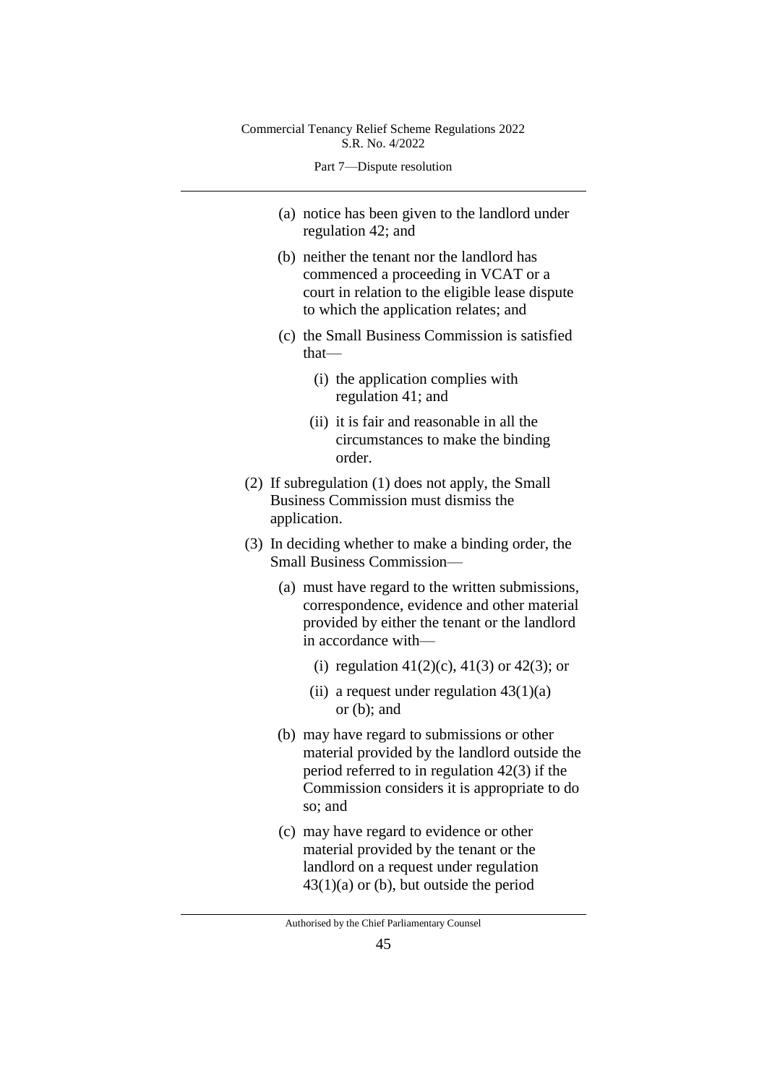Part 7—Dispute resolution

- (a) notice has been given to the landlord under regulation 42; and
- (b) neither the tenant nor the landlord has commenced a proceeding in VCAT or a court in relation to the eligible lease dispute to which the application relates; and
- (c) the Small Business Commission is satisfied that—
	- (i) the application complies with regulation 41; and
	- (ii) it is fair and reasonable in all the circumstances to make the binding order.
- (2) If subregulation (1) does not apply, the Small Business Commission must dismiss the application.
- (3) In deciding whether to make a binding order, the Small Business Commission—
	- (a) must have regard to the written submissions, correspondence, evidence and other material provided by either the tenant or the landlord in accordance with—
		- (i) regulation  $41(2)(c)$ ,  $41(3)$  or  $42(3)$ ; or
		- (ii) a request under regulation  $43(1)(a)$ or (b); and
	- (b) may have regard to submissions or other material provided by the landlord outside the period referred to in regulation 42(3) if the Commission considers it is appropriate to do so; and
	- (c) may have regard to evidence or other material provided by the tenant or the landlord on a request under regulation  $43(1)(a)$  or (b), but outside the period

Authorised by the Chief Parliamentary Counsel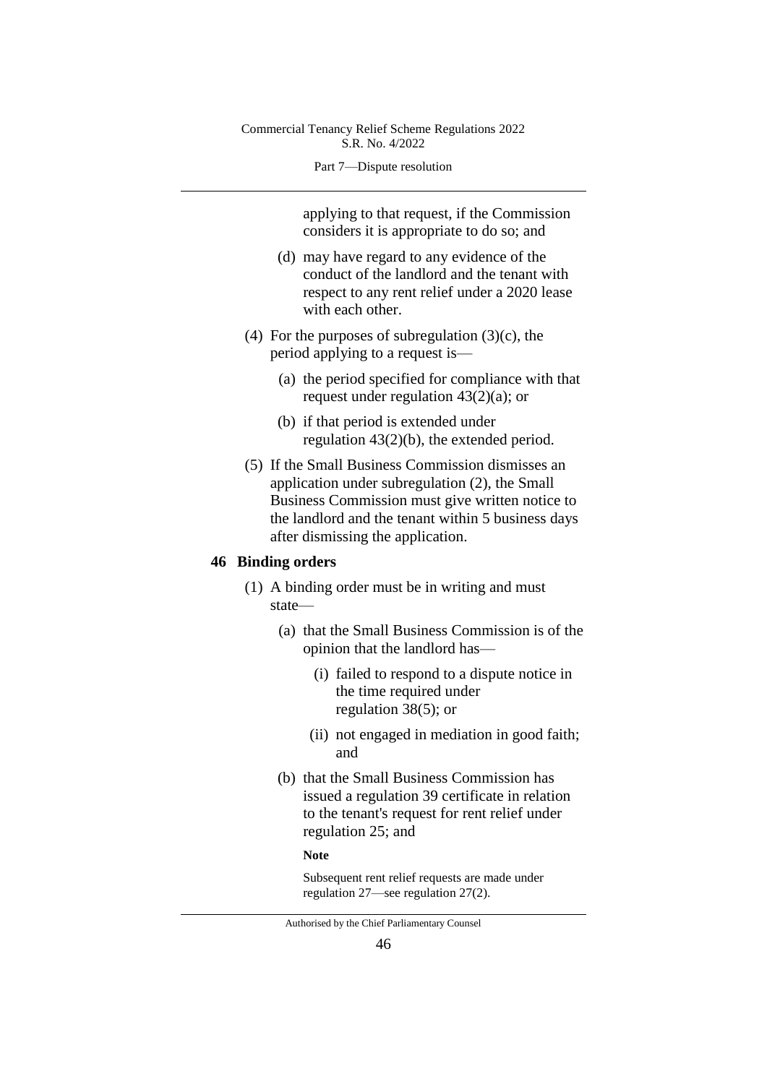#### Part 7—Dispute resolution

applying to that request, if the Commission considers it is appropriate to do so; and

- (d) may have regard to any evidence of the conduct of the landlord and the tenant with respect to any rent relief under a 2020 lease with each other.
- (4) For the purposes of subregulation  $(3)(c)$ , the period applying to a request is—
	- (a) the period specified for compliance with that request under regulation 43(2)(a); or
	- (b) if that period is extended under regulation 43(2)(b), the extended period.
- (5) If the Small Business Commission dismisses an application under subregulation (2), the Small Business Commission must give written notice to the landlord and the tenant within 5 business days after dismissing the application.

## **46 Binding orders**

- (1) A binding order must be in writing and must state—
	- (a) that the Small Business Commission is of the opinion that the landlord has—
		- (i) failed to respond to a dispute notice in the time required under regulation 38(5); or
		- (ii) not engaged in mediation in good faith; and
	- (b) that the Small Business Commission has issued a regulation 39 certificate in relation to the tenant's request for rent relief under regulation 25; and

#### **Note**

Subsequent rent relief requests are made under regulation 27—see regulation 27(2).

Authorised by the Chief Parliamentary Counsel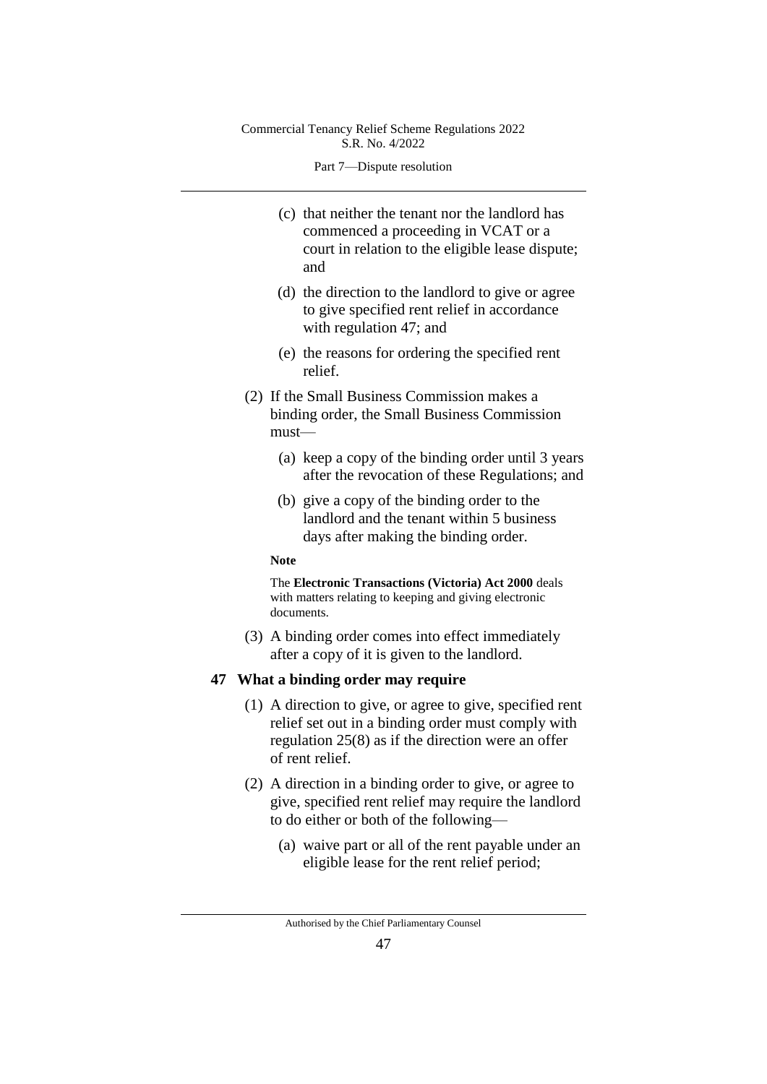Part 7—Dispute resolution

- (c) that neither the tenant nor the landlord has commenced a proceeding in VCAT or a court in relation to the eligible lease dispute; and
- (d) the direction to the landlord to give or agree to give specified rent relief in accordance with regulation 47; and
- (e) the reasons for ordering the specified rent relief.
- (2) If the Small Business Commission makes a binding order, the Small Business Commission must—
	- (a) keep a copy of the binding order until 3 years after the revocation of these Regulations; and
	- (b) give a copy of the binding order to the landlord and the tenant within 5 business days after making the binding order.

#### **Note**

The **Electronic Transactions (Victoria) Act 2000** deals with matters relating to keeping and giving electronic documents.

(3) A binding order comes into effect immediately after a copy of it is given to the landlord.

#### **47 What a binding order may require**

- (1) A direction to give, or agree to give, specified rent relief set out in a binding order must comply with regulation 25(8) as if the direction were an offer of rent relief.
- (2) A direction in a binding order to give, or agree to give, specified rent relief may require the landlord to do either or both of the following—
	- (a) waive part or all of the rent payable under an eligible lease for the rent relief period;

Authorised by the Chief Parliamentary Counsel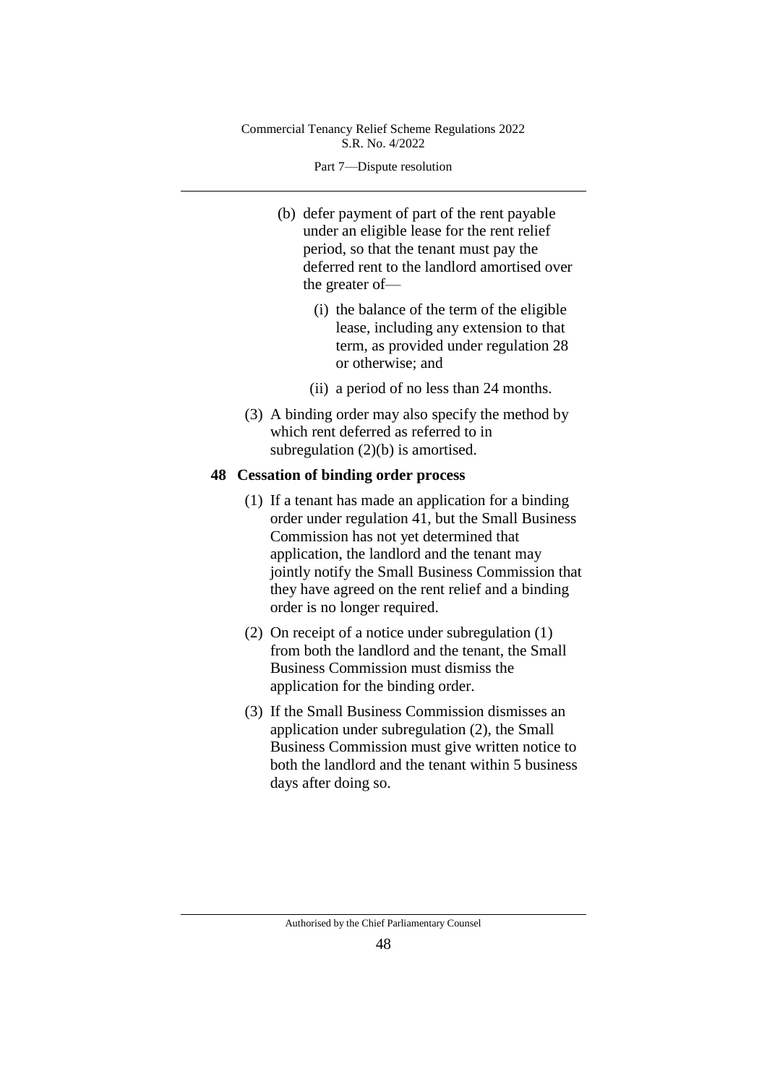Part 7—Dispute resolution

- (b) defer payment of part of the rent payable under an eligible lease for the rent relief period, so that the tenant must pay the deferred rent to the landlord amortised over the greater of—
	- (i) the balance of the term of the eligible lease, including any extension to that term, as provided under regulation 28 or otherwise; and
	- (ii) a period of no less than 24 months.
- (3) A binding order may also specify the method by which rent deferred as referred to in subregulation (2)(b) is amortised.

## **48 Cessation of binding order process**

- (1) If a tenant has made an application for a binding order under regulation 41, but the Small Business Commission has not yet determined that application, the landlord and the tenant may jointly notify the Small Business Commission that they have agreed on the rent relief and a binding order is no longer required.
- (2) On receipt of a notice under subregulation (1) from both the landlord and the tenant, the Small Business Commission must dismiss the application for the binding order.
- (3) If the Small Business Commission dismisses an application under subregulation (2), the Small Business Commission must give written notice to both the landlord and the tenant within 5 business days after doing so.

Authorised by the Chief Parliamentary Counsel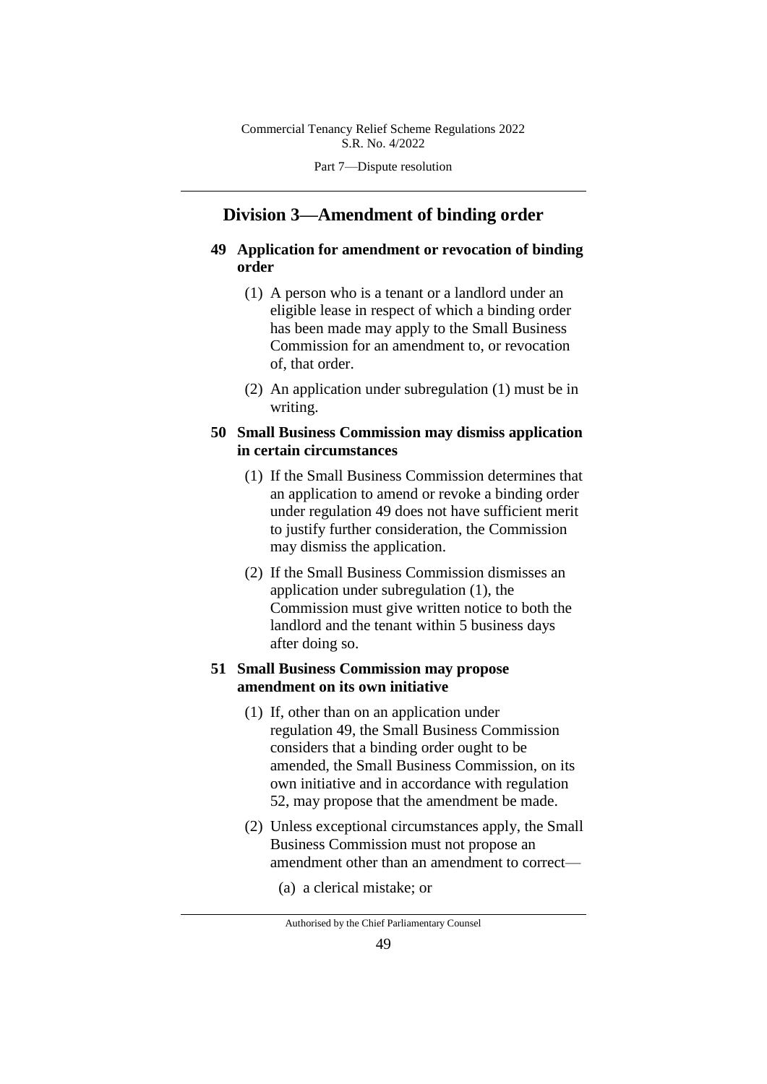Part 7—Dispute resolution

# **Division 3—Amendment of binding order**

## **49 Application for amendment or revocation of binding order**

- (1) A person who is a tenant or a landlord under an eligible lease in respect of which a binding order has been made may apply to the Small Business Commission for an amendment to, or revocation of, that order.
- (2) An application under subregulation (1) must be in writing.

## **50 Small Business Commission may dismiss application in certain circumstances**

- (1) If the Small Business Commission determines that an application to amend or revoke a binding order under regulation 49 does not have sufficient merit to justify further consideration, the Commission may dismiss the application.
- (2) If the Small Business Commission dismisses an application under subregulation (1), the Commission must give written notice to both the landlord and the tenant within 5 business days after doing so.

## **51 Small Business Commission may propose amendment on its own initiative**

- (1) If, other than on an application under regulation 49, the Small Business Commission considers that a binding order ought to be amended, the Small Business Commission, on its own initiative and in accordance with regulation 52, may propose that the amendment be made.
- (2) Unless exceptional circumstances apply, the Small Business Commission must not propose an amendment other than an amendment to correct—
	- (a) a clerical mistake; or

Authorised by the Chief Parliamentary Counsel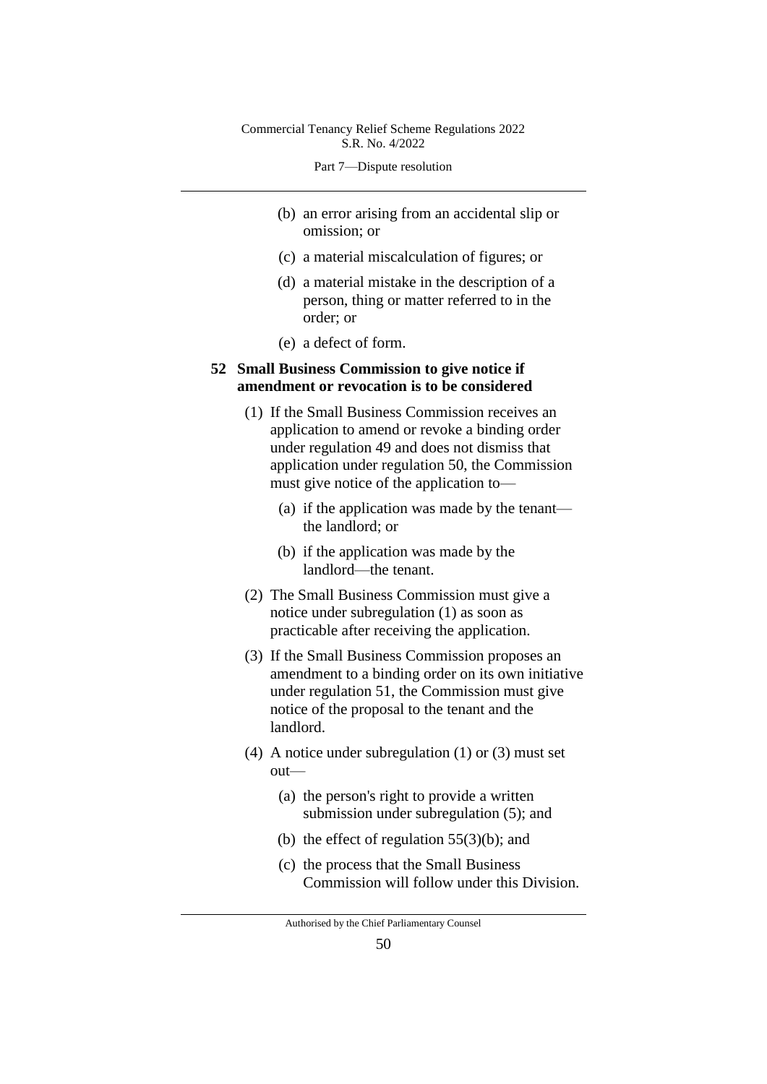Part 7—Dispute resolution

- (b) an error arising from an accidental slip or omission; or
- (c) a material miscalculation of figures; or
- (d) a material mistake in the description of a person, thing or matter referred to in the order; or
- (e) a defect of form.

## **52 Small Business Commission to give notice if amendment or revocation is to be considered**

- (1) If the Small Business Commission receives an application to amend or revoke a binding order under regulation 49 and does not dismiss that application under regulation 50, the Commission must give notice of the application to—
	- (a) if the application was made by the tenant the landlord; or
	- (b) if the application was made by the landlord—the tenant.
- (2) The Small Business Commission must give a notice under subregulation (1) as soon as practicable after receiving the application.
- (3) If the Small Business Commission proposes an amendment to a binding order on its own initiative under regulation 51, the Commission must give notice of the proposal to the tenant and the landlord.
- (4) A notice under subregulation (1) or (3) must set out—
	- (a) the person's right to provide a written submission under subregulation (5); and
	- (b) the effect of regulation  $55(3)(b)$ ; and
	- (c) the process that the Small Business Commission will follow under this Division.

Authorised by the Chief Parliamentary Counsel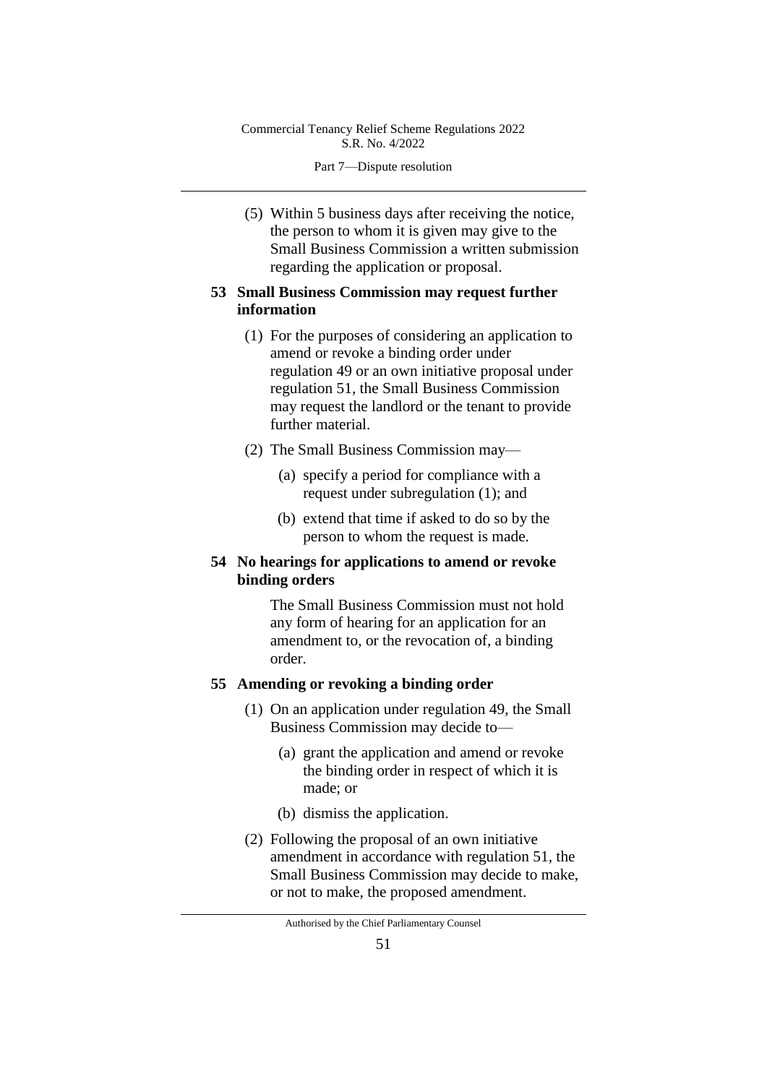Part 7—Dispute resolution

(5) Within 5 business days after receiving the notice, the person to whom it is given may give to the Small Business Commission a written submission regarding the application or proposal.

## **53 Small Business Commission may request further information**

- (1) For the purposes of considering an application to amend or revoke a binding order under regulation 49 or an own initiative proposal under regulation 51, the Small Business Commission may request the landlord or the tenant to provide further material.
- (2) The Small Business Commission may—
	- (a) specify a period for compliance with a request under subregulation (1); and
	- (b) extend that time if asked to do so by the person to whom the request is made.

## **54 No hearings for applications to amend or revoke binding orders**

The Small Business Commission must not hold any form of hearing for an application for an amendment to, or the revocation of, a binding order.

## **55 Amending or revoking a binding order**

- (1) On an application under regulation 49, the Small Business Commission may decide to—
	- (a) grant the application and amend or revoke the binding order in respect of which it is made; or
	- (b) dismiss the application.
- (2) Following the proposal of an own initiative amendment in accordance with regulation 51, the Small Business Commission may decide to make, or not to make, the proposed amendment.

Authorised by the Chief Parliamentary Counsel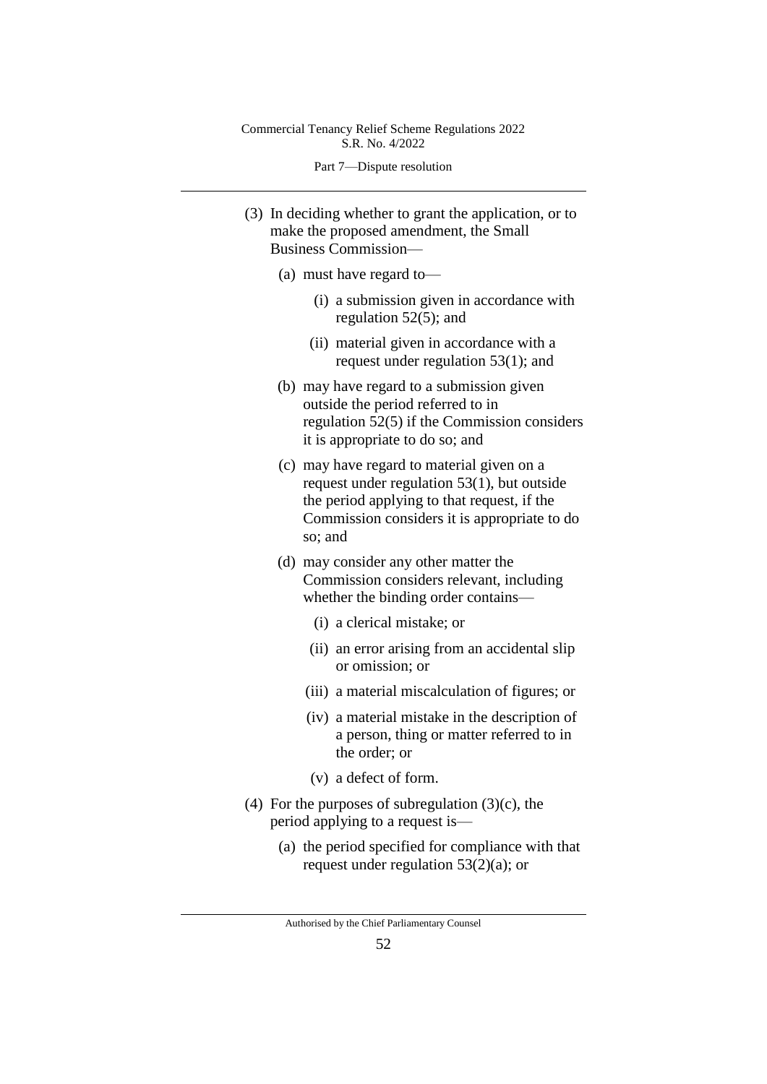Part 7—Dispute resolution

- (3) In deciding whether to grant the application, or to make the proposed amendment, the Small Business Commission—
	- (a) must have regard to—
		- (i) a submission given in accordance with regulation 52(5); and
		- (ii) material given in accordance with a request under regulation 53(1); and
	- (b) may have regard to a submission given outside the period referred to in regulation 52(5) if the Commission considers it is appropriate to do so; and
	- (c) may have regard to material given on a request under regulation 53(1), but outside the period applying to that request, if the Commission considers it is appropriate to do so; and
	- (d) may consider any other matter the Commission considers relevant, including whether the binding order contains—
		- (i) a clerical mistake; or
		- (ii) an error arising from an accidental slip or omission; or
		- (iii) a material miscalculation of figures; or
		- (iv) a material mistake in the description of a person, thing or matter referred to in the order; or
		- (v) a defect of form.
- (4) For the purposes of subregulation  $(3)(c)$ , the period applying to a request is—
	- (a) the period specified for compliance with that request under regulation 53(2)(a); or

Authorised by the Chief Parliamentary Counsel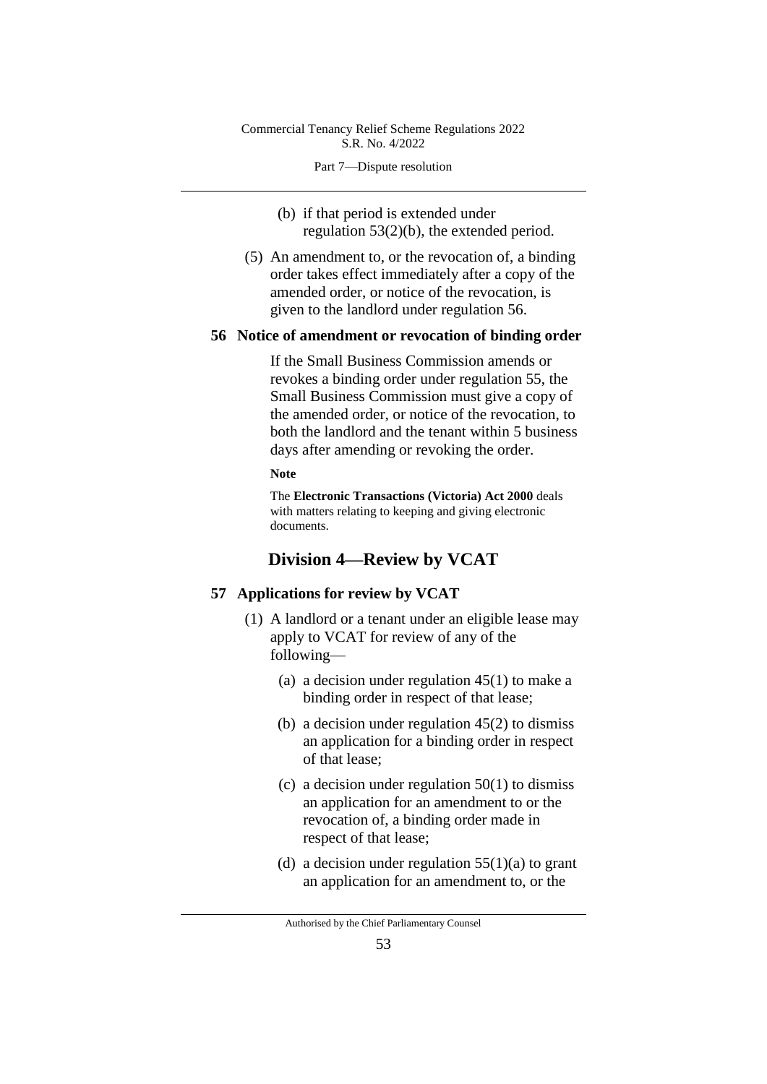Part 7—Dispute resolution

(b) if that period is extended under regulation 53(2)(b), the extended period.

(5) An amendment to, or the revocation of, a binding order takes effect immediately after a copy of the amended order, or notice of the revocation, is given to the landlord under regulation 56.

#### **56 Notice of amendment or revocation of binding order**

If the Small Business Commission amends or revokes a binding order under regulation 55, the Small Business Commission must give a copy of the amended order, or notice of the revocation, to both the landlord and the tenant within 5 business days after amending or revoking the order.

#### **Note**

The **Electronic Transactions (Victoria) Act 2000** deals with matters relating to keeping and giving electronic documents.

## **Division 4—Review by VCAT**

#### **57 Applications for review by VCAT**

- (1) A landlord or a tenant under an eligible lease may apply to VCAT for review of any of the following—
	- (a) a decision under regulation 45(1) to make a binding order in respect of that lease;
	- (b) a decision under regulation 45(2) to dismiss an application for a binding order in respect of that lease;
	- (c) a decision under regulation  $50(1)$  to dismiss an application for an amendment to or the revocation of, a binding order made in respect of that lease;
	- (d) a decision under regulation  $55(1)(a)$  to grant an application for an amendment to, or the

Authorised by the Chief Parliamentary Counsel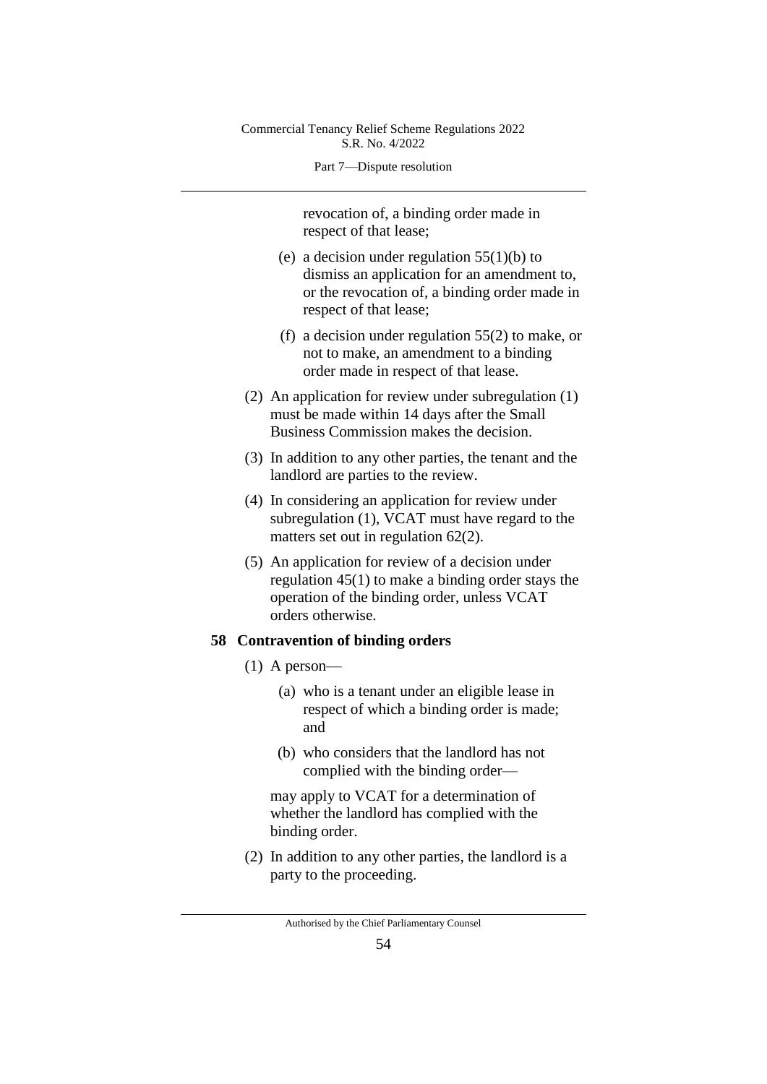Part 7—Dispute resolution

revocation of, a binding order made in respect of that lease;

- (e) a decision under regulation  $55(1)(b)$  to dismiss an application for an amendment to, or the revocation of, a binding order made in respect of that lease;
- (f) a decision under regulation 55(2) to make, or not to make, an amendment to a binding order made in respect of that lease.
- (2) An application for review under subregulation (1) must be made within 14 days after the Small Business Commission makes the decision.
- (3) In addition to any other parties, the tenant and the landlord are parties to the review.
- (4) In considering an application for review under subregulation (1), VCAT must have regard to the matters set out in regulation 62(2).
- (5) An application for review of a decision under regulation 45(1) to make a binding order stays the operation of the binding order, unless VCAT orders otherwise.

## **58 Contravention of binding orders**

- (1) A person—
	- (a) who is a tenant under an eligible lease in respect of which a binding order is made; and
	- (b) who considers that the landlord has not complied with the binding order—

may apply to VCAT for a determination of whether the landlord has complied with the binding order.

(2) In addition to any other parties, the landlord is a party to the proceeding.

Authorised by the Chief Parliamentary Counsel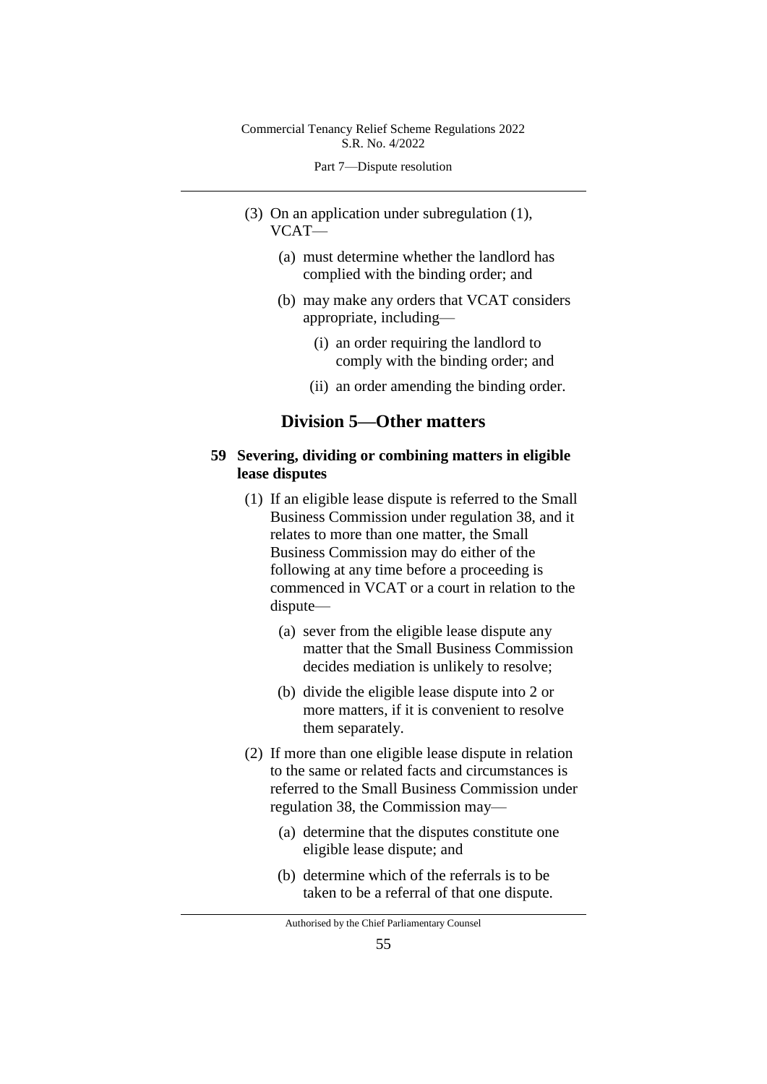Part 7—Dispute resolution

- (3) On an application under subregulation (1), VCAT—
	- (a) must determine whether the landlord has complied with the binding order; and
	- (b) may make any orders that VCAT considers appropriate, including—
		- (i) an order requiring the landlord to comply with the binding order; and
		- (ii) an order amending the binding order.

# **Division 5—Other matters**

## **59 Severing, dividing or combining matters in eligible lease disputes**

- (1) If an eligible lease dispute is referred to the Small Business Commission under regulation 38, and it relates to more than one matter, the Small Business Commission may do either of the following at any time before a proceeding is commenced in VCAT or a court in relation to the dispute—
	- (a) sever from the eligible lease dispute any matter that the Small Business Commission decides mediation is unlikely to resolve;
	- (b) divide the eligible lease dispute into 2 or more matters, if it is convenient to resolve them separately.
- (2) If more than one eligible lease dispute in relation to the same or related facts and circumstances is referred to the Small Business Commission under regulation 38, the Commission may—
	- (a) determine that the disputes constitute one eligible lease dispute; and
	- (b) determine which of the referrals is to be taken to be a referral of that one dispute.

Authorised by the Chief Parliamentary Counsel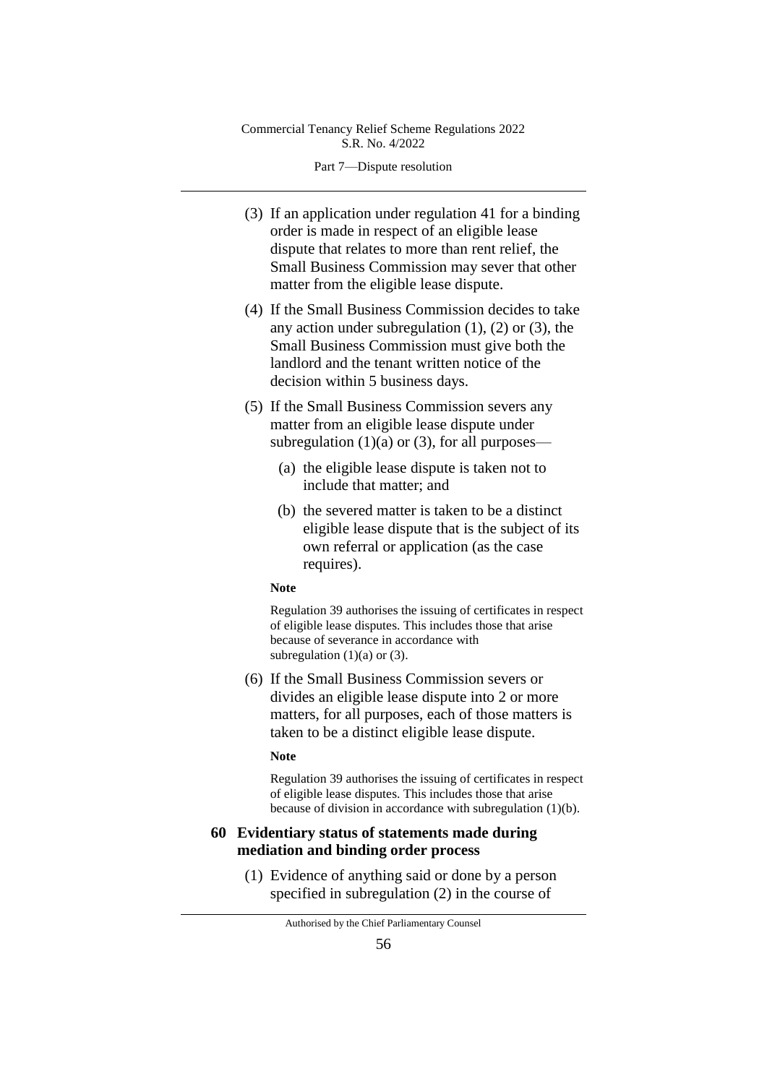Part 7—Dispute resolution

- (3) If an application under regulation 41 for a binding order is made in respect of an eligible lease dispute that relates to more than rent relief, the Small Business Commission may sever that other matter from the eligible lease dispute.
- (4) If the Small Business Commission decides to take any action under subregulation  $(1)$ ,  $(2)$  or  $(3)$ , the Small Business Commission must give both the landlord and the tenant written notice of the decision within 5 business days.
- (5) If the Small Business Commission severs any matter from an eligible lease dispute under subregulation  $(1)(a)$  or  $(3)$ , for all purposes—
	- (a) the eligible lease dispute is taken not to include that matter; and
	- (b) the severed matter is taken to be a distinct eligible lease dispute that is the subject of its own referral or application (as the case requires).

#### **Note**

Regulation 39 authorises the issuing of certificates in respect of eligible lease disputes. This includes those that arise because of severance in accordance with subregulation  $(1)(a)$  or  $(3)$ .

(6) If the Small Business Commission severs or divides an eligible lease dispute into 2 or more matters, for all purposes, each of those matters is taken to be a distinct eligible lease dispute.

#### **Note**

Regulation 39 authorises the issuing of certificates in respect of eligible lease disputes. This includes those that arise because of division in accordance with subregulation (1)(b).

## **60 Evidentiary status of statements made during mediation and binding order process**

(1) Evidence of anything said or done by a person specified in subregulation (2) in the course of

Authorised by the Chief Parliamentary Counsel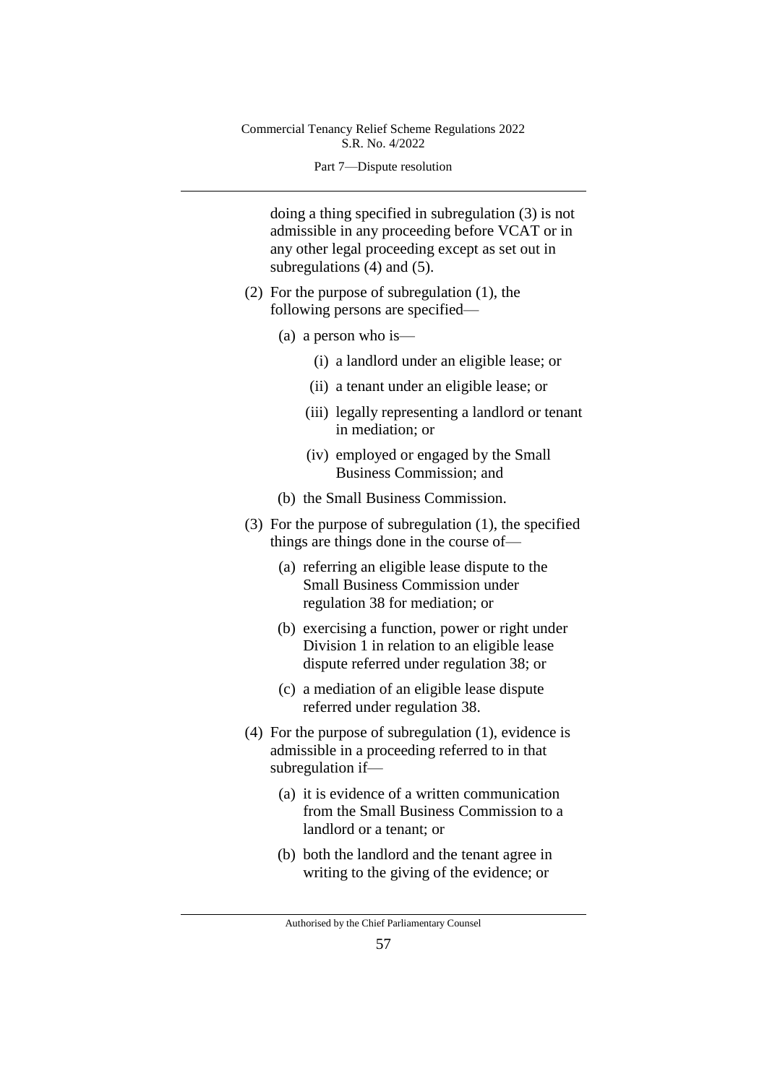#### Part 7—Dispute resolution

doing a thing specified in subregulation (3) is not admissible in any proceeding before VCAT or in any other legal proceeding except as set out in subregulations (4) and (5).

- (2) For the purpose of subregulation (1), the following persons are specified—
	- (a) a person who is—
		- (i) a landlord under an eligible lease; or
		- (ii) a tenant under an eligible lease; or
		- (iii) legally representing a landlord or tenant in mediation; or
		- (iv) employed or engaged by the Small Business Commission; and
	- (b) the Small Business Commission.
- (3) For the purpose of subregulation (1), the specified things are things done in the course of—
	- (a) referring an eligible lease dispute to the Small Business Commission under regulation 38 for mediation; or
	- (b) exercising a function, power or right under Division 1 in relation to an eligible lease dispute referred under regulation 38; or
	- (c) a mediation of an eligible lease dispute referred under regulation 38.
- (4) For the purpose of subregulation (1), evidence is admissible in a proceeding referred to in that subregulation if—
	- (a) it is evidence of a written communication from the Small Business Commission to a landlord or a tenant; or
	- (b) both the landlord and the tenant agree in writing to the giving of the evidence; or

Authorised by the Chief Parliamentary Counsel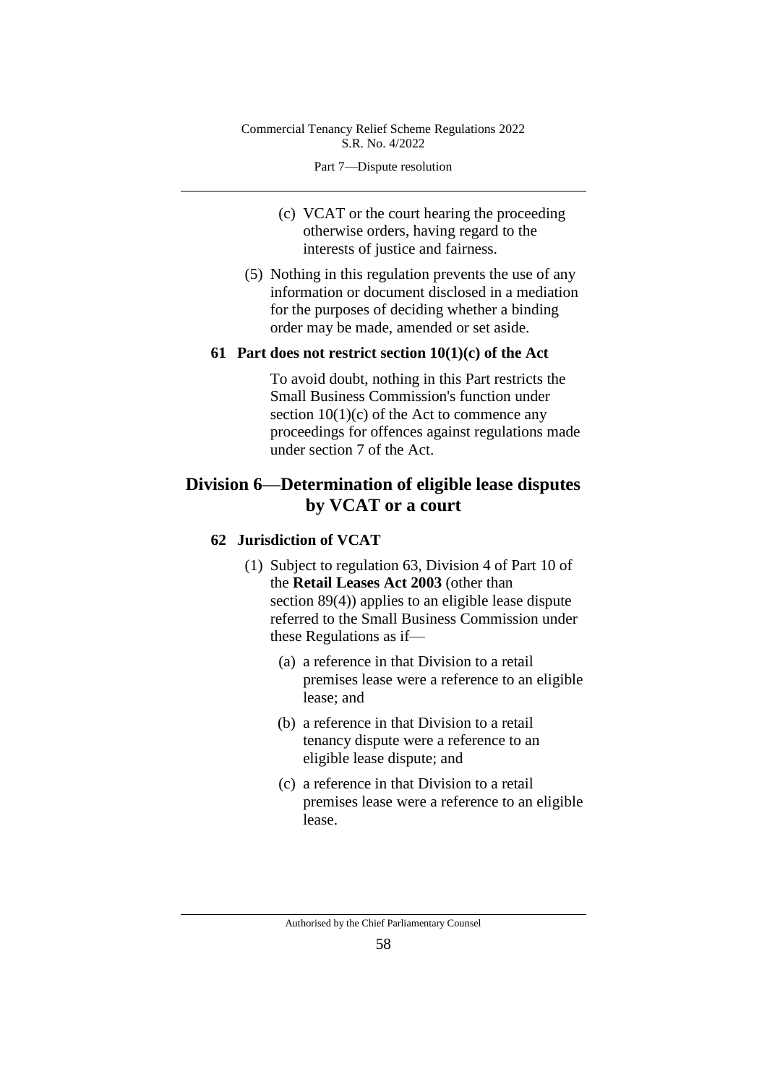Part 7—Dispute resolution

- (c) VCAT or the court hearing the proceeding otherwise orders, having regard to the interests of justice and fairness.
- (5) Nothing in this regulation prevents the use of any information or document disclosed in a mediation for the purposes of deciding whether a binding order may be made, amended or set aside.

### **61 Part does not restrict section 10(1)(c) of the Act**

To avoid doubt, nothing in this Part restricts the Small Business Commission's function under section  $10(1)(c)$  of the Act to commence any proceedings for offences against regulations made under section 7 of the Act.

# **Division 6—Determination of eligible lease disputes by VCAT or a court**

#### **62 Jurisdiction of VCAT**

- (1) Subject to regulation 63, Division 4 of Part 10 of the **Retail Leases Act 2003** (other than section 89(4)) applies to an eligible lease dispute referred to the Small Business Commission under these Regulations as if—
	- (a) a reference in that Division to a retail premises lease were a reference to an eligible lease; and
	- (b) a reference in that Division to a retail tenancy dispute were a reference to an eligible lease dispute; and
	- (c) a reference in that Division to a retail premises lease were a reference to an eligible lease.

Authorised by the Chief Parliamentary Counsel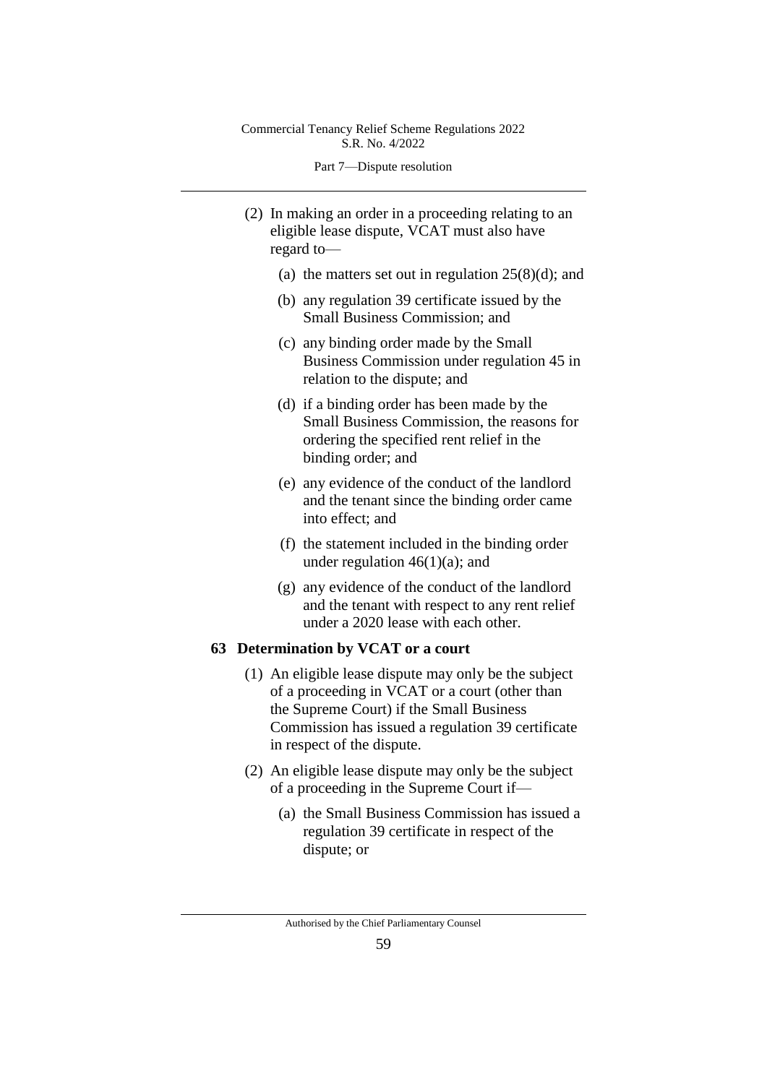Part 7—Dispute resolution

- (2) In making an order in a proceeding relating to an eligible lease dispute, VCAT must also have regard to—
	- (a) the matters set out in regulation  $25(8)(d)$ ; and
	- (b) any regulation 39 certificate issued by the Small Business Commission; and
	- (c) any binding order made by the Small Business Commission under regulation 45 in relation to the dispute; and
	- (d) if a binding order has been made by the Small Business Commission, the reasons for ordering the specified rent relief in the binding order; and
	- (e) any evidence of the conduct of the landlord and the tenant since the binding order came into effect; and
	- (f) the statement included in the binding order under regulation  $46(1)(a)$ ; and
	- (g) any evidence of the conduct of the landlord and the tenant with respect to any rent relief under a 2020 lease with each other.

## **63 Determination by VCAT or a court**

- (1) An eligible lease dispute may only be the subject of a proceeding in VCAT or a court (other than the Supreme Court) if the Small Business Commission has issued a regulation 39 certificate in respect of the dispute.
- (2) An eligible lease dispute may only be the subject of a proceeding in the Supreme Court if—
	- (a) the Small Business Commission has issued a regulation 39 certificate in respect of the dispute; or

Authorised by the Chief Parliamentary Counsel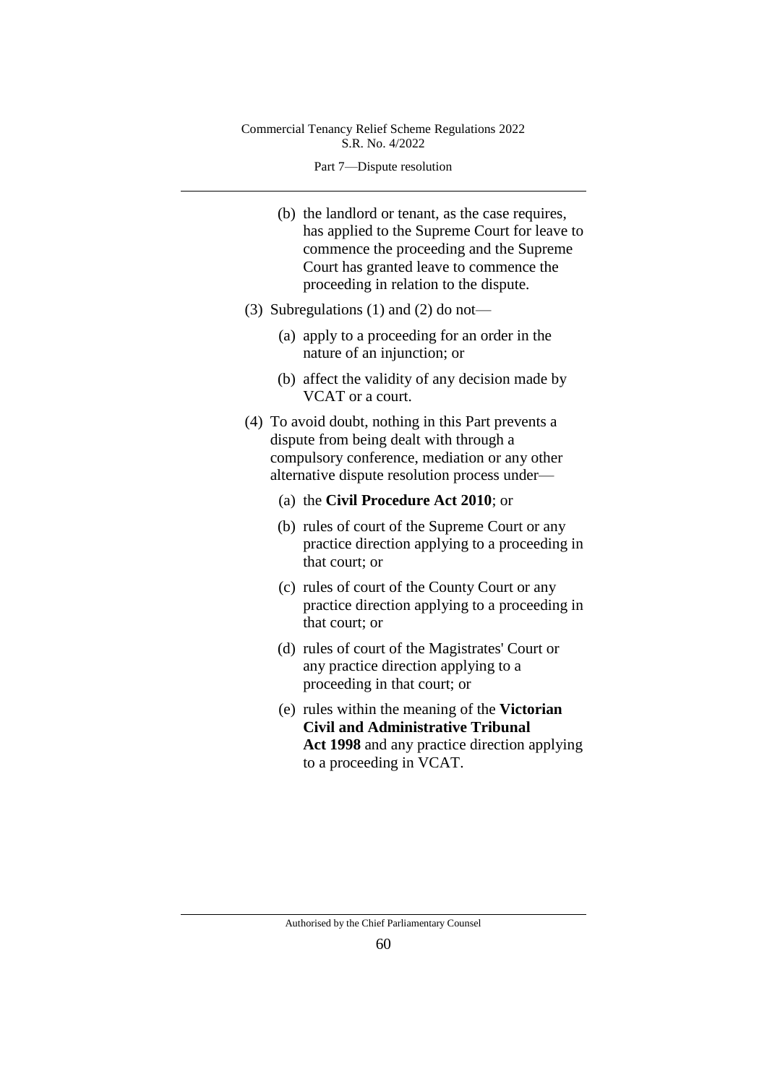Part 7—Dispute resolution

- (b) the landlord or tenant, as the case requires, has applied to the Supreme Court for leave to commence the proceeding and the Supreme Court has granted leave to commence the proceeding in relation to the dispute.
- (3) Subregulations (1) and (2) do not—
	- (a) apply to a proceeding for an order in the nature of an injunction; or
	- (b) affect the validity of any decision made by VCAT or a court.
- (4) To avoid doubt, nothing in this Part prevents a dispute from being dealt with through a compulsory conference, mediation or any other alternative dispute resolution process under—
	- (a) the **Civil Procedure Act 2010**; or
	- (b) rules of court of the Supreme Court or any practice direction applying to a proceeding in that court; or
	- (c) rules of court of the County Court or any practice direction applying to a proceeding in that court; or
	- (d) rules of court of the Magistrates' Court or any practice direction applying to a proceeding in that court; or
	- (e) rules within the meaning of the **Victorian Civil and Administrative Tribunal Act 1998** and any practice direction applying to a proceeding in VCAT.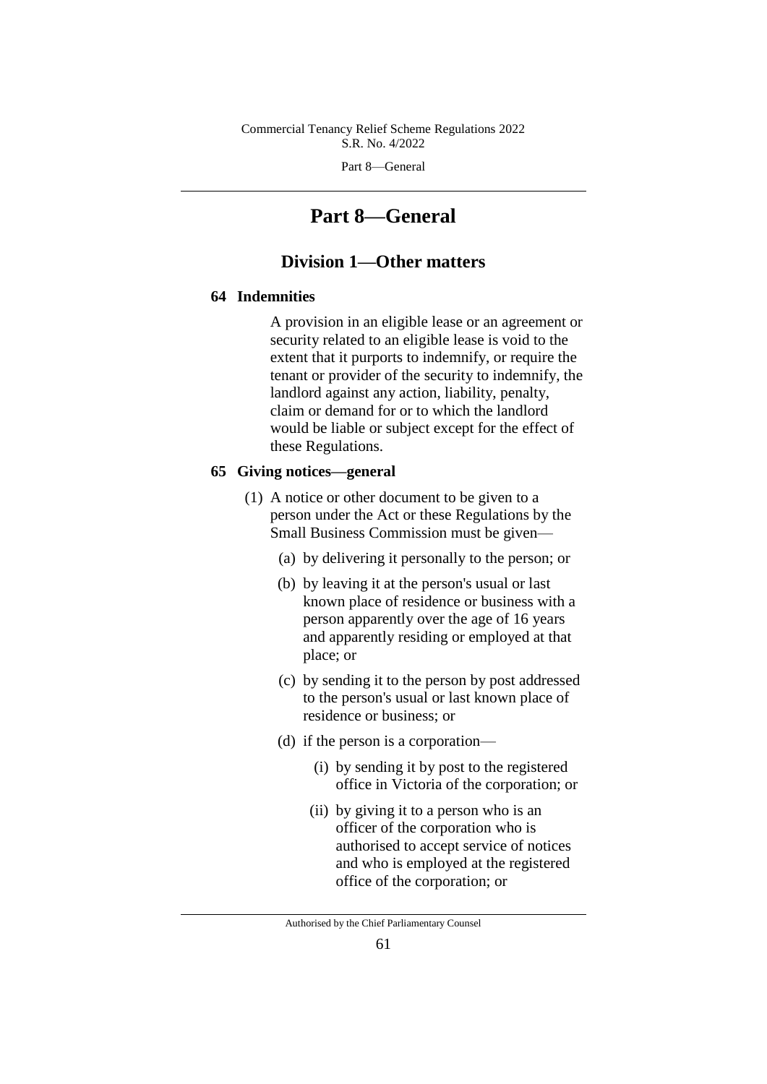Part 8—General

# **Part 8—General**

## **Division 1—Other matters**

## **64 Indemnities**

A provision in an eligible lease or an agreement or security related to an eligible lease is void to the extent that it purports to indemnify, or require the tenant or provider of the security to indemnify, the landlord against any action, liability, penalty, claim or demand for or to which the landlord would be liable or subject except for the effect of these Regulations.

## **65 Giving notices—general**

- (1) A notice or other document to be given to a person under the Act or these Regulations by the Small Business Commission must be given—
	- (a) by delivering it personally to the person; or
	- (b) by leaving it at the person's usual or last known place of residence or business with a person apparently over the age of 16 years and apparently residing or employed at that place; or
	- (c) by sending it to the person by post addressed to the person's usual or last known place of residence or business; or
	- (d) if the person is a corporation—
		- (i) by sending it by post to the registered office in Victoria of the corporation; or
		- (ii) by giving it to a person who is an officer of the corporation who is authorised to accept service of notices and who is employed at the registered office of the corporation; or

Authorised by the Chief Parliamentary Counsel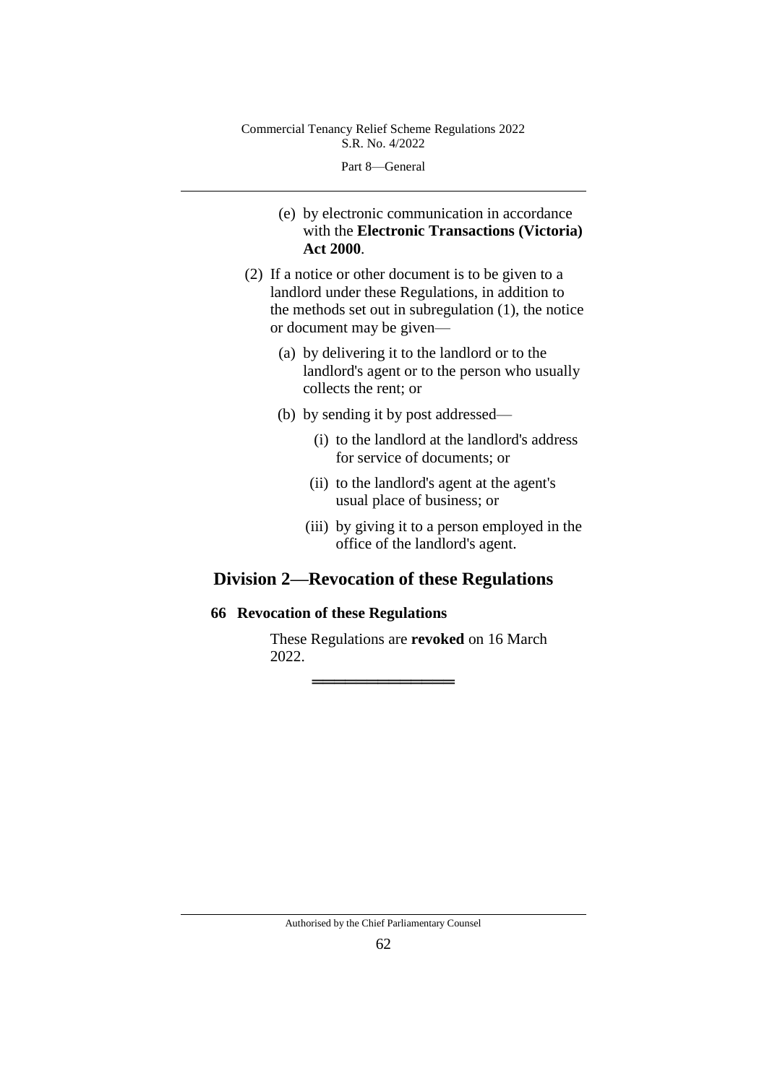Part 8—General

- (e) by electronic communication in accordance with the **Electronic Transactions (Victoria) Act 2000**.
- (2) If a notice or other document is to be given to a landlord under these Regulations, in addition to the methods set out in subregulation (1), the notice or document may be given—
	- (a) by delivering it to the landlord or to the landlord's agent or to the person who usually collects the rent; or
	- (b) by sending it by post addressed—
		- (i) to the landlord at the landlord's address for service of documents; or
		- (ii) to the landlord's agent at the agent's usual place of business; or
		- (iii) by giving it to a person employed in the office of the landlord's agent.

# **Division 2—Revocation of these Regulations**

════════════════════════════════════

## **66 Revocation of these Regulations**

These Regulations are **revoked** on 16 March 2022.